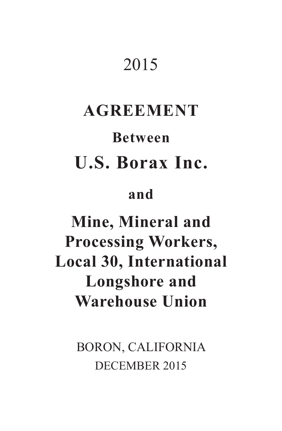# 2015

# **AGREEMENT Between U.S. Borax Inc.**

# **and**

# **Mine, Mineral and Processing Workers, Local 30, International Longshore and Warehouse Union**

BORON, CALIFORNIA DECEMBER 2015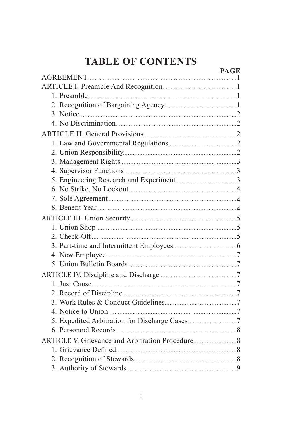| <b>PAGE</b> |
|-------------|
|             |
|             |
|             |
|             |
|             |
|             |
|             |
|             |
|             |
|             |
|             |
|             |
|             |
|             |
|             |
|             |
|             |
|             |
|             |
|             |
|             |
|             |
|             |
|             |
|             |
|             |
|             |
|             |
|             |
|             |
|             |
|             |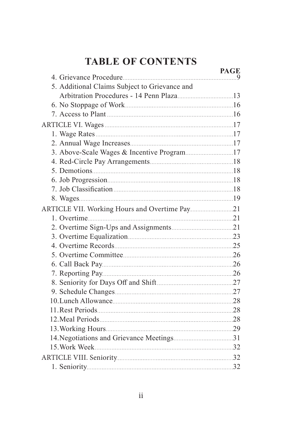|                                               | <b>PAGE</b> |
|-----------------------------------------------|-------------|
|                                               |             |
| 5. Additional Claims Subject to Grievance and |             |
|                                               |             |
|                                               |             |
|                                               |             |
|                                               |             |
|                                               |             |
|                                               |             |
| 3. Above-Scale Wages & Incentive Program17    |             |
|                                               |             |
|                                               |             |
|                                               |             |
|                                               |             |
|                                               |             |
|                                               |             |
|                                               |             |
|                                               |             |
|                                               |             |
|                                               |             |
|                                               |             |
|                                               |             |
|                                               |             |
|                                               |             |
|                                               |             |
|                                               |             |
|                                               |             |
|                                               |             |
|                                               |             |
|                                               |             |
|                                               |             |
|                                               |             |
|                                               |             |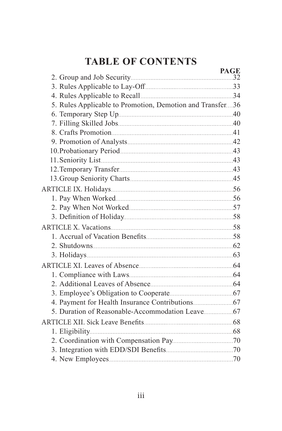|                                                           | <b>PAGE</b> |
|-----------------------------------------------------------|-------------|
|                                                           |             |
|                                                           |             |
|                                                           |             |
| 5. Rules Applicable to Promotion, Demotion and Transfer36 |             |
|                                                           |             |
|                                                           |             |
|                                                           |             |
|                                                           |             |
|                                                           |             |
|                                                           |             |
|                                                           |             |
|                                                           |             |
|                                                           |             |
|                                                           |             |
|                                                           |             |
|                                                           |             |
|                                                           |             |
|                                                           |             |
|                                                           |             |
|                                                           |             |
|                                                           |             |
|                                                           |             |
|                                                           |             |
|                                                           |             |
|                                                           |             |
|                                                           |             |
|                                                           |             |
|                                                           |             |
|                                                           |             |
|                                                           |             |
|                                                           |             |
|                                                           |             |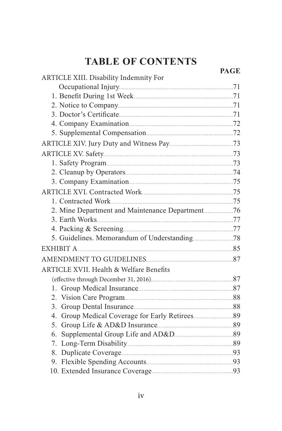|                                                    | <b>PAGE</b> |
|----------------------------------------------------|-------------|
| ARTICLE XIII. Disability Indemnity For             |             |
|                                                    |             |
|                                                    |             |
|                                                    |             |
|                                                    |             |
|                                                    |             |
|                                                    |             |
|                                                    |             |
|                                                    |             |
|                                                    |             |
|                                                    |             |
|                                                    |             |
|                                                    |             |
|                                                    |             |
|                                                    |             |
|                                                    |             |
|                                                    |             |
|                                                    |             |
|                                                    |             |
|                                                    |             |
| <b>ARTICLE XVII. Health &amp; Welfare Benefits</b> |             |
|                                                    |             |
|                                                    |             |
|                                                    |             |
| 3.                                                 |             |
|                                                    |             |
| 5.                                                 |             |
| 6.                                                 |             |
|                                                    |             |
|                                                    |             |
|                                                    |             |
|                                                    |             |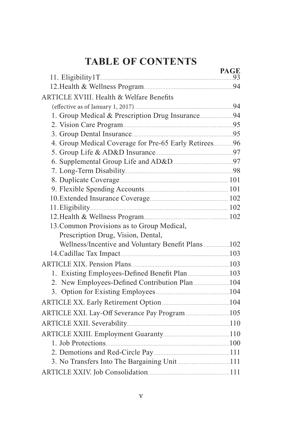|                                                       | <b>PAGE</b> |
|-------------------------------------------------------|-------------|
|                                                       |             |
| ARTICLE XVIII. Health & Welfare Benefits              |             |
|                                                       |             |
| 1. Group Medical & Prescription Drug Insurance94      |             |
|                                                       |             |
|                                                       |             |
| 4. Group Medical Coverage for Pre-65 Early Retirees96 |             |
|                                                       |             |
|                                                       |             |
|                                                       |             |
|                                                       |             |
|                                                       |             |
|                                                       |             |
|                                                       |             |
|                                                       |             |
| 13. Common Provisions as to Group Medical,            |             |
| Prescription Drug, Vision, Dental,                    |             |
| Wellness/Incentive and Voluntary Benefit Plans102     |             |
|                                                       |             |
|                                                       |             |
|                                                       |             |
|                                                       |             |
|                                                       |             |
|                                                       |             |
| ARTICLE XXI. Lay-Off Severance Pay Program 105        |             |
|                                                       |             |
|                                                       |             |
|                                                       |             |
|                                                       |             |
| 3. No Transfers Into The Bargaining Unit 111          |             |
|                                                       |             |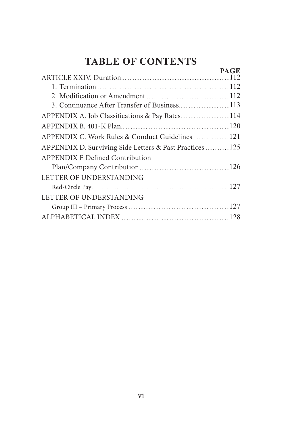**PAGE**

|                                                        | PAGE. |
|--------------------------------------------------------|-------|
|                                                        |       |
|                                                        |       |
|                                                        |       |
| APPENDIX A. Job Classifications & Pay Rates114         |       |
|                                                        |       |
|                                                        |       |
| APPENDIX D. Surviving Side Letters & Past Practices125 |       |
| <b>APPENDIX E Defined Contribution</b>                 |       |
|                                                        |       |
| LETTER OF UNDERSTANDING                                |       |
|                                                        |       |
| LETTER OF UNDERSTANDING                                |       |
|                                                        |       |
|                                                        |       |
|                                                        |       |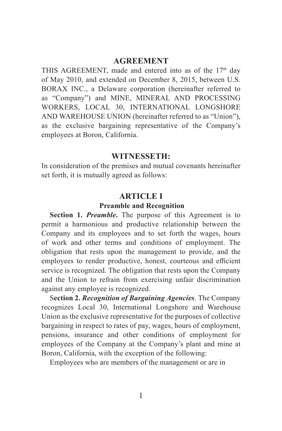#### **AGREEMENT**

THIS AGREEMENT, made and entered into as of the 17<sup>th</sup> day of May 2010, and extended on December 8, 2015, between U.S. BORAX INC., a Delaware corporation (hereinafter referred to as "Company") and MINE, MINERAL AND PROCESSING WORKERS, LOCAL 30, INTERNATIONAL LONGSHORE AND WAREHOUSE UNION (hereinafter referred to as "Union"), as the exclusive bargaining representative of the Company's employees at Boron, California.

#### **WITNESSETH:**

In consideration of the premises and mutual covenants hereinafter set forth, it is mutually agreed as follows:

#### **ARTICLE I**

#### **Preamble and Recognition**

**Section 1.** *Preamble***.** The purpose of this Agreement is to permit a harmonious and productive relationship between the Company and its employees and to set forth the wages, hours of work and other terms and conditions of employment. The obligation that rests upon the management to provide, and the employees to render productive, honest, courteous and efficient service is recognized. The obligation that rests upon the Company and the Union to refrain from exercising unfair discrimination against any employee is recognized.

S**ection 2.** *Recognition of Bargaining Agencies*. The Company recognizes Local 30, International Longshore and Warehouse Union as the exclusive representative for the purposes of collective bargaining in respect to rates of pay, wages, hours of employment, pensions, insurance and other conditions of employment for employees of the Company at the Company's plant and mine at Boron, California, with the exception of the following:

Employees who are members of the management or are in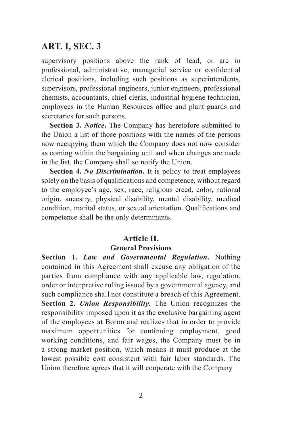supervisory positions above the rank of lead, or are in professional, administrative, managerial service or confidential clerical positions, including such positions as superintendents, supervisors, professional engineers, junior engineers, professional chemists, accountants, chief clerks, industrial hygiene technician, employees in the Human Resources office and plant guards and secretaries for such persons.

**Section 3.** *Notice***.** The Company has heretofore submitted to the Union a list of those positions with the names of the persons now occupying them which the Company does not now consider as coming within the bargaining unit and when changes are made in the list, the Company shall so notify the Union.

**Section 4.** *No Discrimination***.** It is policy to treat employees solely on the basis of qualifications and competence, without regard to the employee's age, sex, race, religious creed, color, national origin, ancestry, physical disability, mental disability, medical condition, marital status, or sexual orientation. Qualifications and competence shall be the only determinants.

#### **Article II.**

#### **General Provisions**

**Section 1.** *Law and Governmental Regulation***.** Nothing contained in this Agreement shall excuse any obligation of the parties from compliance with any applicable law, regulation, order or interpretive ruling issued by a governmental agency, and such compliance shall not constitute a breach of this Agreement. **Section 2.** *Union Responsibility***.** The Union recognizes the responsibility imposed upon it as the exclusive bargaining agent of the employees at Boron and realizes that in order to provide maximum opportunities for continuing employment, good working conditions, and fair wages, the Company must be in a strong market position, which means it must produce at the lowest possible cost consistent with fair labor standards. The Union therefore agrees that it will cooperate with the Company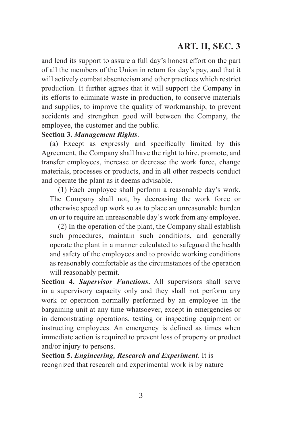and lend its support to assure a full day's honest effort on the part of all the members of the Union in return for day's pay, and that it will actively combat absenteeism and other practices which restrict production. It further agrees that it will support the Company in its efforts to eliminate waste in production, to conserve materials and supplies, to improve the quality of workmanship, to prevent accidents and strengthen good will between the Company, the employee, the customer and the public.

#### **Section 3.** *Management Rights*.

(a) Except as expressly and specifically limited by this Agreement, the Company shall have the right to hire, promote, and transfer employees, increase or decrease the work force, change materials, processes or products, and in all other respects conduct and operate the plant as it deems advisable.

(1) Each employee shall perform a reasonable day's work. The Company shall not, by decreasing the work force or otherwise speed up work so as to place an unreasonable burden on or to require an unreasonable day's work from any employee.

(2) In the operation of the plant, the Company shall establish such procedures, maintain such conditions, and generally operate the plant in a manner calculated to safeguard the health and safety of the employees and to provide working conditions as reasonably comfortable as the circumstances of the operation will reasonably permit.

**Section 4.** *Supervisor Functions***.** All supervisors shall serve in a supervisory capacity only and they shall not perform any work or operation normally performed by an employee in the bargaining unit at any time whatsoever, except in emergencies or in demonstrating operations, testing or inspecting equipment or instructing employees. An emergency is defined as times when immediate action is required to prevent loss of property or product and/or injury to persons.

**Section 5.** *Engineering, Research and Experiment*. It is recognized that research and experimental work is by nature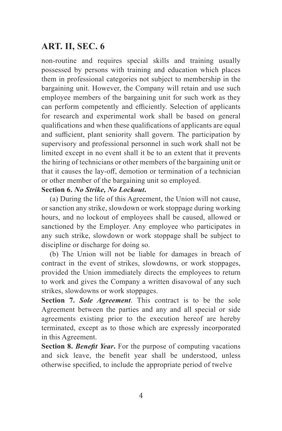non-routine and requires special skills and training usually possessed by persons with training and education which places them in professional categories not subject to membership in the bargaining unit. However, the Company will retain and use such employee members of the bargaining unit for such work as they can perform competently and efficiently. Selection of applicants for research and experimental work shall be based on general qualifications and when these qualifications of applicants are equal and sufficient, plant seniority shall govern. The participation by supervisory and professional personnel in such work shall not be limited except in no event shall it be to an extent that it prevents the hiring of technicians or other members of the bargaining unit or that it causes the lay-off, demotion or termination of a technician or other member of the bargaining unit so employed.

#### **Section 6.** *No Strike, No Lockout***.**

(a) During the life of this Agreement, the Union will not cause, or sanction any strike, slowdown or work stoppage during working hours, and no lockout of employees shall be caused, allowed or sanctioned by the Employer. Any employee who participates in any such strike, slowdown or work stoppage shall be subject to discipline or discharge for doing so.

(b) The Union will not be liable for damages in breach of contract in the event of strikes, slowdowns, or work stoppages, provided the Union immediately directs the employees to return to work and gives the Company a written disavowal of any such strikes, slowdowns or work stoppages.

**Section 7.** *Sole Agreement*. This contract is to be the sole Agreement between the parties and any and all special or side agreements existing prior to the execution hereof are hereby terminated, except as to those which are expressly incorporated in this Agreement.

**Section 8.** *Benefit Year***.** For the purpose of computing vacations and sick leave, the benefit year shall be understood, unless otherwise specified, to include the appropriate period of twelve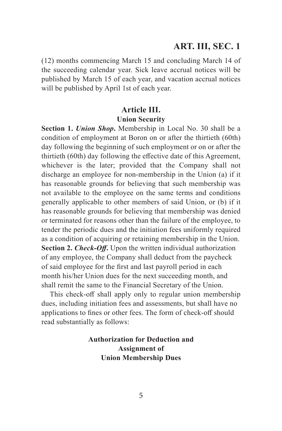(12) months commencing March 15 and concluding March 14 of the succeeding calendar year. Sick leave accrual notices will be published by March 15 of each year, and vacation accrual notices will be published by April 1st of each year.

#### **Article III. Union Security**

**Section 1.** *Union Shop***.** Membership in Local No. 30 shall be a condition of employment at Boron on or after the thirtieth (60th) day following the beginning of such employment or on or after the thirtieth (60th) day following the effective date of this Agreement, whichever is the later; provided that the Company shall not discharge an employee for non-membership in the Union (a) if it has reasonable grounds for believing that such membership was not available to the employee on the same terms and conditions generally applicable to other members of said Union, or (b) if it has reasonable grounds for believing that membership was denied or terminated for reasons other than the failure of the employee, to tender the periodic dues and the initiation fees uniformly required as a condition of acquiring or retaining membership in the Union. **Section 2.** *Check-Off***.** Upon the written individual authorization of any employee, the Company shall deduct from the paycheck of said employee for the first and last payroll period in each month his/her Union dues for the next succeeding month, and shall remit the same to the Financial Secretary of the Union.

This check-off shall apply only to regular union membership dues, including initiation fees and assessments, but shall have no applications to fines or other fees. The form of check-off should read substantially as follows:

#### **Authorization for Deduction and Assignment of Union Membership Dues**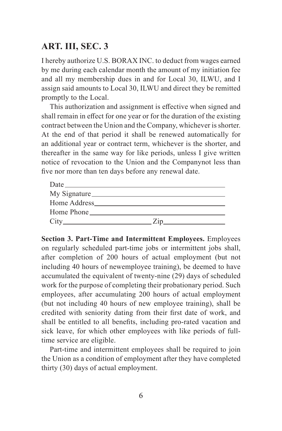I hereby authorize U.S. BORAX INC. to deduct from wages earned by me during each calendar month the amount of my initiation fee and all my membership dues in and for Local 30, ILWU, and I assign said amounts to Local 30, ILWU and direct they be remitted promptly to the Local.

This authorization and assignment is effective when signed and shall remain in effect for one year or for the duration of the existing contract between the Union and the Company, whichever is shorter. At the end of that period it shall be renewed automatically for an additional year or contract term, whichever is the shorter, and thereafter in the same way for like periods, unless I give written notice of revocation to the Union and the Companynot less than five nor more than ten days before any renewal date.

|            | My Signature |  |
|------------|--------------|--|
|            |              |  |
| Home Phone |              |  |
|            | Zip          |  |

**Section 3. Part-Time and Intermittent Employees.** Employees on regularly scheduled part-time jobs or intermittent jobs shall, after completion of 200 hours of actual employment (but not including 40 hours of newemployee training), be deemed to have accumulated the equivalent of twenty-nine (29) days of scheduled work for the purpose of completing their probationary period. Such employees, after accumulating 200 hours of actual employment (but not including 40 hours of new employee training), shall be credited with seniority dating from their first date of work, and shall be entitled to all benefits, including pro-rated vacation and sick leave, for which other employees with like periods of fulltime service are eligible.

Part-time and intermittent employees shall be required to join the Union as a condition of employment after they have completed thirty (30) days of actual employment.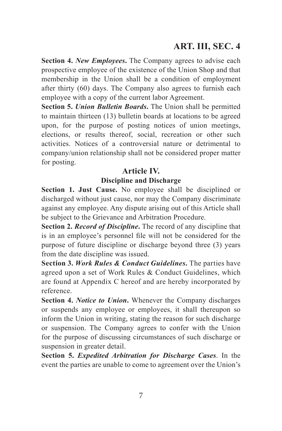**Section 4.** *New Employees***.** The Company agrees to advise each prospective employee of the existence of the Union Shop and that membership in the Union shall be a condition of employment after thirty (60) days. The Company also agrees to furnish each employee with a copy of the current labor Agreement.

**Section 5.** *Union Bulletin Boards***.** The Union shall be permitted to maintain thirteen (13) bulletin boards at locations to be agreed upon, for the purpose of posting notices of union meetings, elections, or results thereof, social, recreation or other such activities. Notices of a controversial nature or detrimental to company/union relationship shall not be considered proper matter for posting.

#### **Article IV.**

#### **Discipline and Discharge**

**Section 1. Just Cause.** No employee shall be disciplined or discharged without just cause, nor may the Company discriminate against any employee. Any dispute arising out of this Article shall be subject to the Grievance and Arbitration Procedure.

**Section 2.** *Record of Discipline***.** The record of any discipline that is in an employee's personnel file will not be considered for the purpose of future discipline or discharge beyond three (3) years from the date discipline was issued.

**Section 3.** *Work Rules & Conduct Guidelines***.** The parties have agreed upon a set of Work Rules & Conduct Guidelines, which are found at Appendix C hereof and are hereby incorporated by reference.

**Section 4.** *Notice to Union***.** Whenever the Company discharges or suspends any employee or employees, it shall thereupon so inform the Union in writing, stating the reason for such discharge or suspension. The Company agrees to confer with the Union for the purpose of discussing circumstances of such discharge or suspension in greater detail.

**Section 5.** *Expedited Arbitration for Discharge Cases*. In the event the parties are unable to come to agreement over the Union's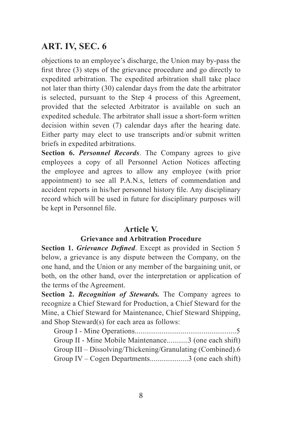objections to an employee's discharge, the Union may by-pass the first three (3) steps of the grievance procedure and go directly to expedited arbitration. The expedited arbitration shall take place not later than thirty (30) calendar days from the date the arbitrator is selected, pursuant to the Step 4 process of this Agreement, provided that the selected Arbitrator is available on such an expedited schedule. The arbitrator shall issue a short-form written decision within seven (7) calendar days after the hearing date. Either party may elect to use transcripts and/or submit written briefs in expedited arbitrations.

**Section 6.** *Personnel Records*. The Company agrees to give employees a copy of all Personnel Action Notices affecting the employee and agrees to allow any employee (with prior appointment) to see all P.A.N.s, letters of commendation and accident reports in his/her personnel history file. Any disciplinary record which will be used in future for disciplinary purposes will be kept in Personnel file.

#### **Article V.**

#### **Grievance and Arbitration Procedure**

**Section 1.** *Grievance Defined*. Except as provided in Section 5 below, a grievance is any dispute between the Company, on the one hand, and the Union or any member of the bargaining unit, or both, on the other hand, over the interpretation or application of the terms of the Agreement.

**Section 2.** *Recognition of Stewards.* The Company agrees to recognize a Chief Steward for Production, a Chief Steward for the Mine, a Chief Steward for Maintenance, Chief Steward Shipping, and Shop Steward(s) for each area as follows:

| Group II - Mine Mobile Maintenance3 (one each shift)       |  |
|------------------------------------------------------------|--|
| Group III – Dissolving/Thickening/Granulating (Combined).6 |  |
| Group IV – Cogen Departments3 (one each shift)             |  |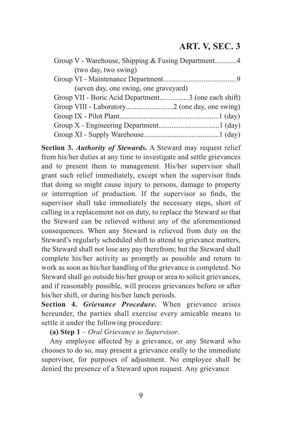| (two day, two swing)                                |
|-----------------------------------------------------|
|                                                     |
| (seven day, one swing, one graveyard)               |
| Group VII - Boric Acid Department3 (one each shift) |
|                                                     |
|                                                     |
|                                                     |
|                                                     |

**Section 3.** *Authority of Stewards***.** A Steward may request relief from his/her duties at any time to investigate and settle grievances and to present them to management. His/her supervisor shall grant such relief immediately, except when the supervisor finds that doing so might cause injury to persons, damage to property or interruption of production. If the supervisor so finds, the supervisor shall take immediately the necessary steps, short of calling in a replacement not on duty, to replace the Steward so that the Steward can be relieved without any of the aforementioned consequences. When any Steward is relieved from duty on the Steward's regularly scheduled shift to attend to grievance matters, the Steward shall not lose any pay therefrom; but the Steward shall complete his/her activity as promptly as possible and return to work as soon as his/her handling of the grievance is completed. No Steward shall go outside his/her group or area to solicit grievances, and if reasonably possible, will process grievances before or after his/her shift, or during his/her lunch periods.

**Section 4.** *Grievance Procedure***.** When grievance arises hereunder, the parties shall exercise every amicable means to settle it under the following procedure:

**(a) Step 1** – *Oral Grievance to Supervisor*.

Any employee affected by a grievance, or any Steward who chooses to do so, may present a grievance orally to the immediate supervisor, for purposes of adjustment. No employee shall be denied the presence of a Steward upon request. Any grievance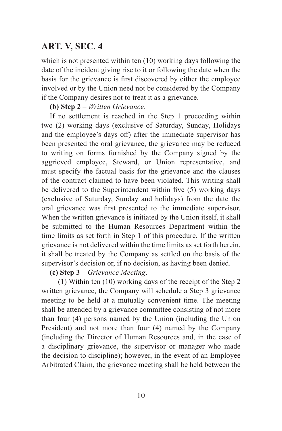which is not presented within ten (10) working days following the date of the incident giving rise to it or following the date when the basis for the grievance is first discovered by either the employee involved or by the Union need not be considered by the Company if the Company desires not to treat it as a grievance.

**(b) Step 2** – *Written Grievance*.

If no settlement is reached in the Step 1 proceeding within two (2) working days (exclusive of Saturday, Sunday, Holidays and the employee's days off) after the immediate supervisor has been presented the oral grievance, the grievance may be reduced to writing on forms furnished by the Company signed by the aggrieved employee, Steward, or Union representative, and must specify the factual basis for the grievance and the clauses of the contract claimed to have been violated. This writing shall be delivered to the Superintendent within five (5) working days (exclusive of Saturday, Sunday and holidays) from the date the oral grievance was first presented to the immediate supervisor. When the written grievance is initiated by the Union itself, it shall be submitted to the Human Resources Department within the time limits as set forth in Step 1 of this procedure. If the written grievance is not delivered within the time limits as set forth herein, it shall be treated by the Company as settled on the basis of the supervisor's decision or, if no decision, as having been denied.

**(c) Step 3** – *Grievance Meeting*.

(1) Within ten (10) working days of the receipt of the Step 2 written grievance, the Company will schedule a Step 3 grievance meeting to be held at a mutually convenient time. The meeting shall be attended by a grievance committee consisting of not more than four (4) persons named by the Union (including the Union President) and not more than four (4) named by the Company (including the Director of Human Resources and, in the case of a disciplinary grievance, the supervisor or manager who made the decision to discipline); however, in the event of an Employee Arbitrated Claim, the grievance meeting shall be held between the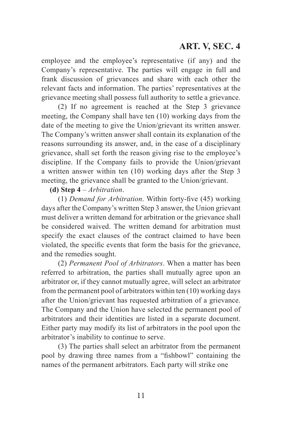employee and the employee's representative (if any) and the Company's representative. The parties will engage in full and frank discussion of grievances and share with each other the relevant facts and information. The parties' representatives at the grievance meeting shall possess full authority to settle a grievance.

(2) If no agreement is reached at the Step 3 grievance meeting, the Company shall have ten (10) working days from the date of the meeting to give the Union/grievant its written answer. The Company's written answer shall contain its explanation of the reasons surrounding its answer, and, in the case of a disciplinary grievance, shall set forth the reason giving rise to the employee's discipline. If the Company fails to provide the Union/grievant a written answer within ten (10) working days after the Step 3 meeting, the grievance shall be granted to the Union/grievant.

**(d) Step 4** – *Arbitration*.

(1) *Demand for Arbitration*. Within forty-five (45) working days after the Company's written Step 3 answer, the Union grievant must deliver a written demand for arbitration or the grievance shall be considered waived. The written demand for arbitration must specify the exact clauses of the contract claimed to have been violated, the specific events that form the basis for the grievance, and the remedies sought.

(2) *Permanent Pool of Arbitrators*. When a matter has been referred to arbitration, the parties shall mutually agree upon an arbitrator or, if they cannot mutually agree, will select an arbitrator from the permanent pool of arbitrators within ten (10) working days after the Union/grievant has requested arbitration of a grievance. The Company and the Union have selected the permanent pool of arbitrators and their identities are listed in a separate document. Either party may modify its list of arbitrators in the pool upon the arbitrator's inability to continue to serve.

(3) The parties shall select an arbitrator from the permanent pool by drawing three names from a "fishbowl" containing the names of the permanent arbitrators. Each party will strike one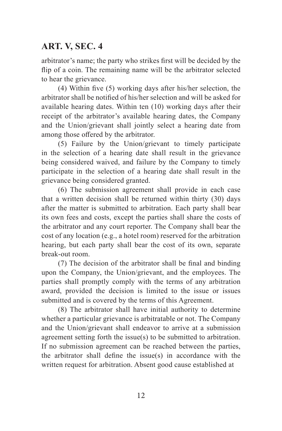arbitrator's name; the party who strikes first will be decided by the flip of a coin. The remaining name will be the arbitrator selected to hear the grievance.

(4) Within five (5) working days after his/her selection, the arbitrator shall be notified of his/her selection and will be asked for available hearing dates. Within ten (10) working days after their receipt of the arbitrator's available hearing dates, the Company and the Union/grievant shall jointly select a hearing date from among those offered by the arbitrator.

(5) Failure by the Union/grievant to timely participate in the selection of a hearing date shall result in the grievance being considered waived, and failure by the Company to timely participate in the selection of a hearing date shall result in the grievance being considered granted.

(6) The submission agreement shall provide in each case that a written decision shall be returned within thirty (30) days after the matter is submitted to arbitration. Each party shall bear its own fees and costs, except the parties shall share the costs of the arbitrator and any court reporter. The Company shall bear the cost of any location (e.g., a hotel room) reserved for the arbitration hearing, but each party shall bear the cost of its own, separate break-out room.

(7) The decision of the arbitrator shall be final and binding upon the Company, the Union/grievant, and the employees. The parties shall promptly comply with the terms of any arbitration award, provided the decision is limited to the issue or issues submitted and is covered by the terms of this Agreement.

(8) The arbitrator shall have initial authority to determine whether a particular grievance is arbitratable or not. The Company and the Union/grievant shall endeavor to arrive at a submission agreement setting forth the issue(s) to be submitted to arbitration. If no submission agreement can be reached between the parties, the arbitrator shall define the issue(s) in accordance with the written request for arbitration. Absent good cause established at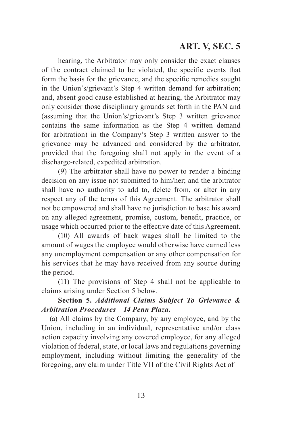hearing, the Arbitrator may only consider the exact clauses of the contract claimed to be violated, the specific events that form the basis for the grievance, and the specific remedies sought in the Union's/grievant's Step 4 written demand for arbitration; and, absent good cause established at hearing, the Arbitrator may only consider those disciplinary grounds set forth in the PAN and (assuming that the Union's/grievant's Step 3 written grievance contains the same information as the Step 4 written demand for arbitration) in the Company's Step 3 written answer to the grievance may be advanced and considered by the arbitrator, provided that the foregoing shall not apply in the event of a discharge-related, expedited arbitration.

(9) The arbitrator shall have no power to render a binding decision on any issue not submitted to him/her; and the arbitrator shall have no authority to add to, delete from, or alter in any respect any of the terms of this Agreement. The arbitrator shall not be empowered and shall have no jurisdiction to base his award on any alleged agreement, promise, custom, benefit, practice, or usage which occurred prior to the effective date of this Agreement.

(10) All awards of back wages shall be limited to the amount of wages the employee would otherwise have earned less any unemployment compensation or any other compensation for his services that he may have received from any source during the period.

(11) The provisions of Step 4 shall not be applicable to claims arising under Section 5 below.

#### **Section 5.** *Additional Claims Subject To Grievance & Arbitration Procedures – 14 Penn Plaza***.**

(a) All claims by the Company, by any employee, and by the Union, including in an individual, representative and/or class action capacity involving any covered employee, for any alleged violation of federal, state, or local laws and regulations governing employment, including without limiting the generality of the foregoing, any claim under Title VII of the Civil Rights Act of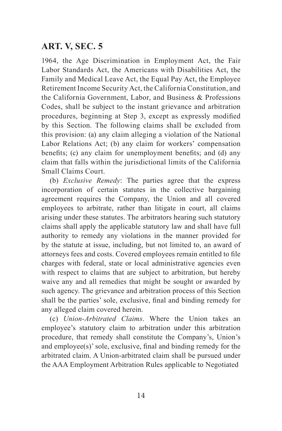1964, the Age Discrimination in Employment Act, the Fair Labor Standards Act, the Americans with Disabilities Act, the Family and Medical Leave Act, the Equal Pay Act, the Employee Retirement Income Security Act, the California Constitution, and the California Government, Labor, and Business & Professions Codes, shall be subject to the instant grievance and arbitration procedures, beginning at Step 3, except as expressly modified by this Section. The following claims shall be excluded from this provision: (a) any claim alleging a violation of the National Labor Relations Act; (b) any claim for workers' compensation benefits; (c) any claim for unemployment benefits; and (d) any claim that falls within the jurisdictional limits of the California Small Claims Court.

(b) *Exclusive Remedy*: The parties agree that the express incorporation of certain statutes in the collective bargaining agreement requires the Company, the Union and all covered employees to arbitrate, rather than litigate in court, all claims arising under these statutes. The arbitrators hearing such statutory claims shall apply the applicable statutory law and shall have full authority to remedy any violations in the manner provided for by the statute at issue, including, but not limited to, an award of attorneys fees and costs. Covered employees remain entitled to file charges with federal, state or local administrative agencies even with respect to claims that are subject to arbitration, but hereby waive any and all remedies that might be sought or awarded by such agency. The grievance and arbitration process of this Section shall be the parties' sole, exclusive, final and binding remedy for any alleged claim covered herein.

(c) *Union-Arbitrated Claims*. Where the Union takes an employee's statutory claim to arbitration under this arbitration procedure, that remedy shall constitute the Company's, Union's and employee(s)' sole, exclusive, final and binding remedy for the arbitrated claim. A Union-arbitrated claim shall be pursued under the AAA Employment Arbitration Rules applicable to Negotiated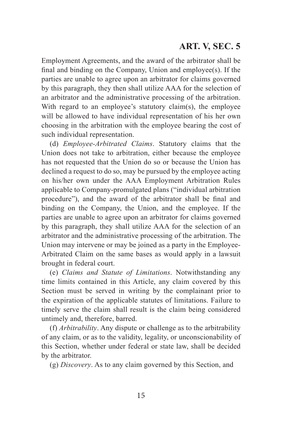Employment Agreements, and the award of the arbitrator shall be final and binding on the Company, Union and employee(s). If the parties are unable to agree upon an arbitrator for claims governed by this paragraph, they then shall utilize AAA for the selection of an arbitrator and the administrative processing of the arbitration. With regard to an employee's statutory claim(s), the employee will be allowed to have individual representation of his her own choosing in the arbitration with the employee bearing the cost of such individual representation.

(d) *Employee-Arbitrated Claims*. Statutory claims that the Union does not take to arbitration, either because the employee has not requested that the Union do so or because the Union has declined a request to do so, may be pursued by the employee acting on his/her own under the AAA Employment Arbitration Rules applicable to Company-promulgated plans ("individual arbitration procedure"), and the award of the arbitrator shall be final and binding on the Company, the Union, and the employee. If the parties are unable to agree upon an arbitrator for claims governed by this paragraph, they shall utilize AAA for the selection of an arbitrator and the administrative processing of the arbitration. The Union may intervene or may be joined as a party in the Employee-Arbitrated Claim on the same bases as would apply in a lawsuit brought in federal court.

(e) *Claims and Statute of Limitations*. Notwithstanding any time limits contained in this Article, any claim covered by this Section must be served in writing by the complainant prior to the expiration of the applicable statutes of limitations. Failure to timely serve the claim shall result is the claim being considered untimely and, therefore, barred.

(f) *Arbitrability*. Any dispute or challenge as to the arbitrability of any claim, or as to the validity, legality, or unconscionability of this Section, whether under federal or state law, shall be decided by the arbitrator.

(g) *Discovery*. As to any claim governed by this Section, and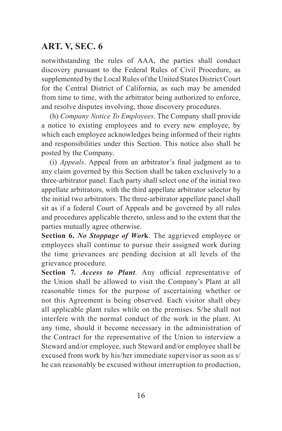notwithstanding the rules of AAA, the parties shall conduct discovery pursuant to the Federal Rules of Civil Procedure, as supplemented by the Local Rules of the United States District Court for the Central District of California, as such may be amended from time to time, with the arbitrator being authorized to enforce, and resolve disputes involving, those discovery procedures.

(h) *Company Notice To Employees*. The Company shall provide a notice to existing employees and to every new employee, by which each employee acknowledges being informed of their rights and responsibilities under this Section. This notice also shall be posted by the Company.

(i) *Appeals*. Appeal from an arbitrator's final judgment as to any claim governed by this Section shall be taken exclusively to a three-arbitrator panel. Each party shall select one of the initial two appellate arbitrators, with the third appellate arbitrator selector by the initial two arbitrators. The three-arbitrator appellate panel shall sit as if a federal Court of Appeals and be governed by all rules and procedures applicable thereto, unless and to the extent that the parties mutually agree otherwise.

**Section 6.** *No Stoppage of Wor***k**. The aggrieved employee or employees shall continue to pursue their assigned work during the time grievances are pending decision at all levels of the grievance procedure.

**Section 7.** *Access to Plant*. Any official representative of the Union shall be allowed to visit the Company's Plant at all reasonable times for the purpose of ascertaining whether or not this Agreement is being observed. Each visitor shall obey all applicable plant rules while on the premises. S/he shall not interfere with the normal conduct of the work in the plant. At any time, should it become necessary in the administration of the Contract for the representative of the Union to interview a Steward and/or employee, such Steward and/or employee shall be excused from work by his/her immediate supervisor as soon as s/ he can reasonably be excused without interruption to production,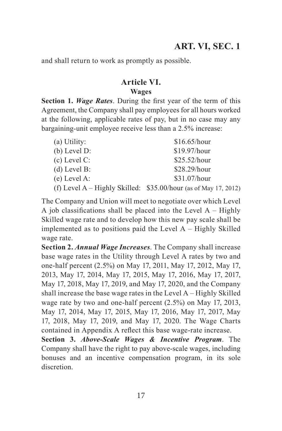and shall return to work as promptly as possible.

#### **Article VI. Wages**

**Section 1.** *Wage Rates*. During the first year of the term of this Agreement, the Company shall pay employees for all hours worked at the following, applicable rates of pay, but in no case may any bargaining-unit employee receive less than a 2.5% increase:

| (a) Utility:   | \$16.65/hour                                                      |
|----------------|-------------------------------------------------------------------|
| $(b)$ Level D: | \$19.97/hour                                                      |
| $(c)$ Level C: | \$25.52/hour                                                      |
| $(d)$ Level B: | \$28.29/hour                                                      |
| $(e)$ Level A: | \$31.07/hour                                                      |
|                | (f) Level A – Highly Skilled: $$35.00/h$ our (as of May 17, 2012) |

The Company and Union will meet to negotiate over which Level A job classifications shall be placed into the Level  $A$  – Highly Skilled wage rate and to develop how this new pay scale shall be implemented as to positions paid the Level A – Highly Skilled wage rate.

**Section 2.** *Annual Wage Increases*. The Company shall increase base wage rates in the Utility through Level A rates by two and one-half percent (2.5%) on May 17, 2011, May 17, 2012, May 17, 2013, May 17, 2014, May 17, 2015, May 17, 2016, May 17, 2017, May 17, 2018, May 17, 2019, and May 17, 2020, and the Company shall increase the base wage rates in the Level A – Highly Skilled wage rate by two and one-half percent (2.5%) on May 17, 2013, May 17, 2014, May 17, 2015, May 17, 2016, May 17, 2017, May 17, 2018, May 17, 2019, and May 17, 2020. The Wage Charts contained in Appendix A reflect this base wage-rate increase.

**Section 3.** *Above-Scale Wages & Incentive Program*. The Company shall have the right to pay above-scale wages, including bonuses and an incentive compensation program, in its sole discretion.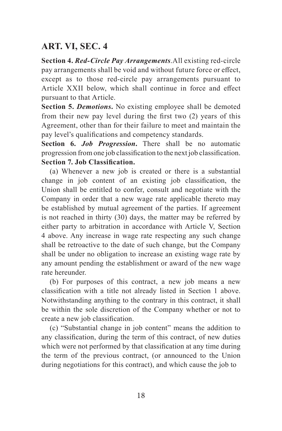**Section 4.** *Red-Circle Pay Arrangements*.All existing red-circle pay arrangements shall be void and without future force or effect, except as to those red-circle pay arrangements pursuant to Article XXII below, which shall continue in force and effect pursuant to that Article.

**Section 5.** *Demotions***.** No existing employee shall be demoted from their new pay level during the first two (2) years of this Agreement, other than for their failure to meet and maintain the pay level's qualifications and competency standards.

**Section 6.** *Job Progression***.** There shall be no automatic progression from one job classification to the next job classification. **Section 7. Job Classification.**

(a) Whenever a new job is created or there is a substantial change in job content of an existing job classification, the Union shall be entitled to confer, consult and negotiate with the Company in order that a new wage rate applicable thereto may be established by mutual agreement of the parties. If agreement is not reached in thirty (30) days, the matter may be referred by either party to arbitration in accordance with Article V, Section 4 above. Any increase in wage rate respecting any such change shall be retroactive to the date of such change, but the Company shall be under no obligation to increase an existing wage rate by any amount pending the establishment or award of the new wage rate hereunder.

(b) For purposes of this contract, a new job means a new classification with a title not already listed in Section 1 above. Notwithstanding anything to the contrary in this contract, it shall be within the sole discretion of the Company whether or not to create a new job classification.

(c) "Substantial change in job content" means the addition to any classification, during the term of this contract, of new duties which were not performed by that classification at any time during the term of the previous contract, (or announced to the Union during negotiations for this contract), and which cause the job to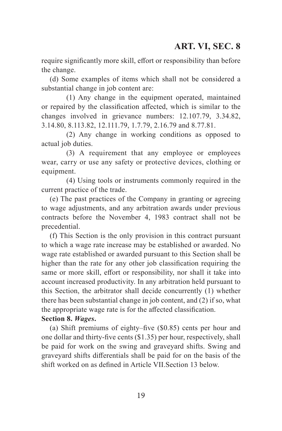require significantly more skill, effort or responsibility than before the change.

(d) Some examples of items which shall not be considered a substantial change in job content are:

(1) Any change in the equipment operated, maintained or repaired by the classification affected, which is similar to the changes involved in grievance numbers: 12.107.79, 3.34.82, 3.14.80, 8.113.82, 12.111.79, 1.7.79, 2.16.79 and 8.77.81.

(2) Any change in working conditions as opposed to actual job duties.

(3) A requirement that any employee or employees wear, carry or use any safety or protective devices, clothing or equipment.

(4) Using tools or instruments commonly required in the current practice of the trade.

(e) The past practices of the Company in granting or agreeing to wage adjustments, and any arbitration awards under previous contracts before the November 4, 1983 contract shall not be precedential.

(f) This Section is the only provision in this contract pursuant to which a wage rate increase may be established or awarded. No wage rate established or awarded pursuant to this Section shall be higher than the rate for any other job classification requiring the same or more skill, effort or responsibility, nor shall it take into account increased productivity. In any arbitration held pursuant to this Section, the arbitrator shall decide concurrently (1) whether there has been substantial change in job content, and (2) if so, what the appropriate wage rate is for the affected classification.

#### **Section 8.** *Wages***.**

(a) Shift premiums of eighty–five (\$0.85) cents per hour and one dollar and thirty-five cents (\$1.35) per hour, respectively, shall be paid for work on the swing and graveyard shifts. Swing and graveyard shifts differentials shall be paid for on the basis of the shift worked on as defined in Article VII.Section 13 below.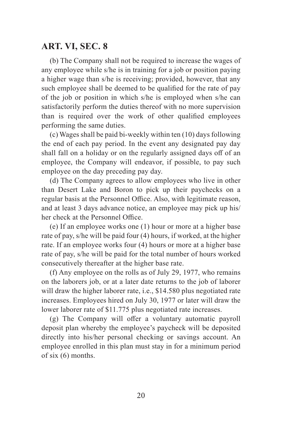(b) The Company shall not be required to increase the wages of any employee while s/he is in training for a job or position paying a higher wage than s/he is receiving; provided, however, that any such employee shall be deemed to be qualified for the rate of pay of the job or position in which s/he is employed when s/he can satisfactorily perform the duties thereof with no more supervision than is required over the work of other qualified employees performing the same duties.

(c) Wages shall be paid bi-weekly within ten (10) days following the end of each pay period. In the event any designated pay day shall fall on a holiday or on the regularly assigned days off of an employee, the Company will endeavor, if possible, to pay such employee on the day preceding pay day.

(d) The Company agrees to allow employees who live in other than Desert Lake and Boron to pick up their paychecks on a regular basis at the Personnel Office. Also, with legitimate reason, and at least 3 days advance notice, an employee may pick up his/ her check at the Personnel Office.

(e) If an employee works one (1) hour or more at a higher base rate of pay, s/he will be paid four (4) hours, if worked, at the higher rate. If an employee works four (4) hours or more at a higher base rate of pay, s/he will be paid for the total number of hours worked consecutively thereafter at the higher base rate.

(f) Any employee on the rolls as of July 29, 1977, who remains on the laborers job, or at a later date returns to the job of laborer will draw the higher laborer rate, i.e., \$14.580 plus negotiated rate increases. Employees hired on July 30, 1977 or later will draw the lower laborer rate of \$11.775 plus negotiated rate increases.

(g) The Company will offer a voluntary automatic payroll deposit plan whereby the employee's paycheck will be deposited directly into his/her personal checking or savings account. An employee enrolled in this plan must stay in for a minimum period of six (6) months.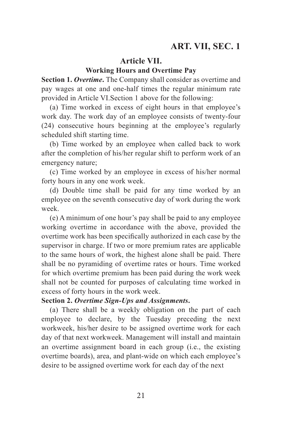#### **Article VII.**

#### **Working Hours and Overtime Pay**

**Section 1. Overtime.** The Company shall consider as overtime and pay wages at one and one-half times the regular minimum rate provided in Article VI.Section 1 above for the following:

(a) Time worked in excess of eight hours in that employee's work day. The work day of an employee consists of twenty-four (24) consecutive hours beginning at the employee's regularly scheduled shift starting time.

(b) Time worked by an employee when called back to work after the completion of his/her regular shift to perform work of an emergency nature;

(c) Time worked by an employee in excess of his/her normal forty hours in any one work week.

(d) Double time shall be paid for any time worked by an employee on the seventh consecutive day of work during the work week.

(e) A minimum of one hour's pay shall be paid to any employee working overtime in accordance with the above, provided the overtime work has been specifically authorized in each case by the supervisor in charge. If two or more premium rates are applicable to the same hours of work, the highest alone shall be paid. There shall be no pyramiding of overtime rates or hours. Time worked for which overtime premium has been paid during the work week shall not be counted for purposes of calculating time worked in excess of forty hours in the work week.

#### **Section 2.** *Overtime Sign-Ups and Assignments***.**

(a) There shall be a weekly obligation on the part of each employee to declare, by the Tuesday preceding the next workweek, his/her desire to be assigned overtime work for each day of that next workweek. Management will install and maintain an overtime assignment board in each group (i.e., the existing overtime boards), area, and plant-wide on which each employee's desire to be assigned overtime work for each day of the next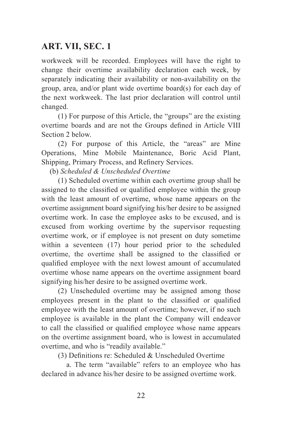workweek will be recorded. Employees will have the right to change their overtime availability declaration each week, by separately indicating their availability or non-availability on the group, area, and/or plant wide overtime board(s) for each day of the next workweek. The last prior declaration will control until changed.

(1) For purpose of this Article, the "groups" are the existing overtime boards and are not the Groups defined in Article VIII Section 2 below.

(2) For purpose of this Article, the "areas" are Mine Operations, Mine Mobile Maintenance, Boric Acid Plant, Shipping, Primary Process, and Refinery Services.

(b) *Scheduled & Unscheduled Overtime*

(1) Scheduled overtime within each overtime group shall be assigned to the classified or qualified employee within the group with the least amount of overtime, whose name appears on the overtime assignment board signifying his/her desire to be assigned overtime work. In case the employee asks to be excused, and is excused from working overtime by the supervisor requesting overtime work, or if employee is not present on duty sometime within a seventeen (17) hour period prior to the scheduled overtime, the overtime shall be assigned to the classified or qualified employee with the next lowest amount of accumulated overtime whose name appears on the overtime assignment board signifying his/her desire to be assigned overtime work.

(2) Unscheduled overtime may be assigned among those employees present in the plant to the classified or qualified employee with the least amount of overtime; however, if no such employee is available in the plant the Company will endeavor to call the classified or qualified employee whose name appears on the overtime assignment board, who is lowest in accumulated overtime, and who is "readily available."

(3) Definitions re: Scheduled & Unscheduled Overtime

a. The term "available" refers to an employee who has declared in advance his/her desire to be assigned overtime work.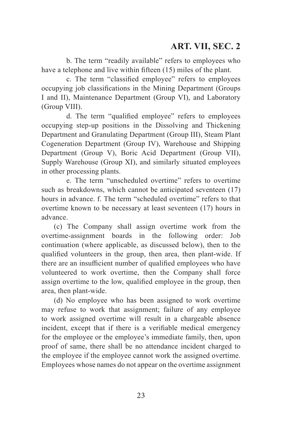b. The term "readily available" refers to employees who have a telephone and live within fifteen (15) miles of the plant.

c. The term "classified employee" refers to employees occupying job classifications in the Mining Department (Groups I and II), Maintenance Department (Group VI), and Laboratory (Group VIII).

d. The term "qualified employee" refers to employees occupying step-up positions in the Dissolving and Thickening Department and Granulating Department (Group III), Steam Plant Cogeneration Department (Group IV), Warehouse and Shipping Department (Group V), Boric Acid Department (Group VII), Supply Warehouse (Group XI), and similarly situated employees in other processing plants.

e. The term "unscheduled overtime" refers to overtime such as breakdowns, which cannot be anticipated seventeen  $(17)$ hours in advance. f. The term "scheduled overtime" refers to that overtime known to be necessary at least seventeen (17) hours in advance.

(c) The Company shall assign overtime work from the overtime-assignment boards in the following order: Job continuation (where applicable, as discussed below), then to the qualified volunteers in the group, then area, then plant-wide. If there are an insufficient number of qualified employees who have volunteered to work overtime, then the Company shall force assign overtime to the low, qualified employee in the group, then area, then plant-wide.

(d) No employee who has been assigned to work overtime may refuse to work that assignment; failure of any employee to work assigned overtime will result in a chargeable absence incident, except that if there is a verifiable medical emergency for the employee or the employee's immediate family, then, upon proof of same, there shall be no attendance incident charged to the employee if the employee cannot work the assigned overtime. Employees whose names do not appear on the overtime assignment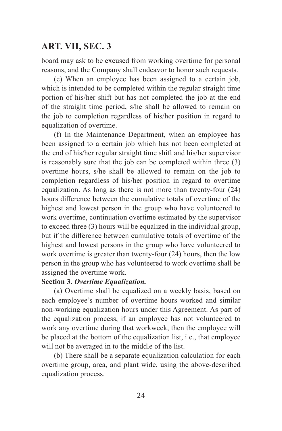board may ask to be excused from working overtime for personal reasons, and the Company shall endeavor to honor such requests.

(e) When an employee has been assigned to a certain job, which is intended to be completed within the regular straight time portion of his/her shift but has not completed the job at the end of the straight time period, s/he shall be allowed to remain on the job to completion regardless of his/her position in regard to equalization of overtime.

(f) In the Maintenance Department, when an employee has been assigned to a certain job which has not been completed at the end of his/her regular straight time shift and his/her supervisor is reasonably sure that the job can be completed within three (3) overtime hours, s/he shall be allowed to remain on the job to completion regardless of his/her position in regard to overtime equalization. As long as there is not more than twenty-four (24) hours difference between the cumulative totals of overtime of the highest and lowest person in the group who have volunteered to work overtime, continuation overtime estimated by the supervisor to exceed three (3) hours will be equalized in the individual group, but if the difference between cumulative totals of overtime of the highest and lowest persons in the group who have volunteered to work overtime is greater than twenty-four (24) hours, then the low person in the group who has volunteered to work overtime shall be assigned the overtime work.

#### **Section 3.** *Overtime Equalization.*

(a) Overtime shall be equalized on a weekly basis, based on each employee's number of overtime hours worked and similar non-working equalization hours under this Agreement. As part of the equalization process, if an employee has not volunteered to work any overtime during that workweek, then the employee will be placed at the bottom of the equalization list, i.e., that employee will not be averaged in to the middle of the list.

(b) There shall be a separate equalization calculation for each overtime group, area, and plant wide, using the above-described equalization process.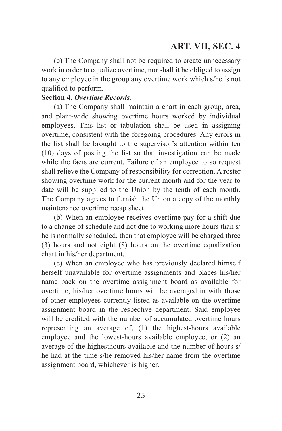(c) The Company shall not be required to create unnecessary work in order to equalize overtime, nor shall it be obliged to assign to any employee in the group any overtime work which s/he is not qualified to perform.

#### **Section 4.** *Overtime Records***.**

(a) The Company shall maintain a chart in each group, area, and plant-wide showing overtime hours worked by individual employees. This list or tabulation shall be used in assigning overtime, consistent with the foregoing procedures. Any errors in the list shall be brought to the supervisor's attention within ten (10) days of posting the list so that investigation can be made while the facts are current. Failure of an employee to so request shall relieve the Company of responsibility for correction. A roster showing overtime work for the current month and for the year to date will be supplied to the Union by the tenth of each month. The Company agrees to furnish the Union a copy of the monthly maintenance overtime recap sheet.

(b) When an employee receives overtime pay for a shift due to a change of schedule and not due to working more hours than s/ he is normally scheduled, then that employee will be charged three (3) hours and not eight (8) hours on the overtime equalization chart in his/her department.

(c) When an employee who has previously declared himself herself unavailable for overtime assignments and places his/her name back on the overtime assignment board as available for overtime, his/her overtime hours will be averaged in with those of other employees currently listed as available on the overtime assignment board in the respective department. Said employee will be credited with the number of accumulated overtime hours representing an average of, (1) the highest-hours available employee and the lowest-hours available employee, or (2) an average of the highesthours available and the number of hours s/ he had at the time s/he removed his/her name from the overtime assignment board, whichever is higher.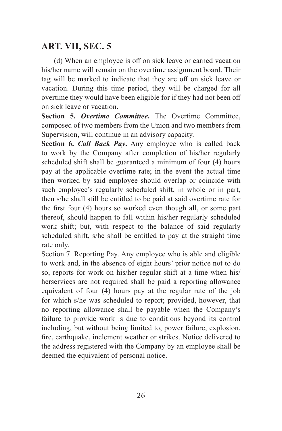(d) When an employee is off on sick leave or earned vacation his/her name will remain on the overtime assignment board. Their tag will be marked to indicate that they are off on sick leave or vacation. During this time period, they will be charged for all overtime they would have been eligible for if they had not been off on sick leave or vacation.

**Section 5.** *Overtime Committee***.** The Overtime Committee, composed of two members from the Union and two members from Supervision, will continue in an advisory capacity.

**Section 6.** *Call Back Pay***.** Any employee who is called back to work by the Company after completion of his/her regularly scheduled shift shall be guaranteed a minimum of four (4) hours pay at the applicable overtime rate; in the event the actual time then worked by said employee should overlap or coincide with such employee's regularly scheduled shift, in whole or in part, then s/he shall still be entitled to be paid at said overtime rate for the first four (4) hours so worked even though all, or some part thereof, should happen to fall within his/her regularly scheduled work shift; but, with respect to the balance of said regularly scheduled shift, s/he shall be entitled to pay at the straight time rate only.

Section 7. Reporting Pay. Any employee who is able and eligible to work and, in the absence of eight hours' prior notice not to do so, reports for work on his/her regular shift at a time when his/ herservices are not required shall be paid a reporting allowance equivalent of four (4) hours pay at the regular rate of the job for which s/he was scheduled to report; provided, however, that no reporting allowance shall be payable when the Company's failure to provide work is due to conditions beyond its control including, but without being limited to, power failure, explosion, fire, earthquake, inclement weather or strikes. Notice delivered to the address registered with the Company by an employee shall be deemed the equivalent of personal notice.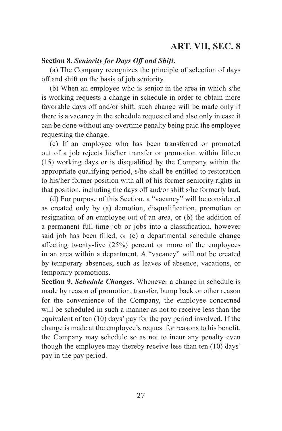### **Section 8.** *Seniority for Days Off and Shift***.**

(a) The Company recognizes the principle of selection of days off and shift on the basis of job seniority.

(b) When an employee who is senior in the area in which s/he is working requests a change in schedule in order to obtain more favorable days off and/or shift, such change will be made only if there is a vacancy in the schedule requested and also only in case it can be done without any overtime penalty being paid the employee requesting the change.

(c) If an employee who has been transferred or promoted out of a job rejects his/her transfer or promotion within fifteen (15) working days or is disqualified by the Company within the appropriate qualifying period, s/he shall be entitled to restoration to his/her former position with all of his former seniority rights in that position, including the days off and/or shift s/he formerly had.

(d) For purpose of this Section, a "vacancy" will be considered as created only by (a) demotion, disqualification, promotion or resignation of an employee out of an area, or (b) the addition of a permanent full-time job or jobs into a classification, however said job has been filled, or (c) a departmental schedule change affecting twenty-five (25%) percent or more of the employees in an area within a department. A "vacancy" will not be created by temporary absences, such as leaves of absence, vacations, or temporary promotions.

**Section 9.** *Schedule Change***s**. Whenever a change in schedule is made by reason of promotion, transfer, bump back or other reason for the convenience of the Company, the employee concerned will be scheduled in such a manner as not to receive less than the equivalent of ten (10) days' pay for the pay period involved. If the change is made at the employee's request for reasons to his benefit, the Company may schedule so as not to incur any penalty even though the employee may thereby receive less than ten (10) days' pay in the pay period.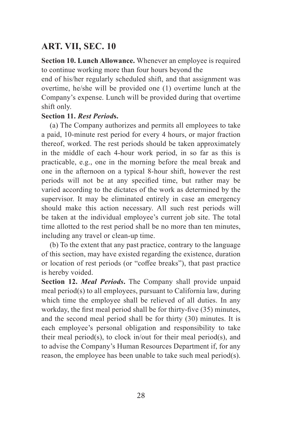**Section 10. Lunch Allowance.** Whenever an employee is required to continue working more than four hours beyond the

end of his/her regularly scheduled shift, and that assignment was overtime, he/she will be provided one (1) overtime lunch at the Company's expense. Lunch will be provided during that overtime shift only.

#### **Section 11.** *Rest Period***s.**

(a) The Company authorizes and permits all employees to take a paid, 10-minute rest period for every 4 hours, or major fraction thereof, worked. The rest periods should be taken approximately in the middle of each 4-hour work period, in so far as this is practicable, e.g., one in the morning before the meal break and one in the afternoon on a typical 8-hour shift, however the rest periods will not be at any specified time, but rather may be varied according to the dictates of the work as determined by the supervisor. It may be eliminated entirely in case an emergency should make this action necessary. All such rest periods will be taken at the individual employee's current job site. The total time allotted to the rest period shall be no more than ten minutes, including any travel or clean-up time.

(b) To the extent that any past practice, contrary to the language of this section, may have existed regarding the existence, duration or location of rest periods (or "coffee breaks"), that past practice is hereby voided.

**Section 12.** *Meal Periods***.** The Company shall provide unpaid meal period(s) to all employees, pursuant to California law, during which time the employee shall be relieved of all duties. In any workday, the first meal period shall be for thirty-five (35) minutes, and the second meal period shall be for thirty (30) minutes. It is each employee's personal obligation and responsibility to take their meal period(s), to clock in/out for their meal period(s), and to advise the Company's Human Resources Department if, for any reason, the employee has been unable to take such meal period(s).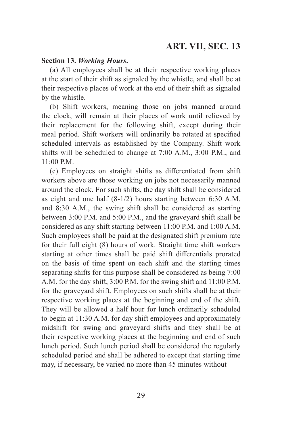#### **Section 13.** *Working Hours***.**

(a) All employees shall be at their respective working places at the start of their shift as signaled by the whistle, and shall be at their respective places of work at the end of their shift as signaled by the whistle.

(b) Shift workers, meaning those on jobs manned around the clock, will remain at their places of work until relieved by their replacement for the following shift, except during their meal period. Shift workers will ordinarily be rotated at specified scheduled intervals as established by the Company. Shift work shifts will be scheduled to change at 7:00 A.M., 3:00 P.M., and 11:00 P.M.

(c) Employees on straight shifts as differentiated from shift workers above are those working on jobs not necessarily manned around the clock. For such shifts, the day shift shall be considered as eight and one half (8-1/2) hours starting between 6:30 A.M. and 8:30 A.M., the swing shift shall be considered as starting between 3:00 P.M. and 5:00 P.M., and the graveyard shift shall be considered as any shift starting between 11:00 P.M. and 1:00 A.M. Such employees shall be paid at the designated shift premium rate for their full eight (8) hours of work. Straight time shift workers starting at other times shall be paid shift differentials prorated on the basis of time spent on each shift and the starting times separating shifts for this purpose shall be considered as being 7:00 A.M. for the day shift, 3:00 P.M. for the swing shift and 11:00 P.M. for the graveyard shift. Employees on such shifts shall be at their respective working places at the beginning and end of the shift. They will be allowed a half hour for lunch ordinarily scheduled to begin at 11:30 A.M. for day shift employees and approximately midshift for swing and graveyard shifts and they shall be at their respective working places at the beginning and end of such lunch period. Such lunch period shall be considered the regularly scheduled period and shall be adhered to except that starting time may, if necessary, be varied no more than 45 minutes without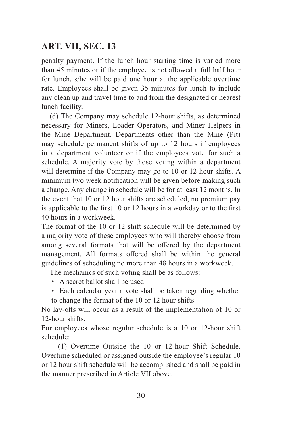penalty payment. If the lunch hour starting time is varied more than 45 minutes or if the employee is not allowed a full half hour for lunch, s/he will be paid one hour at the applicable overtime rate. Employees shall be given 35 minutes for lunch to include any clean up and travel time to and from the designated or nearest lunch facility.

(d) The Company may schedule 12-hour shifts, as determined necessary for Miners, Loader Operators, and Miner Helpers in the Mine Department. Departments other than the Mine (Pit) may schedule permanent shifts of up to 12 hours if employees in a department volunteer or if the employees vote for such a schedule. A majority vote by those voting within a department will determine if the Company may go to 10 or 12 hour shifts. A minimum two week notification will be given before making such a change. Any change in schedule will be for at least 12 months. In the event that 10 or 12 hour shifts are scheduled, no premium pay is applicable to the first 10 or 12 hours in a workday or to the first 40 hours in a workweek.

The format of the 10 or 12 shift schedule will be determined by a majority vote of these employees who will thereby choose from among several formats that will be offered by the department management. All formats offered shall be within the general guidelines of scheduling no more than 48 hours in a workweek.

The mechanics of such voting shall be as follows:

- A secret ballot shall be used
- Each calendar year a vote shall be taken regarding whether to change the format of the 10 or 12 hour shifts.

No lay-offs will occur as a result of the implementation of 10 or 12-hour shifts.

For employees whose regular schedule is a 10 or 12-hour shift schedule:

(1) Overtime Outside the 10 or 12-hour Shift Schedule. Overtime scheduled or assigned outside the employee's regular 10 or 12 hour shift schedule will be accomplished and shall be paid in the manner prescribed in Article VII above.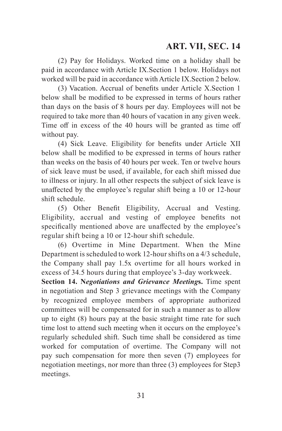(2) Pay for Holidays. Worked time on a holiday shall be paid in accordance with Article IX.Section 1 below. Holidays not worked will be paid in accordance with Article IX.Section 2 below.

(3) Vacation. Accrual of benefits under Article X.Section 1 below shall be modified to be expressed in terms of hours rather than days on the basis of 8 hours per day. Employees will not be required to take more than 40 hours of vacation in any given week. Time off in excess of the 40 hours will be granted as time off without pay.

(4) Sick Leave. Eligibility for benefits under Article XII below shall be modified to be expressed in terms of hours rather than weeks on the basis of 40 hours per week. Ten or twelve hours of sick leave must be used, if available, for each shift missed due to illness or injury. In all other respects the subject of sick leave is unaffected by the employee's regular shift being a 10 or 12-hour shift schedule.

(5) Other Benefit Eligibility, Accrual and Vesting. Eligibility, accrual and vesting of employee benefits not specifically mentioned above are unaffected by the employee's regular shift being a 10 or 12-hour shift schedule.

(6) Overtime in Mine Department. When the Mine Department is scheduled to work 12-hour shifts on a 4/3 schedule, the Company shall pay 1.5x overtime for all hours worked in excess of 34.5 hours during that employee's 3-day workweek.

**Section 14. N***egotiations and Grievance Meeting***s.** Time spent in negotiation and Step 3 grievance meetings with the Company by recognized employee members of appropriate authorized committees will be compensated for in such a manner as to allow up to eight (8) hours pay at the basic straight time rate for such time lost to attend such meeting when it occurs on the employee's regularly scheduled shift. Such time shall be considered as time worked for computation of overtime. The Company will not pay such compensation for more then seven (7) employees for negotiation meetings, nor more than three (3) employees for Step3 meetings.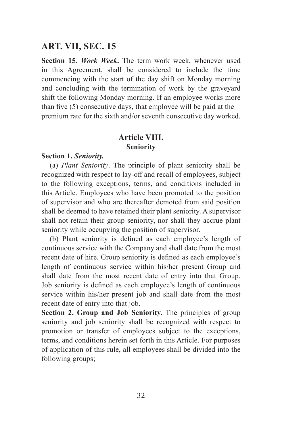**Section 15.** *Work Week***.** The term work week, whenever used in this Agreement, shall be considered to include the time commencing with the start of the day shift on Monday morning and concluding with the termination of work by the graveyard shift the following Monday morning. If an employee works more than five (5) consecutive days, that employee will be paid at the premium rate for the sixth and/or seventh consecutive day worked.

### **Article VIII. Seniority**

#### **Section 1.** *Seniority.*

(a) *Plant Seniority*. The principle of plant seniority shall be recognized with respect to lay-off and recall of employees, subject to the following exceptions, terms, and conditions included in this Article. Employees who have been promoted to the position of supervisor and who are thereafter demoted from said position shall be deemed to have retained their plant seniority. A supervisor shall not retain their group seniority, nor shall they accrue plant seniority while occupying the position of supervisor.

(b) Plant seniority is defined as each employee's length of continuous service with the Company and shall date from the most recent date of hire. Group seniority is defined as each employee's length of continuous service within his/her present Group and shall date from the most recent date of entry into that Group. Job seniority is defined as each employee's length of continuous service within his/her present job and shall date from the most recent date of entry into that job.

**Section 2. Group and Job Seniority.** The principles of group seniority and job seniority shall be recognized with respect to promotion or transfer of employees subject to the exceptions, terms, and conditions herein set forth in this Article. For purposes of application of this rule, all employees shall be divided into the following groups;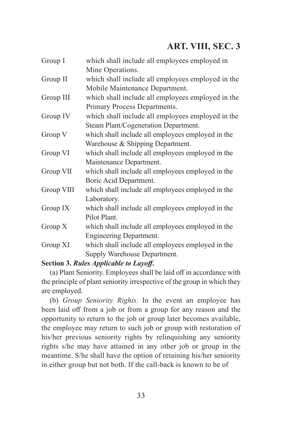| Group I    | which shall include all employees employed in     |
|------------|---------------------------------------------------|
|            | Mine Operations.                                  |
| Group II   | which shall include all employees employed in the |
|            | Mobile Maintenance Department.                    |
| Group III  | which shall include all employees employed in the |
|            | Primary Process Departments.                      |
| Group IV   | which shall include all employees employed in the |
|            | Steam Plant/Cogeneration Department.              |
| Group V    | which shall include all employees employed in the |
|            | Warehouse & Shipping Department.                  |
| Group VI   | which shall include all employees employed in the |
|            | Maintenance Department.                           |
| Group VII  | which shall include all employees employed in the |
|            | Boric Acid Department.                            |
| Group VIII | which shall include all employees employed in the |
|            | Laboratory.                                       |
| Group IX   | which shall include all employees employed in the |
|            | Pilot Plant.                                      |
| Group $X$  | which shall include all employees employed in the |
|            | Engineering Department.                           |
| Group XI   | which shall include all employees employed in the |
|            | Supply Warehouse Department.                      |

# **Section 3.** *Rules Applicable to Layoff***.**

(a) Plant Seniority. Employees shall be laid off in accordance with the principle of plant seniority irrespective of the group in which they are employed.

(b) *Group Seniority Rights*. In the event an employee has been laid off from a job or from a group for any reason and the opportunity to return to the job or group later becomes available, the employee may return to such job or group with restoration of his/her previous seniority rights by relinquishing any seniority rights s/he may have attained in any other job or group in the meantime. S/he shall have the option of retaining his/her seniority in either group but not both. If the call-back is known to be of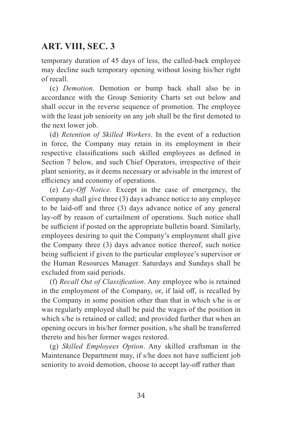temporary duration of 45 days of less, the called-back employee may decline such temporary opening without losing his/her right of recall.

(c) *Demotion*. Demotion or bump back shall also be in accordance with the Group Seniority Charts set out below and shall occur in the reverse sequence of promotion. The employee with the least job seniority on any job shall be the first demoted to the next lower job.

(d) *Retention of Skilled Workers*. In the event of a reduction in force, the Company may retain in its employment in their respective classifications such skilled employees as defined in Section 7 below, and such Chief Operators, irrespective of their plant seniority, as it deems necessary or advisable in the interest of efficiency and economy of operations.

(e) *Lay-Off Notice*. Except in the case of emergency, the Company shall give three (3) days advance notice to any employee to be laid-off and three (3) days advance notice of any general lay-off by reason of curtailment of operations. Such notice shall be sufficient if posted on the appropriate bulletin board. Similarly, employees desiring to quit the Company's employment shall give the Company three (3) days advance notice thereof, such notice being sufficient if given to the particular employee's supervisor or the Human Resources Manager. Saturdays and Sundays shall be excluded from said periods.

(f) *Recall Out of Classification*. Any employee who is retained in the employment of the Company, or, if laid off, is recalled by the Company in some position other than that in which s/he is or was regularly employed shall be paid the wages of the position in which s/he is retained or called; and provided further that when an opening occurs in his/her former position, s/he shall be transferred thereto and his/her former wages restored.

(g) *Skilled Employees Option*. Any skilled craftsman in the Maintenance Department may, if s/he does not have sufficient job seniority to avoid demotion, choose to accept lay-off rather than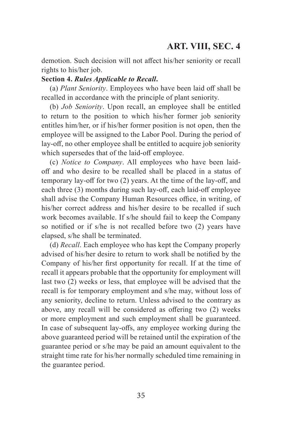demotion. Such decision will not affect his/her seniority or recall rights to his/her job.

#### **Section 4.** *Rules Applicable to Recall***.**

(a) *Plant Seniority*. Employees who have been laid off shall be recalled in accordance with the principle of plant seniority.

(b) *Job Seniority*. Upon recall, an employee shall be entitled to return to the position to which his/her former job seniority entitles him/her, or if his/her former position is not open, then the employee will be assigned to the Labor Pool. During the period of lay-off, no other employee shall be entitled to acquire job seniority which supersedes that of the laid-off employee.

(c) *Notice to Company*. All employees who have been laidoff and who desire to be recalled shall be placed in a status of temporary lay-off for two (2) years. At the time of the lay-off, and each three (3) months during such lay-off, each laid-off employee shall advise the Company Human Resources office, in writing, of his/her correct address and his/her desire to be recalled if such work becomes available. If s/he should fail to keep the Company so notified or if s/he is not recalled before two (2) years have elapsed, s/he shall be terminated.

(d) *Recall*. Each employee who has kept the Company properly advised of his/her desire to return to work shall be notified by the Company of his/her first opportunity for recall. If at the time of recall it appears probable that the opportunity for employment will last two (2) weeks or less, that employee will be advised that the recall is for temporary employment and s/he may, without loss of any seniority, decline to return. Unless advised to the contrary as above, any recall will be considered as offering two (2) weeks or more employment and such employment shall be guaranteed. In case of subsequent lay-offs, any employee working during the above guaranteed period will be retained until the expiration of the guarantee period or s/he may be paid an amount equivalent to the straight time rate for his/her normally scheduled time remaining in the guarantee period.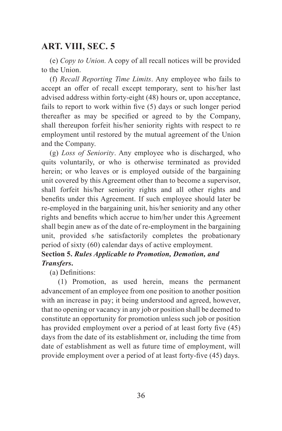(e) *Copy to Union.* A copy of all recall notices will be provided to the Union.

(f) *Recall Reporting Time Limits*. Any employee who fails to accept an offer of recall except temporary, sent to his/her last advised address within forty-eight (48) hours or, upon acceptance, fails to report to work within five (5) days or such longer period thereafter as may be specified or agreed to by the Company, shall thereupon forfeit his/her seniority rights with respect to re employment until restored by the mutual agreement of the Union and the Company.

(g) *Loss of Seniority*. Any employee who is discharged, who quits voluntarily, or who is otherwise terminated as provided herein; or who leaves or is employed outside of the bargaining unit covered by this Agreement other than to become a supervisor, shall forfeit his/her seniority rights and all other rights and benefits under this Agreement. If such employee should later be re-employed in the bargaining unit, his/her seniority and any other rights and benefits which accrue to him/her under this Agreement shall begin anew as of the date of re-employment in the bargaining unit, provided s/he satisfactorily completes the probationary period of sixty (60) calendar days of active employment.

## **Section 5.** *Rules Applicable to Promotion, Demotion, and Transfers***.**

(a) Definitions:

(1) Promotion, as used herein, means the permanent advancement of an employee from one position to another position with an increase in pay; it being understood and agreed, however, that no opening or vacancy in any job or position shall be deemed to constitute an opportunity for promotion unless such job or position has provided employment over a period of at least forty five (45) days from the date of its establishment or, including the time from date of establishment as well as future time of employment, will provide employment over a period of at least forty-five (45) days.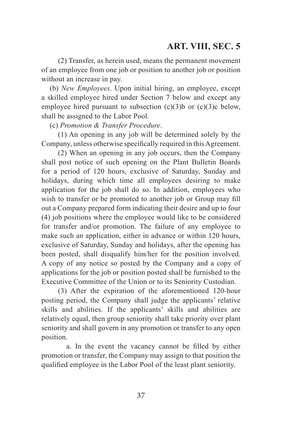(2) Transfer, as herein used, means the permanent movement of an employee from one job or position to another job or position without an increase in pay.

(b) *New Employees*. Upon initial hiring, an employee, except a skilled employee hired under Section 7 below and except any employee hired pursuant to subsection  $(c)(3)b$  or  $(c)(3)c$  below, shall be assigned to the Labor Pool.

(c) *Promotion & Transfer Procedure*.

(1) An opening in any job will be determined solely by the Company, unless otherwise specifically required in this Agreement.

(2) When an opening in any job occurs, then the Company shall post notice of such opening on the Plant Bulletin Boards for a period of 120 hours, exclusive of Saturday, Sunday and holidays, during which time all employees desiring to make application for the job shall do so. In addition, employees who wish to transfer or be promoted to another job or Group may fill out a Company prepared form indicating their desire and up to four (4) job positions where the employee would like to be considered for transfer and/or promotion. The failure of any employee to make such an application, either in advance or within 120 hours, exclusive of Saturday, Sunday and holidays, after the opening has been posted, shall disqualify him/her for the position involved. A copy of any notice so posted by the Company and a copy of applications for the job or position posted shall be furnished to the Executive Committee of the Union or to its Seniority Custodian.

(3) After the expiration of the aforementioned 120-hour posting period, the Company shall judge the applicants' relative skills and abilities. If the applicants' skills and abilities are relatively equal, then group seniority shall take priority over plant seniority and shall govern in any promotion or transfer to any open position.

a. In the event the vacancy cannot be filled by either promotion or transfer, the Company may assign to that position the qualified employee in the Labor Pool of the least plant seniority.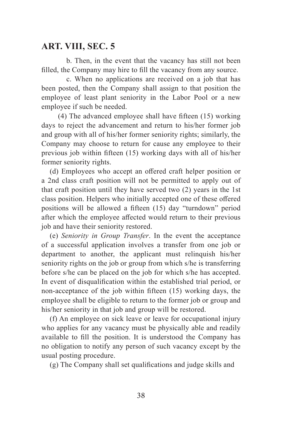b. Then, in the event that the vacancy has still not been filled, the Company may hire to fill the vacancy from any source.

c. When no applications are received on a job that has been posted, then the Company shall assign to that position the employee of least plant seniority in the Labor Pool or a new employee if such be needed.

(4) The advanced employee shall have fifteen (15) working days to reject the advancement and return to his/her former job and group with all of his/her former seniority rights; similarly, the Company may choose to return for cause any employee to their previous job within fifteen (15) working days with all of his/her former seniority rights.

(d) Employees who accept an offered craft helper position or a 2nd class craft position will not be permitted to apply out of that craft position until they have served two (2) years in the 1st class position. Helpers who initially accepted one of these offered positions will be allowed a fifteen (15) day "turndown" period after which the employee affected would return to their previous job and have their seniority restored.

(e) *Seniority in Group Transfer*. In the event the acceptance of a successful application involves a transfer from one job or department to another, the applicant must relinquish his/her seniority rights on the job or group from which s/he is transferring before s/he can be placed on the job for which s/he has accepted. In event of disqualification within the established trial period, or non-acceptance of the job within fifteen (15) working days, the employee shall be eligible to return to the former job or group and his/her seniority in that job and group will be restored.

(f) An employee on sick leave or leave for occupational injury who applies for any vacancy must be physically able and readily available to fill the position. It is understood the Company has no obligation to notify any person of such vacancy except by the usual posting procedure.

(g) The Company shall set qualifications and judge skills and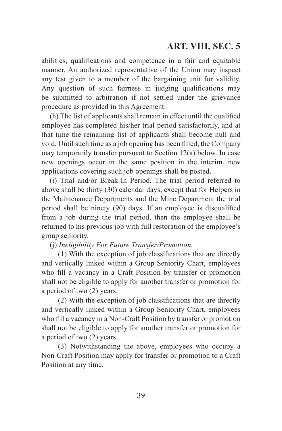abilities, qualifications and competence in a fair and equitable manner. An authorized representative of the Union may inspect any test given to a member of the bargaining unit for validity. Any question of such fairness in judging qualifications may be submitted to arbitration if not settled under the grievance procedure as provided in this Agreement.

(h) The list of applicants shall remain in effect until the qualified employee has completed his/her trial period satisfactorily, and at that time the remaining list of applicants shall become null and void. Until such time as a job opening has been filled, the Company may temporarily transfer pursuant to Section 12(a) below. In case new openings occur in the same position in the interim, new applications covering such job openings shall be posted.

(i) Trial and/or Break-In Period. The trial period referred to above shall be thirty (30) calendar days, except that for Helpers in the Maintenance Departments and the Mine Department the trial period shall be ninety (90) days. If an employee is disqualified from a job during the trial period, then the employee shall be returned to his previous job with full restoration of the employee's group seniority.

(j) *Ineligibility For Future Transfer/Promotion.*

(1) With the exception of job classifications that are directly and vertically linked within a Group Seniority Chart, employees who fill a vacancy in a Craft Position by transfer or promotion shall not be eligible to apply for another transfer or promotion for a period of two (2) years.

(2) With the exception of job classifications that are directly and vertically linked within a Group Seniority Chart, employees who fill a vacancy in a Non-Craft Position by transfer or promotion shall not be eligible to apply for another transfer or promotion for a period of two (2) years.

(3) Notwithstanding the above, employees who occupy a Non-Craft Position may apply for transfer or promotion to a Craft Position at any time.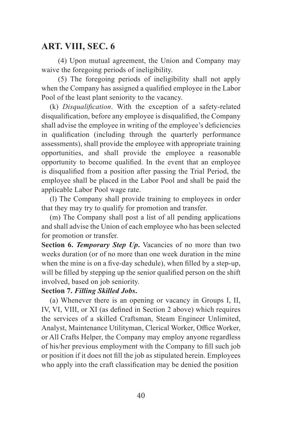(4) Upon mutual agreement, the Union and Company may waive the foregoing periods of ineligibility.

(5) The foregoing periods of ineligibility shall not apply when the Company has assigned a qualified employee in the Labor Pool of the least plant seniority to the vacancy.

(k) *Disqualification*. With the exception of a safety-related disqualification, before any employee is disqualified, the Company shall advise the employee in writing of the employee's deficiencies in qualification (including through the quarterly performance assessments), shall provide the employee with appropriate training opportunities, and shall provide the employee a reasonable opportunity to become qualified. In the event that an employee is disqualified from a position after passing the Trial Period, the employee shall be placed in the Labor Pool and shall be paid the applicable Labor Pool wage rate.

(l) The Company shall provide training to employees in order that they may try to qualify for promotion and transfer.

(m) The Company shall post a list of all pending applications and shall advise the Union of each employee who has been selected for promotion or transfer.

**Section 6.** *Temporary Step Up***.** Vacancies of no more than two weeks duration (or of no more than one week duration in the mine when the mine is on a five-day schedule), when filled by a step-up, will be filled by stepping up the senior qualified person on the shift involved, based on job seniority.

#### **Section 7.** *Filling Skilled Jobs***.**

(a) Whenever there is an opening or vacancy in Groups I, II, IV, VI, VIII, or XI (as defined in Section 2 above) which requires the services of a skilled Craftsman, Steam Engineer Unlimited, Analyst, Maintenance Utilityman, Clerical Worker, Office Worker, or All Crafts Helper, the Company may employ anyone regardless of his/her previous employment with the Company to fill such job or position if it does not fill the job as stipulated herein. Employees who apply into the craft classification may be denied the position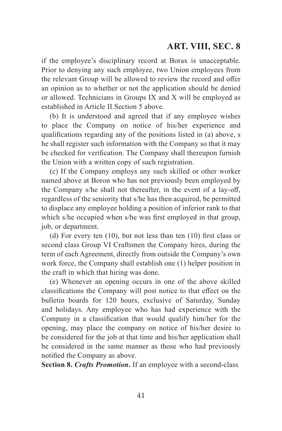if the employee's disciplinary record at Borax is unacceptable. Prior to denying any such employee, two Union employees from the relevant Group will be allowed to review the record and offer an opinion as to whether or not the application should be denied or allowed. Technicians in Groups IX and X will be employed as established in Article II.Section 5 above.

(b) It is understood and agreed that if any employee wishes to place the Company on notice of his/her experience and qualifications regarding any of the positions listed in (a) above, s he shall register such information with the Company so that it may be checked for verification. The Company shall thereupon furnish the Union with a written copy of such registration.

(c) If the Company employs any such skilled or other worker named above at Boron who has not previously been employed by the Company s/he shall not thereafter, in the event of a lay-off, regardless of the seniority that s/he has then acquired, be permitted to displace any employee holding a position of inferior rank to that which s/he occupied when s/he was first employed in that group, job, or department.

(d) For every ten (10), but not less than ten (10) first class or second class Group VI Craftsmen the Company hires, during the term of each Agreement, directly from outside the Company's own work force, the Company shall establish one (1) helper position in the craft in which that hiring was done.

(e) Whenever an opening occurs in one of the above skilled classifications the Company will post notice to that effect on the bulletin boards for 120 hours, exclusive of Saturday, Sunday and holidays. Any employee who has had experience with the Company in a classification that would qualify him/her for the opening, may place the company on notice of his/her desire to be considered for the job at that time and his/her application shall be considered in the same manner as those who had previously notified the Company as above.

**Section 8.** *Crafts Promotion***.** If an employee with a second-class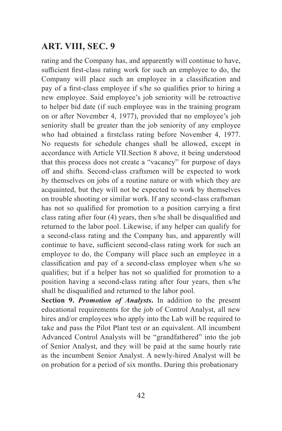rating and the Company has, and apparently will continue to have, sufficient first-class rating work for such an employee to do, the Company will place such an employee in a classification and pay of a first-class employee if s/he so qualifies prior to hiring a new employee. Said employee's job seniority will be retroactive to helper bid date (if such employee was in the training program on or after November 4, 1977), provided that no employee's job seniority shall be greater than the job seniority of any employee who had obtained a firstclass rating before November 4, 1977. No requests for schedule changes shall be allowed, except in accordance with Article VII.Section 8 above, it being understood that this process does not create a "vacancy" for purpose of days off and shifts. Second-class craftsmen will be expected to work by themselves on jobs of a routine nature or with which they are acquainted, but they will not be expected to work by themselves on trouble shooting or similar work. If any second-class craftsman has not so qualified for promotion to a position carrying a first class rating after four (4) years, then s/he shall be disqualified and returned to the labor pool. Likewise, if any helper can qualify for a second-class rating and the Company has, and apparently will continue to have, sufficient second-class rating work for such an employee to do, the Company will place such an employee in a classification and pay of a second-class employee when s/he so qualifies; but if a helper has not so qualified for promotion to a position having a second-class rating after four years, then s/he shall be disqualified and returned to the labor pool.

**Section 9.** *Promotion of Analysts***.** In addition to the present educational requirements for the job of Control Analyst, all new hires and/or employees who apply into the Lab will be required to take and pass the Pilot Plant test or an equivalent. All incumbent Advanced Control Analysts will be "grandfathered" into the job of Senior Analyst, and they will be paid at the same hourly rate as the incumbent Senior Analyst. A newly-hired Analyst will be on probation for a period of six months. During this probationary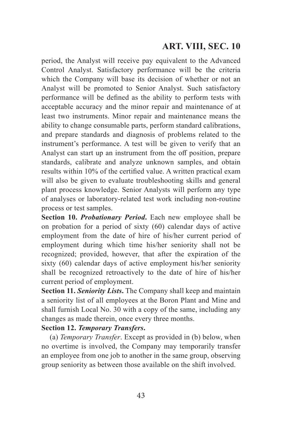period, the Analyst will receive pay equivalent to the Advanced Control Analyst. Satisfactory performance will be the criteria which the Company will base its decision of whether or not an Analyst will be promoted to Senior Analyst. Such satisfactory performance will be defined as the ability to perform tests with acceptable accuracy and the minor repair and maintenance of at least two instruments. Minor repair and maintenance means the ability to change consumable parts, perform standard calibrations, and prepare standards and diagnosis of problems related to the instrument's performance. A test will be given to verify that an Analyst can start up an instrument from the off position, prepare standards, calibrate and analyze unknown samples, and obtain results within 10% of the certified value. A written practical exam will also be given to evaluate troubleshooting skills and general plant process knowledge. Senior Analysts will perform any type of analyses or laboratory-related test work including non-routine process or test samples.

**Section 10.** *Probationary Period***.** Each new employee shall be on probation for a period of sixty (60) calendar days of active employment from the date of hire of his/her current period of employment during which time his/her seniority shall not be recognized; provided, however, that after the expiration of the sixty (60) calendar days of active employment his/her seniority shall be recognized retroactively to the date of hire of his/her current period of employment.

**Section 11.** *Seniority Lists***.** The Company shall keep and maintain a seniority list of all employees at the Boron Plant and Mine and shall furnish Local No. 30 with a copy of the same, including any changes as made therein, once every three months.

## **Section 12.** *Temporary Transfers***.**

(a) *Temporary Transfer*. Except as provided in (b) below, when no overtime is involved, the Company may temporarily transfer an employee from one job to another in the same group, observing group seniority as between those available on the shift involved.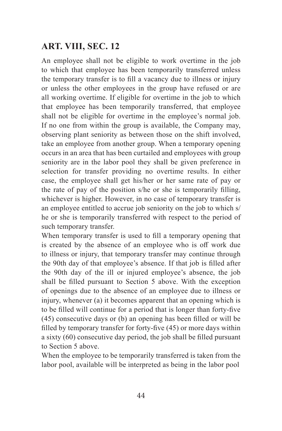An employee shall not be eligible to work overtime in the job to which that employee has been temporarily transferred unless the temporary transfer is to fill a vacancy due to illness or injury or unless the other employees in the group have refused or are all working overtime. If eligible for overtime in the job to which that employee has been temporarily transferred, that employee shall not be eligible for overtime in the employee's normal job. If no one from within the group is available, the Company may, observing plant seniority as between those on the shift involved, take an employee from another group. When a temporary opening occurs in an area that has been curtailed and employees with group seniority are in the labor pool they shall be given preference in selection for transfer providing no overtime results. In either case, the employee shall get his/her or her same rate of pay or the rate of pay of the position s/he or she is temporarily filling, whichever is higher. However, in no case of temporary transfer is an employee entitled to accrue job seniority on the job to which s/ he or she is temporarily transferred with respect to the period of such temporary transfer.

When temporary transfer is used to fill a temporary opening that is created by the absence of an employee who is off work due to illness or injury, that temporary transfer may continue through the 90th day of that employee's absence. If that job is filled after the 90th day of the ill or injured employee's absence, the job shall be filled pursuant to Section 5 above. With the exception of openings due to the absence of an employee due to illness or injury, whenever (a) it becomes apparent that an opening which is to be filled will continue for a period that is longer than forty-five (45) consecutive days or (b) an opening has been filled or will be filled by temporary transfer for forty-five (45) or more days within a sixty (60) consecutive day period, the job shall be filled pursuant to Section 5 above.

When the employee to be temporarily transferred is taken from the labor pool, available will be interpreted as being in the labor pool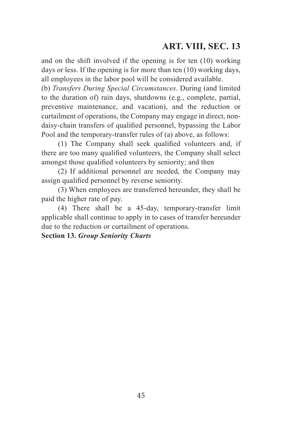and on the shift involved if the opening is for ten (10) working days or less. If the opening is for more than ten (10) working days, all employees in the labor pool will be considered available.

(b) *Transfers During Special Circumstances*. During (and limited to the duration of) rain days, shutdowns (e.g., complete, partial, preventive maintenance, and vacation), and the reduction or curtailment of operations, the Company may engage in direct, nondaisy-chain transfers of qualified personnel, bypassing the Labor Pool and the temporary-transfer rules of (a) above, as follows:

(1) The Company shall seek qualified volunteers and, if there are too many qualified volunteers, the Company shall select amongst those qualified volunteers by seniority; and then

(2) If additional personnel are needed, the Company may assign qualified personnel by reverse seniority.

(3) When employees are transferred hereunder, they shall be paid the higher rate of pay.

(4) There shall be a 45-day, temporary-transfer limit applicable shall continue to apply in to cases of transfer hereunder due to the reduction or curtailment of operations.

**Section 13.** *Group Seniority Charts*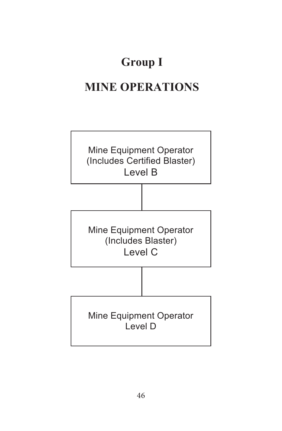# **Group** I

# **MINE OPERATIONS**

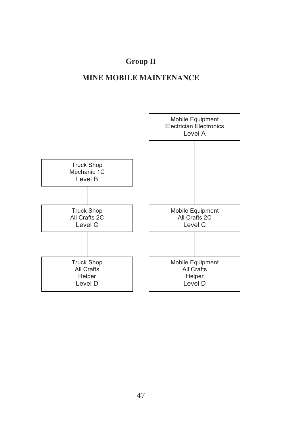# **Group II**

# **MINE MOBILE MAINTENANCE**

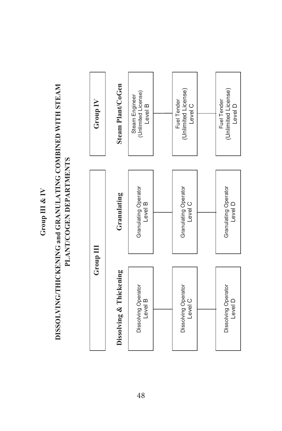Group III & IV **Group III & IV**

# **DISSOLVING/THICKENING and GRANULATING COMBINED WITH STEAM**  DISSOLVING/THICKENING and GRANULATING COMBINED WITH STEAM **PLANT/COGEN DEPARTMENTS**  PLANT/COGEN DEPARTMENTS

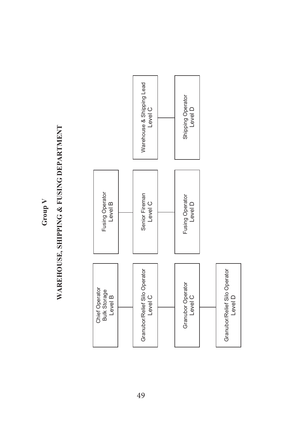**Group V**

# WAREHOUSE, SHIPPING & FUSING DEPARTMENT **WAREHOUSE, SHIPPING & FUSING DEPARTMENT**

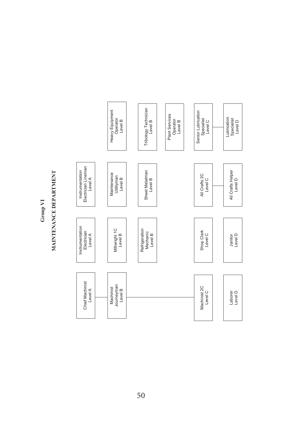**Group VI**

# MAINTENANCE DEPARTMENT **MAINTENANCE DEPARTMENT**

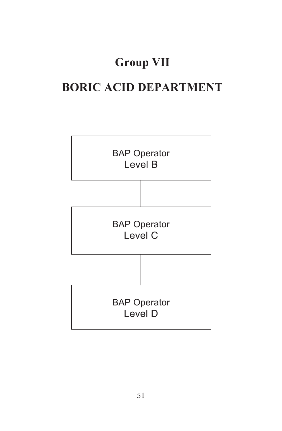# **Group VII**

# **BORIC ACID DEPARTMENT**

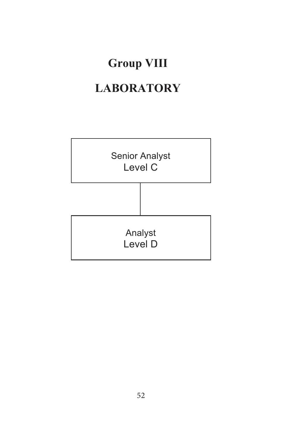# **Group�VIII LABORATORY**

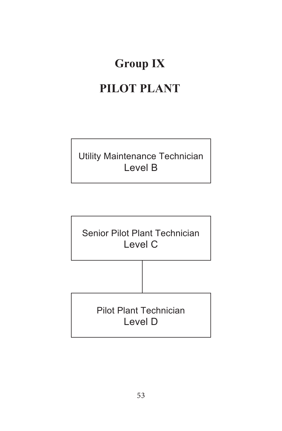# **Group IX**

# **PILOT PLANT**

Utility Maintenance Technician Level B

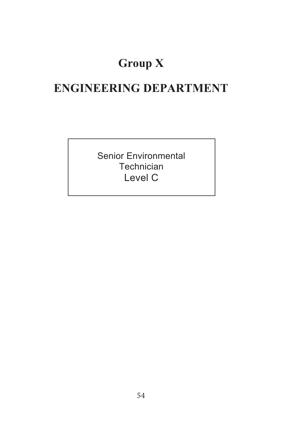# **Group X**

# **ENGINEERING DEPARTMENT**

Senior Environmental **Technician** Level C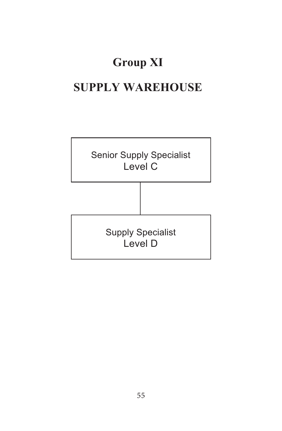# **Group XI**

# **SUPPLY WAREHOUSE**

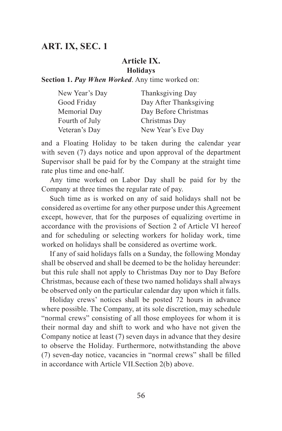#### **Article IX. Holidays**

**Section 1.** *Pay When Worked*. Any time worked on:

| New Year's Day | Thanksgiving Day       |
|----------------|------------------------|
| Good Friday    | Day After Thanksgiving |
| Memorial Day   | Day Before Christmas   |
| Fourth of July | Christmas Day          |
| Veteran's Day  | New Year's Eve Day     |

and a Floating Holiday to be taken during the calendar year with seven (7) days notice and upon approval of the department Supervisor shall be paid for by the Company at the straight time rate plus time and one-half.

Any time worked on Labor Day shall be paid for by the Company at three times the regular rate of pay.

Such time as is worked on any of said holidays shall not be considered as overtime for any other purpose under this Agreement except, however, that for the purposes of equalizing overtime in accordance with the provisions of Section 2 of Article VI hereof and for scheduling or selecting workers for holiday work, time worked on holidays shall be considered as overtime work.

If any of said holidays falls on a Sunday, the following Monday shall be observed and shall be deemed to be the holiday hereunder: but this rule shall not apply to Christmas Day nor to Day Before Christmas, because each of these two named holidays shall always be observed only on the particular calendar day upon which it falls.

Holiday crews' notices shall be posted 72 hours in advance where possible. The Company, at its sole discretion, may schedule "normal crews" consisting of all those employees for whom it is their normal day and shift to work and who have not given the Company notice at least (7) seven days in advance that they desire to observe the Holiday. Furthermore, notwithstanding the above (7) seven-day notice, vacancies in "normal crews" shall be filled in accordance with Article VII.Section 2(b) above.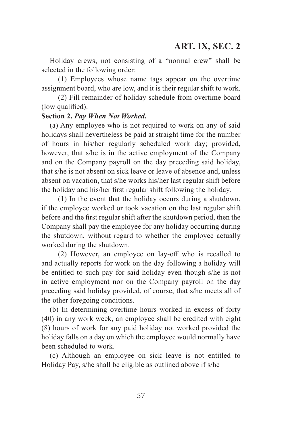Holiday crews, not consisting of a "normal crew" shall be selected in the following order:

(1) Employees whose name tags appear on the overtime assignment board, who are low, and it is their regular shift to work.

(2) Fill remainder of holiday schedule from overtime board (low qualified).

#### **Section 2.** *Pay When Not Worked***.**

(a) Any employee who is not required to work on any of said holidays shall nevertheless be paid at straight time for the number of hours in his/her regularly scheduled work day; provided, however, that s/he is in the active employment of the Company and on the Company payroll on the day preceding said holiday, that s/he is not absent on sick leave or leave of absence and, unless absent on vacation, that s/he works his/her last regular shift before the holiday and his/her first regular shift following the holiday.

(1) In the event that the holiday occurs during a shutdown, if the employee worked or took vacation on the last regular shift before and the first regular shift after the shutdown period, then the Company shall pay the employee for any holiday occurring during the shutdown, without regard to whether the employee actually worked during the shutdown.

(2) However, an employee on lay-off who is recalled to and actually reports for work on the day following a holiday will be entitled to such pay for said holiday even though s/he is not in active employment nor on the Company payroll on the day preceding said holiday provided, of course, that s/he meets all of the other foregoing conditions.

(b) In determining overtime hours worked in excess of forty (40) in any work week, an employee shall be credited with eight (8) hours of work for any paid holiday not worked provided the holiday falls on a day on which the employee would normally have been scheduled to work.

(c) Although an employee on sick leave is not entitled to Holiday Pay, s/he shall be eligible as outlined above if s/he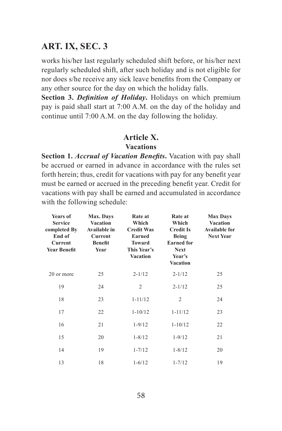works his/her last regularly scheduled shift before, or his/her next regularly scheduled shift, after such holiday and is not eligible for nor does s/he receive any sick leave benefits from the Company or any other source for the day on which the holiday falls.

**Section 3.** *Definition of Holiday***.** Holidays on which premium pay is paid shall start at 7:00 A.M. on the day of the holiday and continue until 7:00 A.M. on the day following the holiday.

#### **Article X.**

#### **Vacations**

**Section 1.** *Accrual of Vacation Benefits***.** Vacation with pay shall be accrued or earned in advance in accordance with the rules set forth herein; thus, credit for vacations with pay for any benefit year must be earned or accrued in the preceding benefit year. Credit for vacations with pay shall be earned and accumulated in accordance with the following schedule:

| Years of<br><b>Service</b><br>completed By<br>End of<br>Current<br><b>Year Benefit</b> | Max. Days<br><b>Vacation</b><br>Available in<br>Current<br><b>Benefit</b><br>Year | Rate at<br>Which<br><b>Credit Was</b><br>Earned<br><b>Toward</b><br>This Year's<br><b>Vacation</b> | Rate at<br>Which<br><b>Credit Is</b><br>Being<br><b>Earned</b> for<br><b>Next</b><br>Year's<br><b>Vacation</b> | <b>Max Days</b><br><b>Vacation</b><br><b>Available for</b><br><b>Next Year</b> |
|----------------------------------------------------------------------------------------|-----------------------------------------------------------------------------------|----------------------------------------------------------------------------------------------------|----------------------------------------------------------------------------------------------------------------|--------------------------------------------------------------------------------|
| 20 or more                                                                             | 25                                                                                | $2 - 1/12$                                                                                         | $2 - 1/12$                                                                                                     | 25                                                                             |
| 19                                                                                     | 24                                                                                | 2                                                                                                  | $2 - 1/12$                                                                                                     | 25                                                                             |
| 18                                                                                     | 23                                                                                | $1 - 11/12$                                                                                        | $\overline{2}$                                                                                                 | 24                                                                             |
| 17                                                                                     | 22                                                                                | $1 - 10/12$                                                                                        | $1 - 11/12$                                                                                                    | 23                                                                             |
| 16                                                                                     | 21                                                                                | $1 - 9/12$                                                                                         | $1 - 10/12$                                                                                                    | 22                                                                             |
| 15                                                                                     | 20                                                                                | $1 - 8/12$                                                                                         | $1 - 9/12$                                                                                                     | 21                                                                             |
| 14                                                                                     | 19                                                                                | $1 - 7/12$                                                                                         | $1 - 8/12$                                                                                                     | 20                                                                             |
| 13                                                                                     | 18                                                                                | $1 - 6/12$                                                                                         | $1 - 7/12$                                                                                                     | 19                                                                             |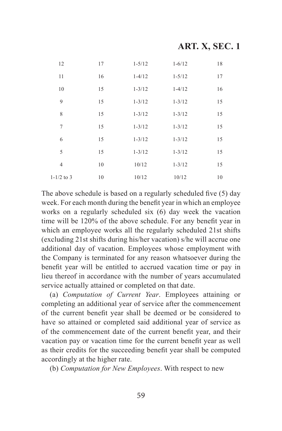| 12             | 17 | $1 - 5/12$ | $1 - 6/12$ | 18 |
|----------------|----|------------|------------|----|
| 11             | 16 | $1 - 4/12$ | $1 - 5/12$ | 17 |
| 10             | 15 | $1 - 3/12$ | $1 - 4/12$ | 16 |
| 9              | 15 | $1 - 3/12$ | $1 - 3/12$ | 15 |
| 8              | 15 | $1 - 3/12$ | $1 - 3/12$ | 15 |
| 7              | 15 | $1 - 3/12$ | $1 - 3/12$ | 15 |
| 6              | 15 | $1 - 3/12$ | $1 - 3/12$ | 15 |
| 5              | 15 | $1 - 3/12$ | $1 - 3/12$ | 15 |
| $\overline{4}$ | 10 | 10/12      | $1 - 3/12$ | 15 |
| $1 - 1/2$ to 3 | 10 | 10/12      | 10/12      | 10 |

The above schedule is based on a regularly scheduled five (5) day week. For each month during the benefit year in which an employee works on a regularly scheduled six (6) day week the vacation time will be 120% of the above schedule. For any benefit year in which an employee works all the regularly scheduled 21st shifts (excluding 21st shifts during his/her vacation) s/he will accrue one additional day of vacation. Employees whose employment with the Company is terminated for any reason whatsoever during the benefit year will be entitled to accrued vacation time or pay in lieu thereof in accordance with the number of years accumulated service actually attained or completed on that date.

(a) *Computation of Current Year*. Employees attaining or completing an additional year of service after the commencement of the current benefit year shall be deemed or be considered to have so attained or completed said additional year of service as of the commencement date of the current benefit year, and their vacation pay or vacation time for the current benefit year as well as their credits for the succeeding benefit year shall be computed accordingly at the higher rate.

(b) *Computation for New Employees*. With respect to new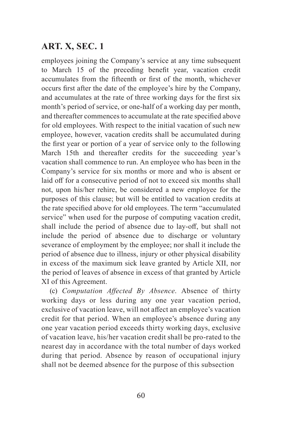employees joining the Company's service at any time subsequent to March 15 of the preceding benefit year, vacation credit accumulates from the fifteenth or first of the month, whichever occurs first after the date of the employee's hire by the Company, and accumulates at the rate of three working days for the first six month's period of service, or one-half of a working day per month, and thereafter commences to accumulate at the rate specified above for old employees. With respect to the initial vacation of such new employee, however, vacation credits shall be accumulated during the first year or portion of a year of service only to the following March 15th and thereafter credits for the succeeding year's vacation shall commence to run. An employee who has been in the Company's service for six months or more and who is absent or laid off for a consecutive period of not to exceed six months shall not, upon his/her rehire, be considered a new employee for the purposes of this clause; but will be entitled to vacation credits at the rate specified above for old employees. The term "accumulated service" when used for the purpose of computing vacation credit, shall include the period of absence due to lay-off, but shall not include the period of absence due to discharge or voluntary severance of employment by the employee; nor shall it include the period of absence due to illness, injury or other physical disability in excess of the maximum sick leave granted by Article XII, nor the period of leaves of absence in excess of that granted by Article XI of this Agreement.

(c) *Computation Affected By Absence*. Absence of thirty working days or less during any one year vacation period, exclusive of vacation leave, will not affect an employee's vacation credit for that period. When an employee's absence during any one year vacation period exceeds thirty working days, exclusive of vacation leave, his/her vacation credit shall be pro-rated to the nearest day in accordance with the total number of days worked during that period. Absence by reason of occupational injury shall not be deemed absence for the purpose of this subsection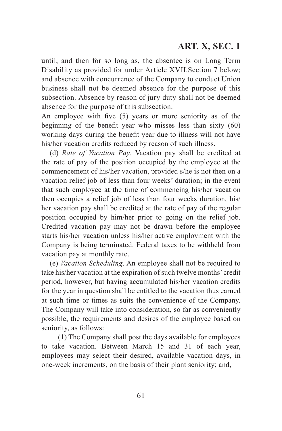until, and then for so long as, the absentee is on Long Term Disability as provided for under Article XVII.Section 7 below; and absence with concurrence of the Company to conduct Union business shall not be deemed absence for the purpose of this subsection. Absence by reason of jury duty shall not be deemed absence for the purpose of this subsection.

An employee with five (5) years or more seniority as of the beginning of the benefit year who misses less than sixty (60) working days during the benefit year due to illness will not have his/her vacation credits reduced by reason of such illness.

(d) *Rate of Vacation Pay*. Vacation pay shall be credited at the rate of pay of the position occupied by the employee at the commencement of his/her vacation, provided s/he is not then on a vacation relief job of less than four weeks' duration; in the event that such employee at the time of commencing his/her vacation then occupies a relief job of less than four weeks duration, his/ her vacation pay shall be credited at the rate of pay of the regular position occupied by him/her prior to going on the relief job. Credited vacation pay may not be drawn before the employee starts his/her vacation unless his/her active employment with the Company is being terminated. Federal taxes to be withheld from vacation pay at monthly rate.

(e) *Vacation Scheduling*. An employee shall not be required to take his/her vacation at the expiration of such twelve months' credit period, however, but having accumulated his/her vacation credits for the year in question shall be entitled to the vacation thus earned at such time or times as suits the convenience of the Company. The Company will take into consideration, so far as conveniently possible, the requirements and desires of the employee based on seniority, as follows:

(1) The Company shall post the days available for employees to take vacation. Between March 15 and 31 of each year, employees may select their desired, available vacation days, in one-week increments, on the basis of their plant seniority; and,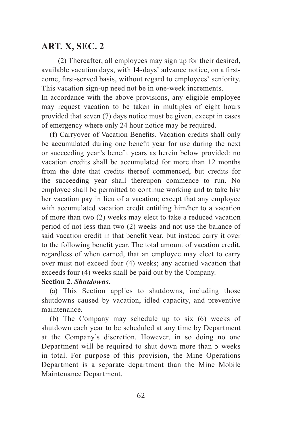(2) Thereafter, all employees may sign up for their desired, available vacation days, with 14-days' advance notice, on a firstcome, first-served basis, without regard to employees' seniority. This vacation sign-up need not be in one-week increments.

In accordance with the above provisions, any eligible employee may request vacation to be taken in multiples of eight hours provided that seven (7) days notice must be given, except in cases of emergency where only 24 hour notice may be required.

(f) Carryover of Vacation Benefits. Vacation credits shall only be accumulated during one benefit year for use during the next or succeeding year's benefit years as herein below provided: no vacation credits shall be accumulated for more than 12 months from the date that credits thereof commenced, but credits for the succeeding year shall thereupon commence to run. No employee shall be permitted to continue working and to take his/ her vacation pay in lieu of a vacation; except that any employee with accumulated vacation credit entitling him/her to a vacation of more than two (2) weeks may elect to take a reduced vacation period of not less than two (2) weeks and not use the balance of said vacation credit in that benefit year, but instead carry it over to the following benefit year. The total amount of vacation credit, regardless of when earned, that an employee may elect to carry over must not exceed four (4) weeks; any accrued vacation that exceeds four (4) weeks shall be paid out by the Company.

#### **Section 2.** *Shutdowns***.**

(a) This Section applies to shutdowns, including those shutdowns caused by vacation, idled capacity, and preventive maintenance.

(b) The Company may schedule up to six (6) weeks of shutdown each year to be scheduled at any time by Department at the Company's discretion. However, in so doing no one Department will be required to shut down more than 5 weeks in total. For purpose of this provision, the Mine Operations Department is a separate department than the Mine Mobile Maintenance Department.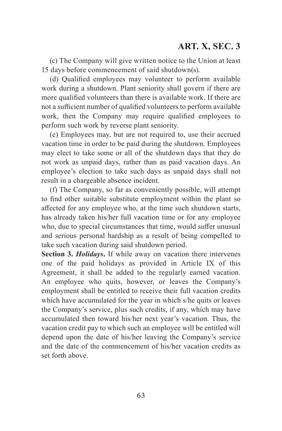(c) The Company will give written notice to the Union at least 15 days before commencement of said shutdown(s).

(d) Qualified employees may volunteer to perform available work during a shutdown. Plant seniority shall govern if there are more qualified volunteers than there is available work. If there are not a sufficient number of qualified volunteers to perform available work, then the Company may require qualified employees to perform such work by reverse plant seniority.

(e) Employees may, but are not required to, use their accrued vacation time in order to be paid during the shutdown. Employees may elect to take some or all of the shutdown days that they do not work as unpaid days, rather than as paid vacation days. An employee's election to take such days as unpaid days shall not result in a chargeable absence incident.

(f) The Company, so far as conveniently possible, will attempt to find other suitable substitute employment within the plant so affected for any employee who, at the time such shutdown starts, has already taken his/her full vacation time or for any employee who, due to special circumstances that time, would suffer unusual and serious personal hardship as a result of being compelled to take such vacation during said shutdown period.

**Section 3.** *Holidays***.** If while away on vacation there intervenes one of the paid holidays as provided in Article IX of this Agreement, it shall be added to the regularly earned vacation. An employee who quits, however, or leaves the Company's employment shall be entitled to receive their full vacation credits which have accumulated for the year in which s/he quits or leaves the Company's service, plus such credits, if any, which may have accumulated then toward his/her next year's vacation. Thus, the vacation credit pay to which such an employee will be entitled will depend upon the date of his/her leaving the Company's service and the date of the commencement of his/her vacation credits as set forth above.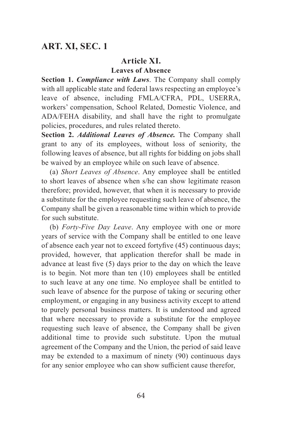#### **Article XI. Leaves of Absence**

**Section 1.** *Compliance with Laws*. The Company shall comply with all applicable state and federal laws respecting an employee's leave of absence, including FMLA/CFRA, PDL, USERRA, workers' compensation, School Related, Domestic Violence, and ADA/FEHA disability, and shall have the right to promulgate policies, procedures, and rules related thereto.

**Section 2.** *Additional Leaves of Absence.* The Company shall grant to any of its employees, without loss of seniority, the following leaves of absence, but all rights for bidding on jobs shall be waived by an employee while on such leave of absence.

(a) *Short Leaves of Absence*. Any employee shall be entitled to short leaves of absence when s/he can show legitimate reason therefore; provided, however, that when it is necessary to provide a substitute for the employee requesting such leave of absence, the Company shall be given a reasonable time within which to provide for such substitute.

(b) *Forty-Five Day Leave*. Any employee with one or more years of service with the Company shall be entitled to one leave of absence each year not to exceed fortyfive (45) continuous days; provided, however, that application therefor shall be made in advance at least five (5) days prior to the day on which the leave is to begin. Not more than ten (10) employees shall be entitled to such leave at any one time. No employee shall be entitled to such leave of absence for the purpose of taking or securing other employment, or engaging in any business activity except to attend to purely personal business matters. It is understood and agreed that where necessary to provide a substitute for the employee requesting such leave of absence, the Company shall be given additional time to provide such substitute. Upon the mutual agreement of the Company and the Union, the period of said leave may be extended to a maximum of ninety (90) continuous days for any senior employee who can show sufficient cause therefor,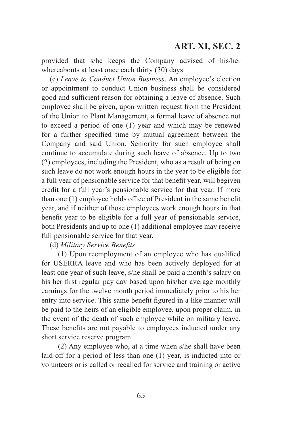provided that s/he keeps the Company advised of his/her whereabouts at least once each thirty (30) days.

(c) *Leave to Conduct Union Business*. An employee's election or appointment to conduct Union business shall be considered good and sufficient reason for obtaining a leave of absence. Such employee shall be given, upon written request from the President of the Union to Plant Management, a formal leave of absence not to exceed a period of one (1) year and which may be renewed for a further specified time by mutual agreement between the Company and said Union. Seniority for such employee shall continue to accumulate during such leave of absence. Up to two (2) employees, including the President, who as a result of being on such leave do not work enough hours in the year to be eligible for a full year of pensionable service for that benefit year, will begiven credit for a full year's pensionable service for that year. If more than one (1) employee holds office of President in the same benefit year, and if neither of those employees work enough hours in that benefit year to be eligible for a full year of pensionable service, both Presidents and up to one (1) additional employee may receive full pensionable service for that year.

(d) *Military Service Benefits*

(1) Upon reemployment of an employee who has qualified for USERRA leave and who has been actively deployed for at least one year of such leave, s/he shall be paid a month's salary on his her first regular pay day based upon his/her average monthly earnings for the twelve month period immediately prior to his her entry into service. This same benefit figured in a like manner will be paid to the heirs of an eligible employee, upon proper claim, in the event of the death of such employee while on military leave. These benefits are not payable to employees inducted under any short service reserve program.

(2) Any employee who, at a time when s/he shall have been laid off for a period of less than one (1) year, is inducted into or volunteers or is called or recalled for service and training or active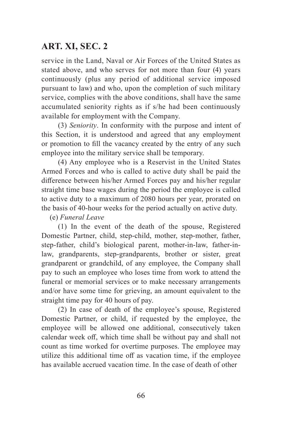service in the Land, Naval or Air Forces of the United States as stated above, and who serves for not more than four (4) years continuously (plus any period of additional service imposed pursuant to law) and who, upon the completion of such military service, complies with the above conditions, shall have the same accumulated seniority rights as if s/he had been continuously available for employment with the Company.

(3) *Seniority*. In conformity with the purpose and intent of this Section, it is understood and agreed that any employment or promotion to fill the vacancy created by the entry of any such employee into the military service shall be temporary.

(4) Any employee who is a Reservist in the United States Armed Forces and who is called to active duty shall be paid the difference between his/her Armed Forces pay and his/her regular straight time base wages during the period the employee is called to active duty to a maximum of 2080 hours per year, prorated on the basis of 40-hour weeks for the period actually on active duty.

#### (e) *Funeral Leave*

(1) In the event of the death of the spouse, Registered Domestic Partner, child, step-child, mother, step-mother, father, step-father, child's biological parent, mother-in-law, father-inlaw, grandparents, step-grandparents, brother or sister, great grandparent or grandchild, of any employee, the Company shall pay to such an employee who loses time from work to attend the funeral or memorial services or to make necessary arrangements and/or have some time for grieving, an amount equivalent to the straight time pay for 40 hours of pay.

(2) In case of death of the employee's spouse, Registered Domestic Partner, or child, if requested by the employee, the employee will be allowed one additional, consecutively taken calendar week off, which time shall be without pay and shall not count as time worked for overtime purposes. The employee may utilize this additional time off as vacation time, if the employee has available accrued vacation time. In the case of death of other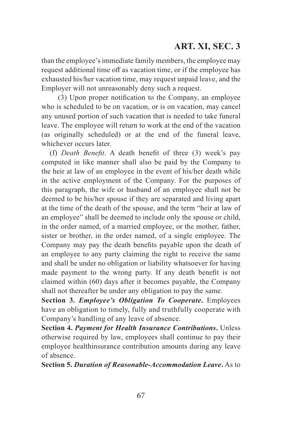than the employee's immediate family members, the employee may request additional time off as vacation time, or if the employee has exhausted his/her vacation time, may request unpaid leave, and the Employer will not unreasonably deny such a request.

(3) Upon proper notification to the Company, an employee who is scheduled to be on vacation, or is on vacation, may cancel any unused portion of such vacation that is needed to take funeral leave. The employee will return to work at the end of the vacation (as originally scheduled) or at the end of the funeral leave, whichever occurs later.

(f) *Death Benefit*. A death benefit of three (3) week's pay computed in like manner shall also be paid by the Company to the heir at law of an employee in the event of his/her death while in the active employment of the Company. For the purposes of this paragraph, the wife or husband of an employee shall not be deemed to be his/her spouse if they are separated and living apart at the time of the death of the spouse, and the term "heir at law of an employee" shall be deemed to include only the spouse or child, in the order named, of a married employee, or the mother, father, sister or brother, in the order named, of a single employee. The Company may pay the death benefits payable upon the death of an employee to any party claiming the right to receive the same and shall be under no obligation or liability whatsoever for having made payment to the wrong party. If any death benefit is not claimed within (60) days after it becomes payable, the Company shall not thereafter be under any obligation to pay the same.

**Section 3.** *Employee's Obligation To Cooperate***.** Employees have an obligation to timely, fully and truthfully cooperate with Company's handling of any leave of absence.

**Section 4.** *Payment for Health Insurance Contributions***.** Unless otherwise required by law, employees shall continue to pay their employee healthinsurance contribution amounts during any leave of absence.

**Section 5.** *Duration of Reasonable-Accommodation Leave***.** As to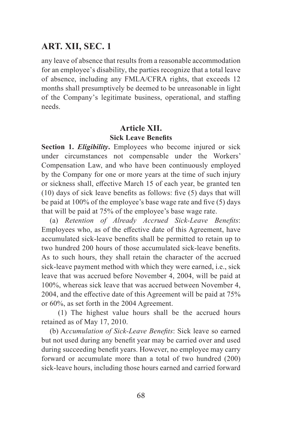any leave of absence that results from a reasonable accommodation for an employee's disability, the parties recognize that a total leave of absence, including any FMLA/CFRA rights, that exceeds 12 months shall presumptively be deemed to be unreasonable in light of the Company's legitimate business, operational, and staffing needs.

### **Article XII. Sick Leave Benefits**

**Section 1.** *Eligibility***.** Employees who become injured or sick under circumstances not compensable under the Workers' Compensation Law, and who have been continuously employed by the Company for one or more years at the time of such injury or sickness shall, effective March 15 of each year, be granted ten (10) days of sick leave benefits as follows: five (5) days that will be paid at 100% of the employee's base wage rate and five (5) days that will be paid at 75% of the employee's base wage rate.

(a) *Retention of Already Accrued Sick-Leave Benefits*: Employees who, as of the effective date of this Agreement, have accumulated sick-leave benefits shall be permitted to retain up to two hundred 200 hours of those accumulated sick-leave benefits. As to such hours, they shall retain the character of the accrued sick-leave payment method with which they were earned, i.e., sick leave that was accrued before November 4, 2004, will be paid at 100%, whereas sick leave that was accrued between November 4, 2004, and the effective date of this Agreement will be paid at 75% or 60%, as set forth in the 2004 Agreement.

(1) The highest value hours shall be the accrued hours retained as of May 17, 2010.

(b) A*ccumulation of Sick-Leave Benefits*: Sick leave so earned but not used during any benefit year may be carried over and used during succeeding benefit years. However, no employee may carry forward or accumulate more than a total of two hundred (200) sick-leave hours, including those hours earned and carried forward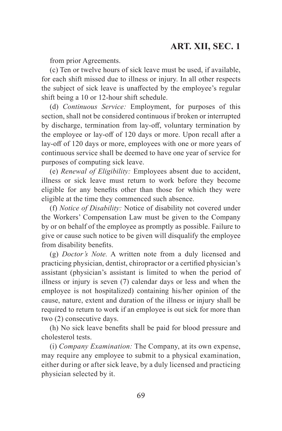from prior Agreements.

(c) Ten or twelve hours of sick leave must be used, if available, for each shift missed due to illness or injury. In all other respects the subject of sick leave is unaffected by the employee's regular shift being a 10 or 12-hour shift schedule.

(d) *Continuous Service:* Employment, for purposes of this section, shall not be considered continuous if broken or interrupted by discharge, termination from lay-off, voluntary termination by the employee or lay-off of 120 days or more. Upon recall after a lay-off of 120 days or more, employees with one or more years of continuous service shall be deemed to have one year of service for purposes of computing sick leave.

(e) *Renewal of Eligibility:* Employees absent due to accident, illness or sick leave must return to work before they become eligible for any benefits other than those for which they were eligible at the time they commenced such absence.

(f) *Notice of Disability:* Notice of disability not covered under the Workers' Compensation Law must be given to the Company by or on behalf of the employee as promptly as possible. Failure to give or cause such notice to be given will disqualify the employee from disability benefits.

(g) *Doctor's Note.* A written note from a duly licensed and practicing physician, dentist, chiropractor or a certified physician's assistant (physician's assistant is limited to when the period of illness or injury is seven (7) calendar days or less and when the employee is not hospitalized) containing his/her opinion of the cause, nature, extent and duration of the illness or injury shall be required to return to work if an employee is out sick for more than two (2) consecutive days.

(h) No sick leave benefits shall be paid for blood pressure and cholesterol tests.

(i) *Company Examination:* The Company, at its own expense, may require any employee to submit to a physical examination, either during or after sick leave, by a duly licensed and practicing physician selected by it.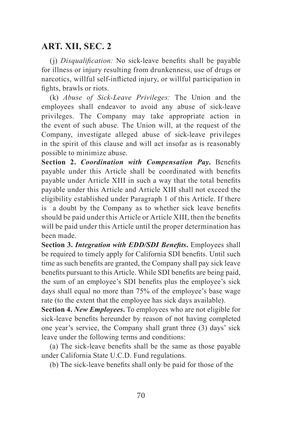(j) *Disqualification:* No sick-leave benefits shall be payable for illness or injury resulting from drunkenness, use of drugs or narcotics, willful self-inflicted injury, or willful participation in fights, brawls or riots.

(k) *Abuse of Sick-Leave Privileges:* The Union and the employees shall endeavor to avoid any abuse of sick-leave privileges. The Company may take appropriate action in the event of such abuse. The Union will, at the request of the Company, investigate alleged abuse of sick-leave privileges in the spirit of this clause and will act insofar as is reasonably possible to minimize abuse.

**Section 2.** *Coordination with Compensation Pay***.** Benefits payable under this Article shall be coordinated with benefits payable under Article XIII in such a way that the total benefits payable under this Article and Article XIII shall not exceed the eligibility established under Paragraph 1 of this Article. If there is a doubt by the Company as to whether sick leave benefits should be paid under this Article or Article XIII, then the benefits will be paid under this Article until the proper determination has been made.

**Section 3.** *Integration with EDD/SDI Benefits***.** Employees shall be required to timely apply for California SDI benefits. Until such time as such benefits are granted, the Company shall pay sick leave benefits pursuant to this Article. While SDI benefits are being paid, the sum of an employee's SDI benefits plus the employee's sick days shall equal no more than 75% of the employee's base wage rate (to the extent that the employee has sick days available).

**Section 4.** *New Employees***.** To employees who are not eligible for sick-leave benefits hereunder by reason of not having completed one year's service, the Company shall grant three (3) days' sick leave under the following terms and conditions:

(a) The sick-leave benefits shall be the same as those payable under California State U.C.D. Fund regulations.

(b) The sick-leave benefits shall only be paid for those of the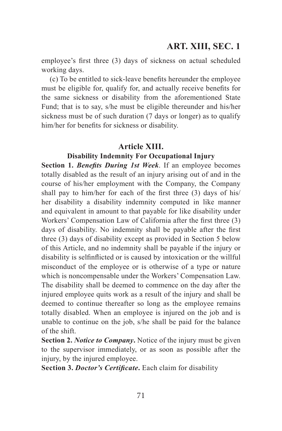employee's first three (3) days of sickness on actual scheduled working days.

(c) To be entitled to sick-leave benefits hereunder the employee must be eligible for, qualify for, and actually receive benefits for the same sickness or disability from the aforementioned State Fund; that is to say, s/he must be eligible thereunder and his/her sickness must be of such duration (7 days or longer) as to qualify him/her for benefits for sickness or disability.

#### **Article XIII.**

#### **Disability Indemnity For Occupational Injury**

**Section 1.** *Benefits During 1st Week*. If an employee becomes totally disabled as the result of an injury arising out of and in the course of his/her employment with the Company, the Company shall pay to him/her for each of the first three (3) days of his/ her disability a disability indemnity computed in like manner and equivalent in amount to that payable for like disability under Workers' Compensation Law of California after the first three (3) days of disability. No indemnity shall be payable after the first three (3) days of disability except as provided in Section 5 below of this Article, and no indemnity shall be payable if the injury or disability is selfinflicted or is caused by intoxication or the willful misconduct of the employee or is otherwise of a type or nature which is noncompensable under the Workers' Compensation Law. The disability shall be deemed to commence on the day after the injured employee quits work as a result of the injury and shall be deemed to continue thereafter so long as the employee remains totally disabled. When an employee is injured on the job and is unable to continue on the job, s/he shall be paid for the balance of the shift.

**Section 2.** *Notice to Company***.** Notice of the injury must be given to the supervisor immediately, or as soon as possible after the injury, by the injured employee.

**Section 3.** *Doctor's Certificate***.** Each claim for disability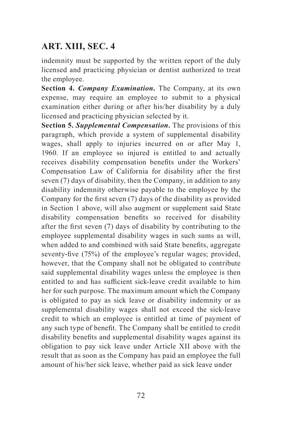indemnity must be supported by the written report of the duly licensed and practicing physician or dentist authorized to treat the employee.

**Section 4.** *Company Examination***.** The Company, at its own expense, may require an employee to submit to a physical examination either during or after his/her disability by a duly licensed and practicing physician selected by it.

**Section 5.** *Supplemental Compensation***.** The provisions of this paragraph, which provide a system of supplemental disability wages, shall apply to injuries incurred on or after May 1, 1960. If an employee so injured is entitled to and actually receives disability compensation benefits under the Workers' Compensation Law of California for disability after the first seven (7) days of disability, then the Company, in addition to any disability indemnity otherwise payable to the employee by the Company for the first seven (7) days of the disability as provided in Section 1 above, will also augment or supplement said State disability compensation benefits so received for disability after the first seven (7) days of disability by contributing to the employee supplemental disability wages in such sums as will, when added to and combined with said State benefits, aggregate seventy-five (75%) of the employee's regular wages; provided, however, that the Company shall not be obligated to contribute said supplemental disability wages unless the employee is then entitled to and has sufficient sick-leave credit available to him her for such purpose. The maximum amount which the Company is obligated to pay as sick leave or disability indemnity or as supplemental disability wages shall not exceed the sick-leave credit to which an employee is entitled at time of payment of any such type of benefit. The Company shall be entitled to credit disability benefits and supplemental disability wages against its obligation to pay sick leave under Article XII above with the result that as soon as the Company has paid an employee the full amount of his/her sick leave, whether paid as sick leave under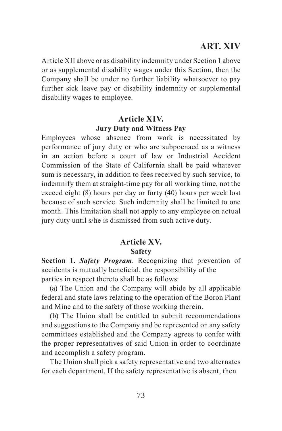### **ART. XIV**

Article XII above or as disability indemnity under Section 1 above or as supplemental disability wages under this Section, then the Company shall be under no further liability whatsoever to pay further sick leave pay or disability indemnity or supplemental disability wages to employee.

#### **Article XIV. Jury Duty and Witness Pay**

Employees whose absence from work is necessitated by performance of jury duty or who are subpoenaed as a witness in an action before a court of law or Industrial Accident Commission of the State of California shall be paid whatever sum is necessary, in addition to fees received by such service, to indemnify them at straight-time pay for all working time, not the exceed eight (8) hours per day or forty (40) hours per week lost because of such service. Such indemnity shall be limited to one month. This limitation shall not apply to any employee on actual jury duty until s/he is dismissed from such active duty.

#### **Article XV. Safety**

**Section 1.** *Safety Program*. Recognizing that prevention of accidents is mutually beneficial, the responsibility of the parties in respect thereto shall be as follows:

(a) The Union and the Company will abide by all applicable federal and state laws relating to the operation of the Boron Plant and Mine and to the safety of those working therein.

(b) The Union shall be entitled to submit recommendations and suggestions to the Company and be represented on any safety committees established and the Company agrees to confer with the proper representatives of said Union in order to coordinate and accomplish a safety program.

The Union shall pick a safety representative and two alternates for each department. If the safety representative is absent, then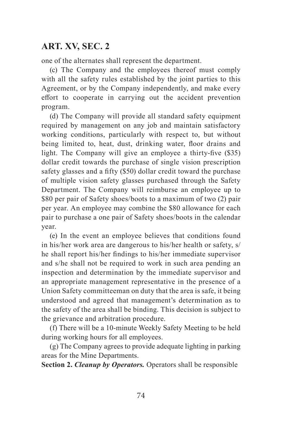one of the alternates shall represent the department.

(c) The Company and the employees thereof must comply with all the safety rules established by the joint parties to this Agreement, or by the Company independently, and make every effort to cooperate in carrying out the accident prevention program.

(d) The Company will provide all standard safety equipment required by management on any job and maintain satisfactory working conditions, particularly with respect to, but without being limited to, heat, dust, drinking water, floor drains and light. The Company will give an employee a thirty-five (\$35) dollar credit towards the purchase of single vision prescription safety glasses and a fifty (\$50) dollar credit toward the purchase of multiple vision safety glasses purchased through the Safety Department. The Company will reimburse an employee up to \$80 per pair of Safety shoes/boots to a maximum of two (2) pair per year. An employee may combine the \$80 allowance for each pair to purchase a one pair of Safety shoes/boots in the calendar year.

(e) In the event an employee believes that conditions found in his/her work area are dangerous to his/her health or safety, s/ he shall report his/her findings to his/her immediate supervisor and s/he shall not be required to work in such area pending an inspection and determination by the immediate supervisor and an appropriate management representative in the presence of a Union Safety committeeman on duty that the area is safe, it being understood and agreed that management's determination as to the safety of the area shall be binding. This decision is subject to the grievance and arbitration procedure.

(f) There will be a 10-minute Weekly Safety Meeting to be held during working hours for all employees.

(g) The Company agrees to provide adequate lighting in parking areas for the Mine Departments.

**Section 2.** *Cleanup by Operators.* Operators shall be responsible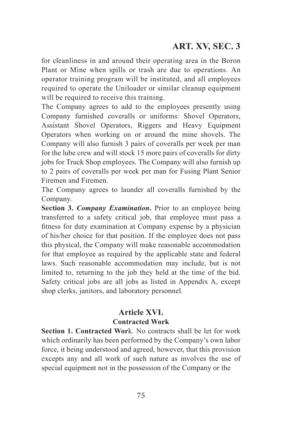for cleanliness in and around their operating area in the Boron Plant or Mine when spills or trash are due to operations. An operator training program will be instituted, and all employees required to operate the Uniloader or similar cleanup equipment will be required to receive this training.

The Company agrees to add to the employees presently using Company furnished coveralls or uniforms: Shovel Operators, Assistant Shovel Operators, Riggers and Heavy Equipment Operators when working on or around the mine shovels. The Company will also furnish 3 pairs of coveralls per week per man for the lube crew and will stock 15 more pairs of coveralls for dirty jobs for Truck Shop employees. The Company will also furnish up to 2 pairs of coveralls per week per man for Fusing Plant Senior Firemen and Firemen.

The Company agrees to launder all coveralls furnished by the Company.

**Section 3.** *Company Examination***.** Prior to an employee being transferred to a safety critical job, that employee must pass a fitness for duty examination at Company expense by a physician of his/her choice for that position. If the employee does not pass this physical, the Company will make reasonable accommodation for that employee as required by the applicable state and federal laws. Such reasonable accommodation may include, but is not limited to, returning to the job they held at the time of the bid. Safety critical jobs are all jobs as listed in Appendix A, except shop clerks, janitors, and laboratory personnel.

#### **Article XVI. Contracted Work**

**Section 1. Contracted Wor**k. No contracts shall be let for work which ordinarily has been performed by the Company's own labor force, it being understood and agreed, however, that this provision excepts any and all work of such nature as involves the use of special equipment not in the possession of the Company or the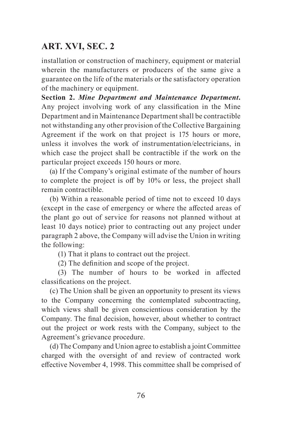installation or construction of machinery, equipment or material wherein the manufacturers or producers of the same give a guarantee on the life of the materials or the satisfactory operation of the machinery or equipment.

**Section 2.** *Mine Department and Maintenance Department***.** Any project involving work of any classification in the Mine Department and in Maintenance Department shall be contractible not withstanding any other provision of the Collective Bargaining Agreement if the work on that project is 175 hours or more, unless it involves the work of instrumentation/electricians, in which case the project shall be contractible if the work on the particular project exceeds 150 hours or more.

(a) If the Company's original estimate of the number of hours to complete the project is off by 10% or less, the project shall remain contractible.

(b) Within a reasonable period of time not to exceed 10 days (except in the case of emergency or where the affected areas of the plant go out of service for reasons not planned without at least 10 days notice) prior to contracting out any project under paragraph 2 above, the Company will advise the Union in writing the following:

(1) That it plans to contract out the project.

(2) The definition and scope of the project.

(3) The number of hours to be worked in affected classifications on the project.

(c) The Union shall be given an opportunity to present its views to the Company concerning the contemplated subcontracting, which views shall be given conscientious consideration by the Company. The final decision, however, about whether to contract out the project or work rests with the Company, subject to the Agreement's grievance procedure.

(d) The Company and Union agree to establish a joint Committee charged with the oversight of and review of contracted work effective November 4, 1998. This committee shall be comprised of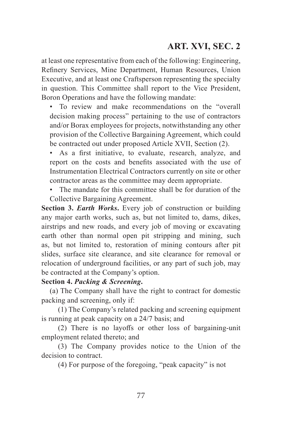at least one representative from each of the following: Engineering, Refinery Services, Mine Department, Human Resources, Union Executive, and at least one Craftsperson representing the specialty in question. This Committee shall report to the Vice President, Boron Operations and have the following mandate:

• To review and make recommendations on the "overall decision making process" pertaining to the use of contractors and/or Borax employees for projects, notwithstanding any other provision of the Collective Bargaining Agreement, which could be contracted out under proposed Article XVII, Section (2).

• As a first initiative, to evaluate, research, analyze, and report on the costs and benefits associated with the use of Instrumentation Electrical Contractors currently on site or other contractor areas as the committee may deem appropriate.

• The mandate for this committee shall be for duration of the Collective Bargaining Agreement.

**Section 3.** *Earth Works***.** Every job of construction or building any major earth works, such as, but not limited to, dams, dikes, airstrips and new roads, and every job of moving or excavating earth other than normal open pit stripping and mining, such as, but not limited to, restoration of mining contours after pit slides, surface site clearance, and site clearance for removal or relocation of underground facilities, or any part of such job, may be contracted at the Company's option.

#### **Section 4.** *Packing & Screening***.**

(a) The Company shall have the right to contract for domestic packing and screening, only if:

(1) The Company's related packing and screening equipment is running at peak capacity on a 24/7 basis; and

(2) There is no layoffs or other loss of bargaining-unit employment related thereto; and

(3) The Company provides notice to the Union of the decision to contract.

(4) For purpose of the foregoing, "peak capacity" is not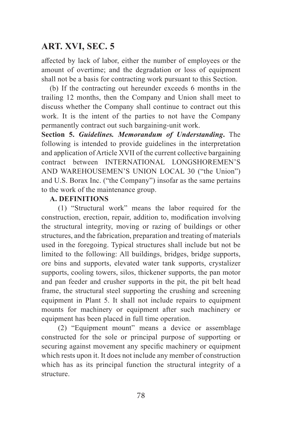affected by lack of labor, either the number of employees or the amount of overtime; and the degradation or loss of equipment shall not be a basis for contracting work pursuant to this Section.

(b) If the contracting out hereunder exceeds 6 months in the trailing 12 months, then the Company and Union shall meet to discuss whether the Company shall continue to contract out this work. It is the intent of the parties to not have the Company permanently contract out such bargaining-unit work.

**Section 5.** *Guidelines. Memorandum of Understanding***.** The following is intended to provide guidelines in the interpretation and application of Article XVII of the current collective bargaining contract between INTERNATIONAL LONGSHOREMEN'S AND WAREHOUSEMEN'S UNION LOCAL 30 ("the Union") and U.S. Borax Inc. ("the Company") insofar as the same pertains to the work of the maintenance group.

#### **A. DEFINITIONS**

(1) "Structural work" means the labor required for the construction, erection, repair, addition to, modification involving the structural integrity, moving or razing of buildings or other structures, and the fabrication, preparation and treating of materials used in the foregoing. Typical structures shall include but not be limited to the following: All buildings, bridges, bridge supports, ore bins and supports, elevated water tank supports, crystalizer supports, cooling towers, silos, thickener supports, the pan motor and pan feeder and crusher supports in the pit, the pit belt head frame, the structural steel supporting the crushing and screening equipment in Plant 5. It shall not include repairs to equipment mounts for machinery or equipment after such machinery or equipment has been placed in full time operation.

(2) "Equipment mount" means a device or assemblage constructed for the sole or principal purpose of supporting or securing against movement any specific machinery or equipment which rests upon it. It does not include any member of construction which has as its principal function the structural integrity of a structure.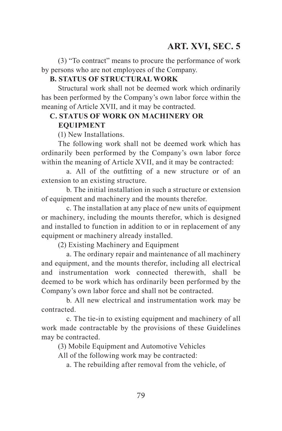(3) "To contract" means to procure the performance of work by persons who are not employees of the Company.

#### **B. STATUS OF STRUCTURAL WORK**

Structural work shall not be deemed work which ordinarily has been performed by the Company's own labor force within the meaning of Article XVII, and it may be contracted.

# **C. STATUS OF WORK ON MACHINERY OR**

### **EQUIPMENT**

(1) New Installations.

The following work shall not be deemed work which has ordinarily been performed by the Company's own labor force within the meaning of Article XVII, and it may be contracted:

a. All of the outfitting of a new structure or of an extension to an existing structure.

b. The initial installation in such a structure or extension of equipment and machinery and the mounts therefor.

c. The installation at any place of new units of equipment or machinery, including the mounts therefor, which is designed and installed to function in addition to or in replacement of any equipment or machinery already installed.

(2) Existing Machinery and Equipment

a. The ordinary repair and maintenance of all machinery and equipment, and the mounts therefor, including all electrical and instrumentation work connected therewith, shall be deemed to be work which has ordinarily been performed by the Company's own labor force and shall not be contracted.

b. All new electrical and instrumentation work may be contracted.

c. The tie-in to existing equipment and machinery of all work made contractable by the provisions of these Guidelines may be contracted.

(3) Mobile Equipment and Automotive Vehicles

All of the following work may be contracted:

a. The rebuilding after removal from the vehicle, of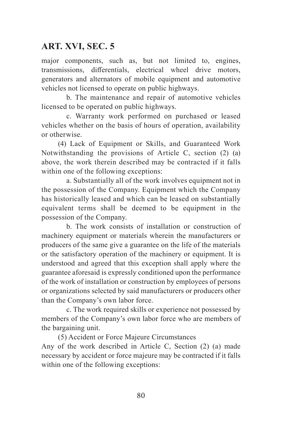major components, such as, but not limited to, engines, transmissions, differentials, electrical wheel drive motors, generators and alternators of mobile equipment and automotive vehicles not licensed to operate on public highways.

b. The maintenance and repair of automotive vehicles licensed to be operated on public highways.

c. Warranty work performed on purchased or leased vehicles whether on the basis of hours of operation, availability or otherwise.

(4) Lack of Equipment or Skills, and Guaranteed Work Notwithstanding the provisions of Article C, section (2) (a) above, the work therein described may be contracted if it falls within one of the following exceptions:

a. Substantially all of the work involves equipment not in the possession of the Company. Equipment which the Company has historically leased and which can be leased on substantially equivalent terms shall be deemed to be equipment in the possession of the Company.

b. The work consists of installation or construction of machinery equipment or materials wherein the manufacturers or producers of the same give a guarantee on the life of the materials or the satisfactory operation of the machinery or equipment. It is understood and agreed that this exception shall apply where the guarantee aforesaid is expressly conditioned upon the performance of the work of installation or construction by employees of persons or organizations selected by said manufacturers or producers other than the Company's own labor force.

c. The work required skills or experience not possessed by members of the Company's own labor force who are members of the bargaining unit.

(5) Accident or Force Majeure Circumstances Any of the work described in Article C, Section (2) (a) made necessary by accident or force majeure may be contracted if it falls within one of the following exceptions: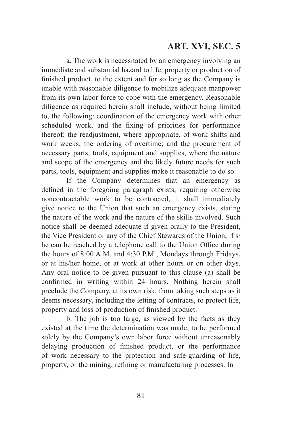a. The work is necessitated by an emergency involving an immediate and substantial hazard to life, property or production of finished product, to the extent and for so long as the Company is unable with reasonable diligence to mobilize adequate manpower from its own labor force to cope with the emergency. Reasonable diligence as required herein shall include, without being limited to, the following: coordination of the emergency work with other scheduled work, and the fixing of priorities for performance thereof; the readjustment, where appropriate, of work shifts and work weeks; the ordering of overtime; and the procurement of necessary parts, tools, equipment and supplies, where the nature and scope of the emergency and the likely future needs for such parts, tools, equipment and supplies make it reasonable to do so.

If the Company determines that an emergency as defined in the foregoing paragraph exists, requiring otherwise noncontractable work to be contracted, it shall immediately give notice to the Union that such an emergency exists, stating the nature of the work and the nature of the skills involved. Such notice shall be deemed adequate if given orally to the President, the Vice President or any of the Chief Stewards of the Union, if s/ he can be reached by a telephone call to the Union Office during the hours of 8:00 A.M. and 4:30 P.M., Mondays through Fridays, or at his/her home, or at work at other hours or on other days. Any oral notice to be given pursuant to this clause (a) shall be confirmed in writing within 24 hours. Nothing herein shall preclude the Company, at its own risk, from taking such steps as it deems necessary, including the letting of contracts, to protect life, property and loss of production of finished product.

b. The job is too large, as viewed by the facts as they existed at the time the determination was made, to be performed solely by the Company's own labor force without unreasonably delaying production of finished product, or the performance of work necessary to the protection and safe-guarding of life, property, or the mining, refining or manufacturing processes. In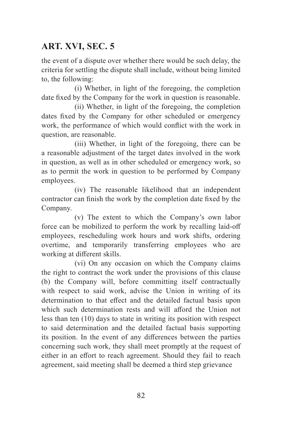the event of a dispute over whether there would be such delay, the criteria for settling the dispute shall include, without being limited to, the following:

(i) Whether, in light of the foregoing, the completion date fixed by the Company for the work in question is reasonable.

(ii) Whether, in light of the foregoing, the completion dates fixed by the Company for other scheduled or emergency work, the performance of which would conflict with the work in question, are reasonable.

(iii) Whether, in light of the foregoing, there can be a reasonable adjustment of the target dates involved in the work in question, as well as in other scheduled or emergency work, so as to permit the work in question to be performed by Company employees.

(iv) The reasonable likelihood that an independent contractor can finish the work by the completion date fixed by the Company.

(v) The extent to which the Company's own labor force can be mobilized to perform the work by recalling laid-off employees, rescheduling work hours and work shifts, ordering overtime, and temporarily transferring employees who are working at different skills.

(vi) On any occasion on which the Company claims the right to contract the work under the provisions of this clause (b) the Company will, before committing itself contractually with respect to said work, advise the Union in writing of its determination to that effect and the detailed factual basis upon which such determination rests and will afford the Union not less than ten (10) days to state in writing its position with respect to said determination and the detailed factual basis supporting its position. In the event of any differences between the parties concerning such work, they shall meet promptly at the request of either in an effort to reach agreement. Should they fail to reach agreement, said meeting shall be deemed a third step grievance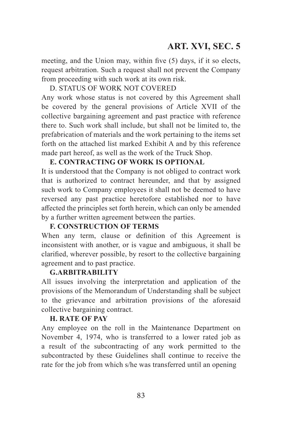meeting, and the Union may, within five (5) days, if it so elects, request arbitration. Such a request shall not prevent the Company from proceeding with such work at its own risk.

#### D. STATUS OF WORK NOT COVERED

Any work whose status is not covered by this Agreement shall be covered by the general provisions of Article XVII of the collective bargaining agreement and past practice with reference there to. Such work shall include, but shall not be limited to, the prefabrication of materials and the work pertaining to the items set forth on the attached list marked Exhibit A and by this reference made part hereof, as well as the work of the Truck Shop.

#### **E. CONTRACTING OF WORK IS OPTIONAL**

It is understood that the Company is not obliged to contract work that is authorized to contract hereunder, and that by assigned such work to Company employees it shall not be deemed to have reversed any past practice heretofore established nor to have affected the principles set forth herein, which can only be amended by a further written agreement between the parties.

#### **F. CONSTRUCTION OF TERMS**

When any term, clause or definition of this Agreement is inconsistent with another, or is vague and ambiguous, it shall be clarified, wherever possible, by resort to the collective bargaining agreement and to past practice.

#### **G.ARBITRABILITY**

All issues involving the interpretation and application of the provisions of the Memorandum of Understanding shall be subject to the grievance and arbitration provisions of the aforesaid collective bargaining contract.

#### **H. RATE OF PAY**

Any employee on the roll in the Maintenance Department on November 4, 1974, who is transferred to a lower rated job as a result of the subcontracting of any work permitted to the subcontracted by these Guidelines shall continue to receive the rate for the job from which s/he was transferred until an opening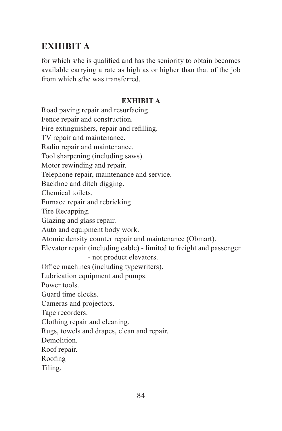# **EXHIBIT A**

for which s/he is qualified and has the seniority to obtain becomes available carrying a rate as high as or higher than that of the job from which s/he was transferred.

#### **EXHIBIT A**

Road paving repair and resurfacing. Fence repair and construction. Fire extinguishers, repair and refilling. TV repair and maintenance. Radio repair and maintenance. Tool sharpening (including saws). Motor rewinding and repair. Telephone repair, maintenance and service. Backhoe and ditch digging. Chemical toilets. Furnace repair and rebricking. Tire Recapping. Glazing and glass repair. Auto and equipment body work. Atomic density counter repair and maintenance (Obmart). Elevator repair (including cable) - limited to freight and passenger - not product elevators. Office machines (including typewriters). Lubrication equipment and pumps. Power tools. Guard time clocks. Cameras and projectors. Tape recorders. Clothing repair and cleaning. Rugs, towels and drapes, clean and repair. Demolition. Roof repair. Roofing

Tiling.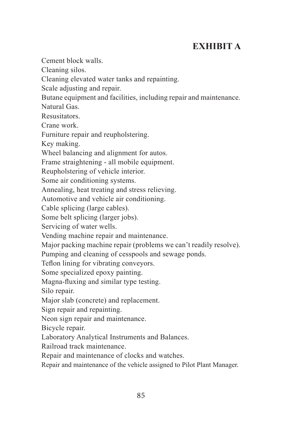# **EXHIBIT A**

Cement block walls.

Cleaning silos.

Cleaning elevated water tanks and repainting.

Scale adjusting and repair.

Butane equipment and facilities, including repair and maintenance.

Natural Gas.

Resusitators.

Crane work.

Furniture repair and reupholstering.

Key making.

Wheel balancing and alignment for autos.

Frame straightening - all mobile equipment.

Reupholstering of vehicle interior.

Some air conditioning systems.

Annealing, heat treating and stress relieving.

Automotive and vehicle air conditioning.

Cable splicing (large cables).

Some belt splicing (larger jobs).

Servicing of water wells.

Vending machine repair and maintenance.

Major packing machine repair (problems we can't readily resolve).

Pumping and cleaning of cesspools and sewage ponds.

Teflon lining for vibrating conveyors.

Some specialized epoxy painting.

Magna-fluxing and similar type testing.

Silo repair.

Major slab (concrete) and replacement.

Sign repair and repainting.

Neon sign repair and maintenance.

Bicycle repair.

Laboratory Analytical Instruments and Balances.

Railroad track maintenance.

Repair and maintenance of clocks and watches.

Repair and maintenance of the vehicle assigned to Pilot Plant Manager.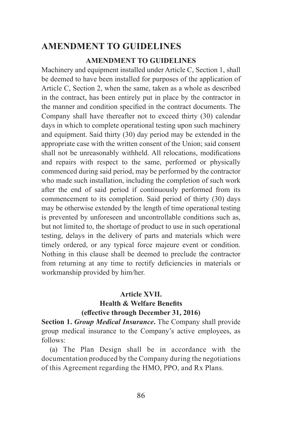### **AMENDMENT TO GUIDELINES**

#### **AMENDMENT TO GUIDELINES**

Machinery and equipment installed under Article C, Section 1, shall be deemed to have been installed for purposes of the application of Article C, Section 2, when the same, taken as a whole as described in the contract, has been entirely put in place by the contractor in the manner and condition specified in the contract documents. The Company shall have thereafter not to exceed thirty (30) calendar days in which to complete operational testing upon such machinery and equipment. Said thirty (30) day period may be extended in the appropriate case with the written consent of the Union; said consent shall not be unreasonably withheld. All relocations, modifications and repairs with respect to the same, performed or physically commenced during said period, may be performed by the contractor who made such installation, including the completion of such work after the end of said period if continuously performed from its commencement to its completion. Said period of thirty (30) days may be otherwise extended by the length of time operational testing is prevented by unforeseen and uncontrollable conditions such as, but not limited to, the shortage of product to use in such operational testing, delays in the delivery of parts and materials which were timely ordered, or any typical force majeure event or condition. Nothing in this clause shall be deemed to preclude the contractor from returning at any time to rectify deficiencies in materials or workmanship provided by him/her.

#### **Article XVII.**

#### **Health & Welfare Benefits (effective through December 31, 2016)**

**Section 1.** *Group Medical Insurance***.** The Company shall provide group medical insurance to the Company's active employees, as follows:

(a) The Plan Design shall be in accordance with the documentation produced by the Company during the negotiations of this Agreement regarding the HMO, PPO, and Rx Plans.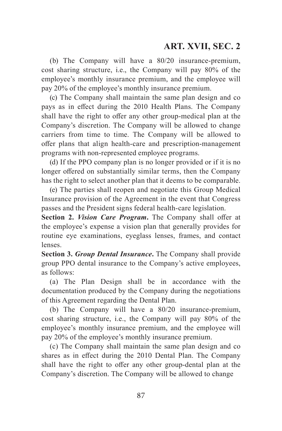(b) The Company will have a 80/20 insurance-premium, cost sharing structure, i.e., the Company will pay 80% of the employee's monthly insurance premium, and the employee will pay 20% of the employee's monthly insurance premium.

(c) The Company shall maintain the same plan design and co pays as in effect during the 2010 Health Plans. The Company shall have the right to offer any other group-medical plan at the Company's discretion. The Company will be allowed to change carriers from time to time. The Company will be allowed to offer plans that align health-care and prescription-management programs with non-represented employee programs.

(d) If the PPO company plan is no longer provided or if it is no longer offered on substantially similar terms, then the Company has the right to select another plan that it deems to be comparable.

(e) The parties shall reopen and negotiate this Group Medical Insurance provision of the Agreement in the event that Congress passes and the President signs federal health-care legislation.

**Section 2.** *Vision Care Program***.** The Company shall offer at the employee's expense a vision plan that generally provides for routine eye examinations, eyeglass lenses, frames, and contact lenses.

**Section 3.** *Group Dental Insurance***.** The Company shall provide group PPO dental insurance to the Company's active employees, as follows:

(a) The Plan Design shall be in accordance with the documentation produced by the Company during the negotiations of this Agreement regarding the Dental Plan.

(b) The Company will have a 80/20 insurance-premium, cost sharing structure, i.e., the Company will pay 80% of the employee's monthly insurance premium, and the employee will pay 20% of the employee's monthly insurance premium.

(c) The Company shall maintain the same plan design and co shares as in effect during the 2010 Dental Plan. The Company shall have the right to offer any other group-dental plan at the Company's discretion. The Company will be allowed to change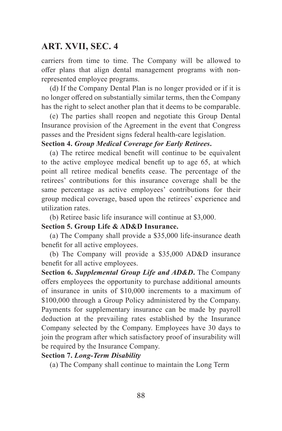carriers from time to time. The Company will be allowed to offer plans that align dental management programs with nonrepresented employee programs.

(d) If the Company Dental Plan is no longer provided or if it is no longer offered on substantially similar terms, then the Company has the right to select another plan that it deems to be comparable.

(e) The parties shall reopen and negotiate this Group Dental Insurance provision of the Agreement in the event that Congress passes and the President signs federal health-care legislation.

#### **Section 4.** *Group Medical Coverage for Early Retirees***.**

(a) The retiree medical benefit will continue to be equivalent to the active employee medical benefit up to age 65, at which point all retiree medical benefits cease. The percentage of the retirees' contributions for this insurance coverage shall be the same percentage as active employees' contributions for their group medical coverage, based upon the retirees' experience and utilization rates.

(b) Retiree basic life insurance will continue at \$3,000.

**Section 5. Group Life & AD&D Insurance.**

(a) The Company shall provide a \$35,000 life-insurance death benefit for all active employees.

(b) The Company will provide a \$35,000 AD&D insurance benefit for all active employees.

**Section 6.** *Supplemental Group Life and AD&D***.** The Company offers employees the opportunity to purchase additional amounts of insurance in units of \$10,000 increments to a maximum of \$100,000 through a Group Policy administered by the Company. Payments for supplementary insurance can be made by payroll deduction at the prevailing rates established by the Insurance Company selected by the Company. Employees have 30 days to join the program after which satisfactory proof of insurability will be required by the Insurance Company.

#### **Section 7.** *Long-Term Disability*

(a) The Company shall continue to maintain the Long Term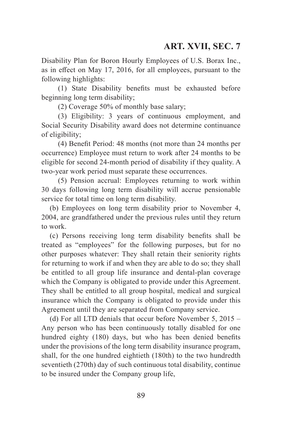Disability Plan for Boron Hourly Employees of U.S. Borax Inc., as in effect on May 17, 2016, for all employees, pursuant to the following highlights:

(1) State Disability benefits must be exhausted before beginning long term disability;

(2) Coverage 50% of monthly base salary;

(3) Eligibility: 3 years of continuous employment, and Social Security Disability award does not determine continuance of eligibility;

(4) Benefit Period: 48 months (not more than 24 months per occurrence) Employee must return to work after 24 months to be eligible for second 24-month period of disability if they quality. A two-year work period must separate these occurrences.

(5) Pension accrual: Employees returning to work within 30 days following long term disability will accrue pensionable service for total time on long term disability.

(b) Employees on long term disability prior to November 4, 2004, are grandfathered under the previous rules until they return to work.

(c) Persons receiving long term disability benefits shall be treated as "employees" for the following purposes, but for no other purposes whatever: They shall retain their seniority rights for returning to work if and when they are able to do so; they shall be entitled to all group life insurance and dental-plan coverage which the Company is obligated to provide under this Agreement. They shall be entitled to all group hospital, medical and surgical insurance which the Company is obligated to provide under this Agreement until they are separated from Company service.

(d) For all LTD denials that occur before November 5, 2015 – Any person who has been continuously totally disabled for one hundred eighty (180) days, but who has been denied benefits under the provisions of the long term disability insurance program, shall, for the one hundred eightieth (180th) to the two hundredth seventieth (270th) day of such continuous total disability, continue to be insured under the Company group life,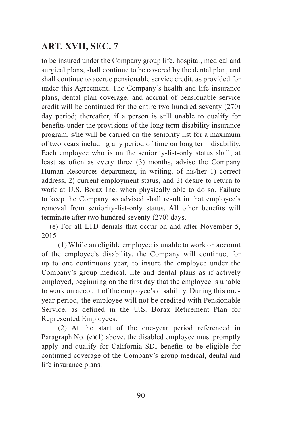to be insured under the Company group life, hospital, medical and surgical plans, shall continue to be covered by the dental plan, and shall continue to accrue pensionable service credit, as provided for under this Agreement. The Company's health and life insurance plans, dental plan coverage, and accrual of pensionable service credit will be continued for the entire two hundred seventy (270) day period; thereafter, if a person is still unable to qualify for benefits under the provisions of the long term disability insurance program, s/he will be carried on the seniority list for a maximum of two years including any period of time on long term disability. Each employee who is on the seniority-list-only status shall, at least as often as every three (3) months, advise the Company Human Resources department, in writing, of his/her 1) correct address, 2) current employment status, and 3) desire to return to work at U.S. Borax Inc. when physically able to do so. Failure to keep the Company so advised shall result in that employee's removal from seniority-list-only status. All other benefits will terminate after two hundred seventy (270) days.

(e) For all LTD denials that occur on and after November 5,  $2015 -$ 

(1) While an eligible employee is unable to work on account of the employee's disability, the Company will continue, for up to one continuous year, to insure the employee under the Company's group medical, life and dental plans as if actively employed, beginning on the first day that the employee is unable to work on account of the employee's disability. During this oneyear period, the employee will not be credited with Pensionable Service, as defined in the U.S. Borax Retirement Plan for Represented Employees.

(2) At the start of the one-year period referenced in Paragraph No. (e)(1) above, the disabled employee must promptly apply and qualify for California SDI benefits to be eligible for continued coverage of the Company's group medical, dental and life insurance plans.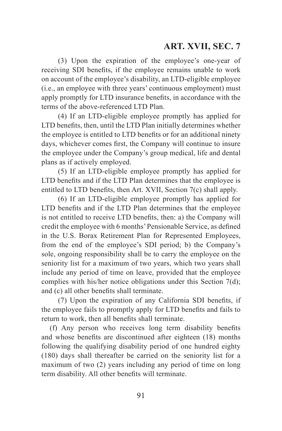(3) Upon the expiration of the employee's one-year of receiving SDI benefits, if the employee remains unable to work on account of the employee's disability, an LTD-eligible employee (i.e., an employee with three years' continuous employment) must apply promptly for LTD insurance benefits, in accordance with the terms of the above-referenced LTD Plan.

(4) If an LTD-eligible employee promptly has applied for LTD benefits, then, until the LTD Plan initially determines whether the employee is entitled to LTD benefits or for an additional ninety days, whichever comes first, the Company will continue to insure the employee under the Company's group medical, life and dental plans as if actively employed.

(5) If an LTD-eligible employee promptly has applied for LTD benefits and if the LTD Plan determines that the employee is entitled to LTD benefits, then Art. XVII, Section 7(c) shall apply.

(6) If an LTD-eligible employee promptly has applied for LTD benefits and if the LTD Plan determines that the employee is not entitled to receive LTD benefits, then: a) the Company will credit the employee with 6 months' Pensionable Service, as defined in the U.S. Borax Retirement Plan for Represented Employees, from the end of the employee's SDI period; b) the Company's sole, ongoing responsibility shall be to carry the employee on the seniority list for a maximum of two years, which two years shall include any period of time on leave, provided that the employee complies with his/her notice obligations under this Section 7(d); and (c) all other benefits shall terminate.

(7) Upon the expiration of any California SDI benefits, if the employee fails to promptly apply for LTD benefits and fails to return to work, then all benefits shall terminate.

(f) Any person who receives long term disability benefits and whose benefits are discontinued after eighteen (18) months following the qualifying disability period of one hundred eighty (180) days shall thereafter be carried on the seniority list for a maximum of two (2) years including any period of time on long term disability. All other benefits will terminate.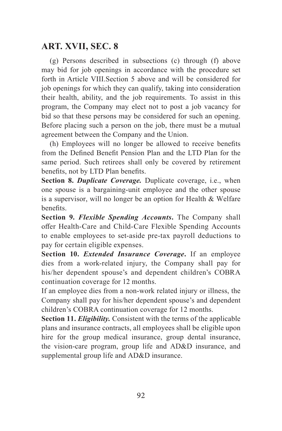(g) Persons described in subsections (c) through (f) above may bid for job openings in accordance with the procedure set forth in Article VIII.Section 5 above and will be considered for job openings for which they can qualify, taking into consideration their health, ability, and the job requirements. To assist in this program, the Company may elect not to post a job vacancy for bid so that these persons may be considered for such an opening. Before placing such a person on the job, there must be a mutual agreement between the Company and the Union.

(h) Employees will no longer be allowed to receive benefits from the Defined Benefit Pension Plan and the LTD Plan for the same period. Such retirees shall only be covered by retirement benefits, not by LTD Plan benefits.

**Section 8.** *Duplicate Coverage.* Duplicate coverage, i.e., when one spouse is a bargaining-unit employee and the other spouse is a supervisor, will no longer be an option for Health & Welfare benefits.

**Section 9.** *Flexible Spending Accounts***.** The Company shall offer Health-Care and Child-Care Flexible Spending Accounts to enable employees to set-aside pre-tax payroll deductions to pay for certain eligible expenses.

**Section 10.** *Extended Insurance Coverage***.** If an employee dies from a work-related injury, the Company shall pay for his/her dependent spouse's and dependent children's COBRA continuation coverage for 12 months.

If an employee dies from a non-work related injury or illness, the Company shall pay for his/her dependent spouse's and dependent children's COBRA continuation coverage for 12 months.

**Section 11.** *Eligibility.* Consistent with the terms of the applicable plans and insurance contracts, all employees shall be eligible upon hire for the group medical insurance, group dental insurance, the vision-care program, group life and AD&D insurance, and supplemental group life and AD&D insurance.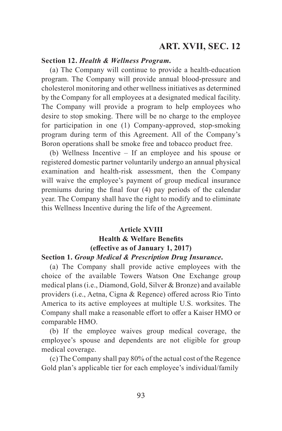#### **Section 12.** *Health & Wellness Program.*

(a) The Company will continue to provide a health-education program. The Company will provide annual blood-pressure and cholesterol monitoring and other wellness initiatives as determined by the Company for all employees at a designated medical facility. The Company will provide a program to help employees who desire to stop smoking. There will be no charge to the employee for participation in one (1) Company-approved, stop-smoking program during term of this Agreement. All of the Company's Boron operations shall be smoke free and tobacco product free.

(b) Wellness Incentive – If an employee and his spouse or registered domestic partner voluntarily undergo an annual physical examination and health-risk assessment, then the Company will waive the employee's payment of group medical insurance premiums during the final four (4) pay periods of the calendar year. The Company shall have the right to modify and to eliminate this Wellness Incentive during the life of the Agreement.

#### **Article XVIII Health & Welfare Benefits (effective as of January 1, 2017) Section 1.** *Group Medical & Prescription Drug Insurance***.**

# (a) The Company shall provide active employees with the

choice of the available Towers Watson One Exchange group medical plans (i.e., Diamond, Gold, Silver & Bronze) and available providers (i.e., Aetna, Cigna & Regence) offered across Rio Tinto America to its active employees at multiple U.S. worksites. The Company shall make a reasonable effort to offer a Kaiser HMO or comparable HMO.

(b) If the employee waives group medical coverage, the employee's spouse and dependents are not eligible for group medical coverage.

(c) The Company shall pay 80% of the actual cost of the Regence Gold plan's applicable tier for each employee's individual/family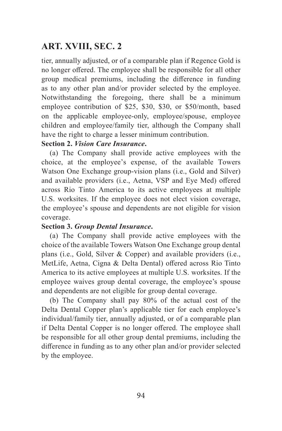tier, annually adjusted, or of a comparable plan if Regence Gold is no longer offered. The employee shall be responsible for all other group medical premiums, including the difference in funding as to any other plan and/or provider selected by the employee. Notwithstanding the foregoing, there shall be a minimum employee contribution of \$25, \$30, \$30, or \$50/month, based on the applicable employee-only, employee/spouse, employee children and employee/family tier, although the Company shall have the right to charge a lesser minimum contribution.

#### **Section 2.** *Vision Care Insurance***.**

(a) The Company shall provide active employees with the choice, at the employee's expense, of the available Towers Watson One Exchange group-vision plans (i.e., Gold and Silver) and available providers (i.e., Aetna, VSP and Eye Med) offered across Rio Tinto America to its active employees at multiple U.S. worksites. If the employee does not elect vision coverage, the employee's spouse and dependents are not eligible for vision coverage.

#### **Section 3.** *Group Dental Insurance***.**

(a) The Company shall provide active employees with the choice of the available Towers Watson One Exchange group dental plans (i.e., Gold, Silver & Copper) and available providers (i.e., MetLife, Aetna, Cigna & Delta Dental) offered across Rio Tinto America to its active employees at multiple U.S. worksites. If the employee waives group dental coverage, the employee's spouse and dependents are not eligible for group dental coverage.

(b) The Company shall pay 80% of the actual cost of the Delta Dental Copper plan's applicable tier for each employee's individual/family tier, annually adjusted, or of a comparable plan if Delta Dental Copper is no longer offered. The employee shall be responsible for all other group dental premiums, including the difference in funding as to any other plan and/or provider selected by the employee.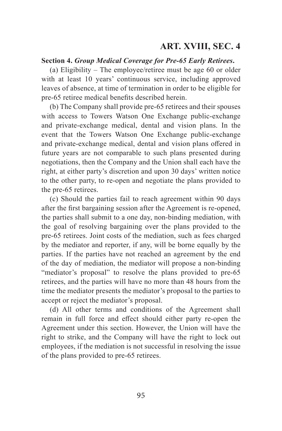#### **Section 4.** *Group Medical Coverage for Pre-65 Early Retirees***.**

(a) Eligibility – The employee/retiree must be age 60 or older with at least 10 years' continuous service, including approved leaves of absence, at time of termination in order to be eligible for pre-65 retiree medical benefits described herein.

(b) The Company shall provide pre-65 retirees and their spouses with access to Towers Watson One Exchange public-exchange and private-exchange medical, dental and vision plans. In the event that the Towers Watson One Exchange public-exchange and private-exchange medical, dental and vision plans offered in future years are not comparable to such plans presented during negotiations, then the Company and the Union shall each have the right, at either party's discretion and upon 30 days' written notice to the other party, to re-open and negotiate the plans provided to the pre-65 retirees.

(c) Should the parties fail to reach agreement within 90 days after the first bargaining session after the Agreement is re-opened, the parties shall submit to a one day, non-binding mediation, with the goal of resolving bargaining over the plans provided to the pre-65 retirees. Joint costs of the mediation, such as fees charged by the mediator and reporter, if any, will be borne equally by the parties. If the parties have not reached an agreement by the end of the day of mediation, the mediator will propose a non-binding "mediator's proposal" to resolve the plans provided to pre-65 retirees, and the parties will have no more than 48 hours from the time the mediator presents the mediator's proposal to the parties to accept or reject the mediator's proposal.

(d) All other terms and conditions of the Agreement shall remain in full force and effect should either party re-open the Agreement under this section. However, the Union will have the right to strike, and the Company will have the right to lock out employees, if the mediation is not successful in resolving the issue of the plans provided to pre-65 retirees.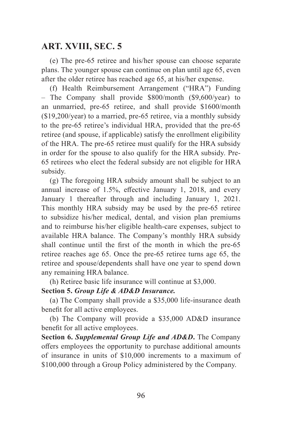(e) The pre-65 retiree and his/her spouse can choose separate plans. The younger spouse can continue on plan until age 65, even after the older retiree has reached age 65, at his/her expense.

(f) Health Reimbursement Arrangement ("HRA") Funding – The Company shall provide \$800/month (\$9,600/year) to an unmarried, pre-65 retiree, and shall provide \$1600/month (\$19,200/year) to a married, pre-65 retiree, via a monthly subsidy to the pre-65 retiree's individual HRA, provided that the pre-65 retiree (and spouse, if applicable) satisfy the enrollment eligibility of the HRA. The pre-65 retiree must qualify for the HRA subsidy in order for the spouse to also qualify for the HRA subsidy. Pre-65 retirees who elect the federal subsidy are not eligible for HRA subsidy.

(g) The foregoing HRA subsidy amount shall be subject to an annual increase of 1.5%, effective January 1, 2018, and every January 1 thereafter through and including January 1, 2021. This monthly HRA subsidy may be used by the pre-65 retiree to subsidize his/her medical, dental, and vision plan premiums and to reimburse his/her eligible health-care expenses, subject to available HRA balance. The Company's monthly HRA subsidy shall continue until the first of the month in which the pre-65 retiree reaches age 65. Once the pre-65 retiree turns age 65, the retiree and spouse/dependents shall have one year to spend down any remaining HRA balance.

(h) Retiree basic life insurance will continue at \$3,000.

#### **Section 5.** *Group Life & AD&D Insurance.*

(a) The Company shall provide a \$35,000 life-insurance death benefit for all active employees.

(b) The Company will provide a \$35,000 AD&D insurance benefit for all active employees.

**Section 6.** *Supplemental Group Life and AD&D***.** The Company offers employees the opportunity to purchase additional amounts of insurance in units of \$10,000 increments to a maximum of \$100,000 through a Group Policy administered by the Company.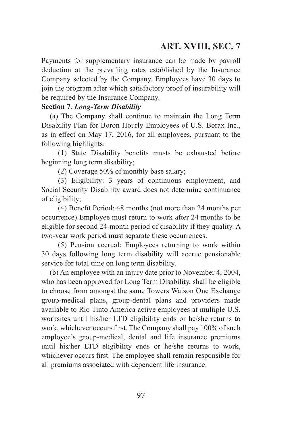Payments for supplementary insurance can be made by payroll deduction at the prevailing rates established by the Insurance Company selected by the Company. Employees have 30 days to join the program after which satisfactory proof of insurability will be required by the Insurance Company.

#### **Section 7.** *Long-Term Disability*

(a) The Company shall continue to maintain the Long Term Disability Plan for Boron Hourly Employees of U.S. Borax Inc., as in effect on May 17, 2016, for all employees, pursuant to the following highlights:

(1) State Disability benefits musts be exhausted before beginning long term disability;

(2) Coverage 50% of monthly base salary;

(3) Eligibility: 3 years of continuous employment, and Social Security Disability award does not determine continuance of eligibility;

(4) Benefit Period: 48 months (not more than 24 months per occurrence) Employee must return to work after 24 months to be eligible for second 24-month period of disability if they quality. A two-year work period must separate these occurrences.

(5) Pension accrual: Employees returning to work within 30 days following long term disability will accrue pensionable service for total time on long term disability.

(b) An employee with an injury date prior to November 4, 2004, who has been approved for Long Term Disability, shall be eligible to choose from amongst the same Towers Watson One Exchange group-medical plans, group-dental plans and providers made available to Rio Tinto America active employees at multiple U.S. worksites until his/her LTD eligibility ends or he/she returns to work, whichever occurs first. The Company shall pay 100% of such employee's group-medical, dental and life insurance premiums until his/her LTD eligibility ends or he/she returns to work, whichever occurs first. The employee shall remain responsible for all premiums associated with dependent life insurance.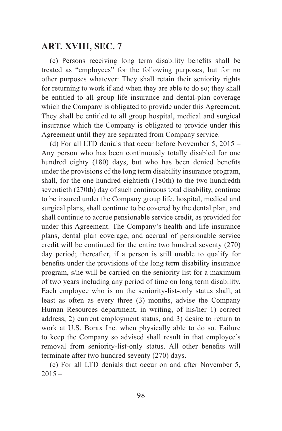(c) Persons receiving long term disability benefits shall be treated as "employees" for the following purposes, but for no other purposes whatever: They shall retain their seniority rights for returning to work if and when they are able to do so; they shall be entitled to all group life insurance and dental-plan coverage which the Company is obligated to provide under this Agreement. They shall be entitled to all group hospital, medical and surgical insurance which the Company is obligated to provide under this Agreement until they are separated from Company service.

(d) For all LTD denials that occur before November 5, 2015 – Any person who has been continuously totally disabled for one hundred eighty (180) days, but who has been denied benefits under the provisions of the long term disability insurance program, shall, for the one hundred eightieth (180th) to the two hundredth seventieth (270th) day of such continuous total disability, continue to be insured under the Company group life, hospital, medical and surgical plans, shall continue to be covered by the dental plan, and shall continue to accrue pensionable service credit, as provided for under this Agreement. The Company's health and life insurance plans, dental plan coverage, and accrual of pensionable service credit will be continued for the entire two hundred seventy (270) day period; thereafter, if a person is still unable to qualify for benefits under the provisions of the long term disability insurance program, s/he will be carried on the seniority list for a maximum of two years including any period of time on long term disability. Each employee who is on the seniority-list-only status shall, at least as often as every three (3) months, advise the Company Human Resources department, in writing, of his/her 1) correct address, 2) current employment status, and 3) desire to return to work at U.S. Borax Inc. when physically able to do so. Failure to keep the Company so advised shall result in that employee's removal from seniority-list-only status. All other benefits will terminate after two hundred seventy (270) days.

(e) For all LTD denials that occur on and after November 5,  $2015 -$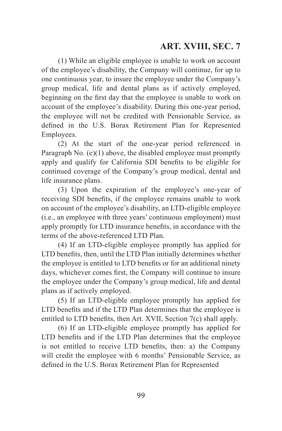# **ART. XVIII, SEC. 7**

(1) While an eligible employee is unable to work on account of the employee's disability, the Company will continue, for up to one continuous year, to insure the employee under the Company's group medical, life and dental plans as if actively employed, beginning on the first day that the employee is unable to work on account of the employee's disability. During this one-year period, the employee will not be credited with Pensionable Service, as defined in the U.S. Borax Retirement Plan for Represented Employees.

(2) At the start of the one-year period referenced in Paragraph No. (e)(1) above, the disabled employee must promptly apply and qualify for California SDI benefits to be eligible for continued coverage of the Company's group medical, dental and life insurance plans.

(3) Upon the expiration of the employee's one-year of receiving SDI benefits, if the employee remains unable to work on account of the employee's disability, an LTD-eligible employee (i.e., an employee with three years' continuous employment) must apply promptly for LTD insurance benefits, in accordance with the terms of the above-referenced LTD Plan.

(4) If an LTD-eligible employee promptly has applied for LTD benefits, then, until the LTD Plan initially determines whether the employee is entitled to LTD benefits or for an additional ninety days, whichever comes first, the Company will continue to insure the employee under the Company's group medical, life and dental plans as if actively employed.

(5) If an LTD-eligible employee promptly has applied for LTD benefits and if the LTD Plan determines that the employee is entitled to LTD benefits, then Art. XVII, Section 7(c) shall apply.

(6) If an LTD-eligible employee promptly has applied for LTD benefits and if the LTD Plan determines that the employee is not entitled to receive LTD benefits, then: a) the Company will credit the employee with 6 months' Pensionable Service, as defined in the U.S. Borax Retirement Plan for Represented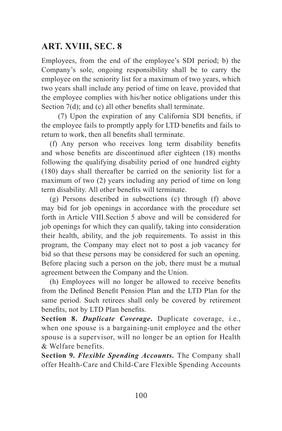# **ART. XVIII, SEC. 8**

Employees, from the end of the employee's SDI period; b) the Company's sole, ongoing responsibility shall be to carry the employee on the seniority list for a maximum of two years, which two years shall include any period of time on leave, provided that the employee complies with his/her notice obligations under this Section 7(d); and (c) all other benefits shall terminate.

(7) Upon the expiration of any California SDI benefits, if the employee fails to promptly apply for LTD benefits and fails to return to work, then all benefits shall terminate.

(f) Any person who receives long term disability benefits and whose benefits are discontinued after eighteen (18) months following the qualifying disability period of one hundred eighty (180) days shall thereafter be carried on the seniority list for a maximum of two (2) years including any period of time on long term disability. All other benefits will terminate.

(g) Persons described in subsections (c) through (f) above may bid for job openings in accordance with the procedure set forth in Article VIII.Section 5 above and will be considered for job openings for which they can qualify, taking into consideration their health, ability, and the job requirements. To assist in this program, the Company may elect not to post a job vacancy for bid so that these persons may be considered for such an opening. Before placing such a person on the job, there must be a mutual agreement between the Company and the Union.

(h) Employees will no longer be allowed to receive benefits from the Defined Benefit Pension Plan and the LTD Plan for the same period. Such retirees shall only be covered by retirement benefits, not by LTD Plan benefits.

**Section 8.** *Duplicate Coverage***.** Duplicate coverage, i.e., when one spouse is a bargaining-unit employee and the other spouse is a supervisor, will no longer be an option for Health & Welfare benefits.

**Section 9.** *Flexible Spending Accounts.* The Company shall offer Health-Care and Child-Care Flexible Spending Accounts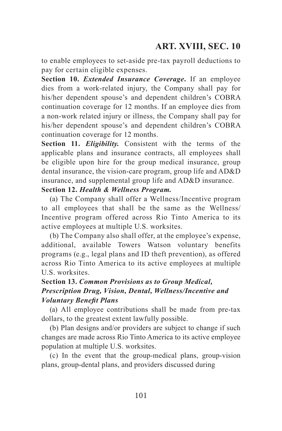to enable employees to set-aside pre-tax payroll deductions to pay for certain eligible expenses.

**Section 10.** *Extended Insurance Coverage***.** If an employee dies from a work-related injury, the Company shall pay for his/her dependent spouse's and dependent children's COBRA continuation coverage for 12 months. If an employee dies from a non-work related injury or illness, the Company shall pay for his/her dependent spouse's and dependent children's COBRA continuation coverage for 12 months.

**Section 11.** *Eligibility.* Consistent with the terms of the applicable plans and insurance contracts, all employees shall be eligible upon hire for the group medical insurance, group dental insurance, the vision-care program, group life and AD&D insurance, and supplemental group life and AD&D insurance.

# **Section 12.** *Health & Wellness Program.*

(a) The Company shall offer a Wellness/Incentive program to all employees that shall be the same as the Wellness/ Incentive program offered across Rio Tinto America to its active employees at multiple U.S. worksites.

(b) The Company also shall offer, at the employee's expense, additional, available Towers Watson voluntary benefits programs (e.g., legal plans and ID theft prevention), as offered across Rio Tinto America to its active employees at multiple U.S. worksites.

#### **Section 13.** *Common Provisions as to Group Medical, Prescription Drug, Vision, Dental, Wellness/Incentive and Voluntary Benefit Plans*

(a) All employee contributions shall be made from pre-tax dollars, to the greatest extent lawfully possible.

(b) Plan designs and/or providers are subject to change if such changes are made across Rio Tinto America to its active employee population at multiple U.S. worksites.

(c) In the event that the group-medical plans, group-vision plans, group-dental plans, and providers discussed during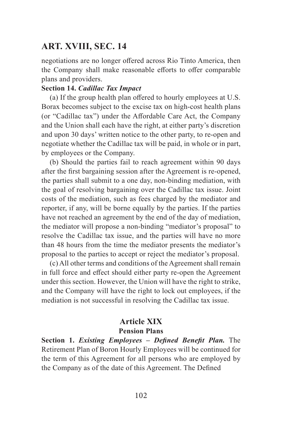### **ART. XVIII, SEC. 14**

negotiations are no longer offered across Rio Tinto America, then the Company shall make reasonable efforts to offer comparable plans and providers.

#### **Section 14.** *Cadillac Tax Impact*

(a) If the group health plan offered to hourly employees at U.S. Borax becomes subject to the excise tax on high-cost health plans (or "Cadillac tax") under the Affordable Care Act, the Company and the Union shall each have the right, at either party's discretion and upon 30 days' written notice to the other party, to re-open and negotiate whether the Cadillac tax will be paid, in whole or in part, by employees or the Company.

(b) Should the parties fail to reach agreement within 90 days after the first bargaining session after the Agreement is re-opened, the parties shall submit to a one day, non-binding mediation, with the goal of resolving bargaining over the Cadillac tax issue. Joint costs of the mediation, such as fees charged by the mediator and reporter, if any, will be borne equally by the parties. If the parties have not reached an agreement by the end of the day of mediation, the mediator will propose a non-binding "mediator's proposal" to resolve the Cadillac tax issue, and the parties will have no more than 48 hours from the time the mediator presents the mediator's proposal to the parties to accept or reject the mediator's proposal.

(c) All other terms and conditions of the Agreement shall remain in full force and effect should either party re-open the Agreement under this section. However, the Union will have the right to strike, and the Company will have the right to lock out employees, if the mediation is not successful in resolving the Cadillac tax issue.

### **Article XIX**

#### **Pension Plans**

**Section 1.** *Existing Employees – Defined Benefit Plan.* The Retirement Plan of Boron Hourly Employees will be continued for the term of this Agreement for all persons who are employed by the Company as of the date of this Agreement. The Defined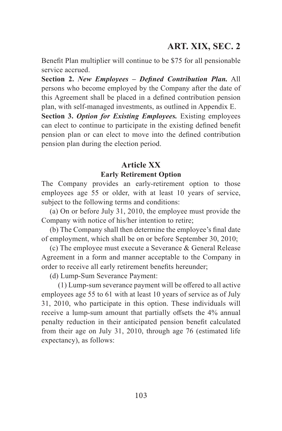# **ART. XIX, SEC. 2**

Benefit Plan multiplier will continue to be \$75 for all pensionable service accrued.

**Section 2.** *New Employees – Defined Contribution Plan.* All persons who become employed by the Company after the date of this Agreement shall be placed in a defined contribution pension plan, with self-managed investments, as outlined in Appendix E.

**Section 3.** *Option for Existing Employees.* Existing employees can elect to continue to participate in the existing defined benefit pension plan or can elect to move into the defined contribution pension plan during the election period.

### **Article XX Early Retirement Option**

The Company provides an early-retirement option to those employees age 55 or older, with at least 10 years of service, subject to the following terms and conditions:

(a) On or before July 31, 2010, the employee must provide the Company with notice of his/her intention to retire;

(b) The Company shall then determine the employee's final date of employment, which shall be on or before September 30, 2010;

(c) The employee must execute a Severance & General Release Agreement in a form and manner acceptable to the Company in order to receive all early retirement benefits hereunder;

(d) Lump-Sum Severance Payment:

(1) Lump-sum severance payment will be offered to all active employees age 55 to 61 with at least 10 years of service as of July 31, 2010, who participate in this option. These individuals will receive a lump-sum amount that partially offsets the 4% annual penalty reduction in their anticipated pension benefit calculated from their age on July 31, 2010, through age 76 (estimated life expectancy), as follows: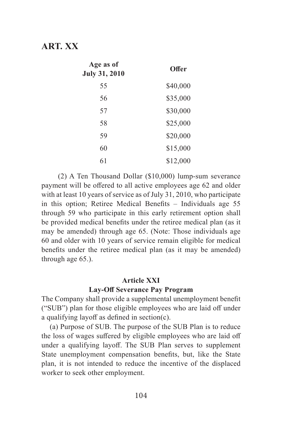| Age as of<br>July 31, 2010 | Offer    |
|----------------------------|----------|
| 55                         | \$40,000 |
| 56                         | \$35,000 |
| 57                         | \$30,000 |
| 58                         | \$25,000 |
| 59                         | \$20,000 |
| 60                         | \$15,000 |
| 61                         | \$12,000 |

(2) A Ten Thousand Dollar (\$10,000) lump-sum severance payment will be offered to all active employees age 62 and older with at least 10 years of service as of July 31, 2010, who participate in this option; Retiree Medical Benefits – Individuals age 55 through 59 who participate in this early retirement option shall be provided medical benefits under the retiree medical plan (as it may be amended) through age 65. (Note: Those individuals age 60 and older with 10 years of service remain eligible for medical benefits under the retiree medical plan (as it may be amended) through age 65.).

#### **Article XXI**

### **Lay-Off Severance Pay Program**

The Company shall provide a supplemental unemployment benefit ("SUB") plan for those eligible employees who are laid off under a qualifying layoff as defined in section(c).

(a) Purpose of SUB. The purpose of the SUB Plan is to reduce the loss of wages suffered by eligible employees who are laid off under a qualifying layoff. The SUB Plan serves to supplement State unemployment compensation benefits, but, like the State plan, it is not intended to reduce the incentive of the displaced worker to seek other employment.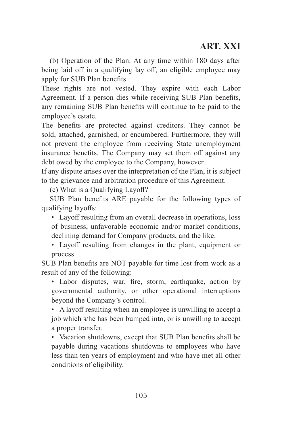(b) Operation of the Plan. At any time within 180 days after being laid off in a qualifying lay off, an eligible employee may apply for SUB Plan benefits.

These rights are not vested. They expire with each Labor Agreement. If a person dies while receiving SUB Plan benefits, any remaining SUB Plan benefits will continue to be paid to the employee's estate.

The benefits are protected against creditors. They cannot be sold, attached, garnished, or encumbered. Furthermore, they will not prevent the employee from receiving State unemployment insurance benefits. The Company may set them off against any debt owed by the employee to the Company, however.

If any dispute arises over the interpretation of the Plan, it is subject to the grievance and arbitration procedure of this Agreement.

(c) What is a Qualifying Layoff?

SUB Plan benefits ARE payable for the following types of qualifying layoffs:

• Layoff resulting from an overall decrease in operations, loss of business, unfavorable economic and/or market conditions, declining demand for Company products, and the like.

• Layoff resulting from changes in the plant, equipment or process.

SUB Plan benefits are NOT payable for time lost from work as a result of any of the following:

• Labor disputes, war, fire, storm, earthquake, action by governmental authority, or other operational interruptions beyond the Company's control.

• A layoff resulting when an employee is unwilling to accept a job which s/he has been bumped into, or is unwilling to accept a proper transfer.

• Vacation shutdowns, except that SUB Plan benefits shall be payable during vacations shutdowns to employees who have less than ten years of employment and who have met all other conditions of eligibility.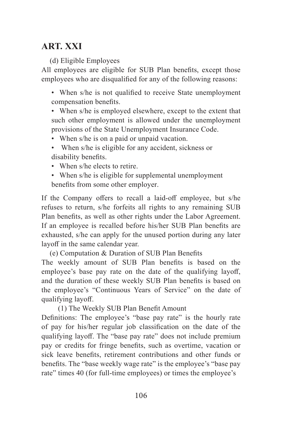(d) Eligible Employees

All employees are eligible for SUB Plan benefits, except those employees who are disqualified for any of the following reasons:

• When s/he is not qualified to receive State unemployment compensation benefits.

- When s/he is employed elsewhere, except to the extent that such other employment is allowed under the unemployment provisions of the State Unemployment Insurance Code.
- When s/he is on a paid or unpaid vacation.
- When s/he is eligible for any accident, sickness or disability benefits.
- When s/he elects to retire.
- When s/he is eligible for supplemental unemployment benefits from some other employer.

If the Company offers to recall a laid-off employee, but s/he refuses to return, s/he forfeits all rights to any remaining SUB Plan benefits, as well as other rights under the Labor Agreement. If an employee is recalled before his/her SUB Plan benefits are exhausted, s/he can apply for the unused portion during any later layoff in the same calendar year.

(e) Computation & Duration of SUB Plan Benefits

The weekly amount of SUB Plan benefits is based on the employee's base pay rate on the date of the qualifying layoff, and the duration of these weekly SUB Plan benefits is based on the employee's "Continuous Years of Service" on the date of qualifying layoff.

(1) The Weekly SUB Plan Benefit Amount

Definitions: The employee's "base pay rate" is the hourly rate of pay for his/her regular job classification on the date of the qualifying layoff. The "base pay rate" does not include premium pay or credits for fringe benefits, such as overtime, vacation or sick leave benefits, retirement contributions and other funds or benefits. The "base weekly wage rate" is the employee's "base pay rate" times 40 (for full-time employees) or times the employee's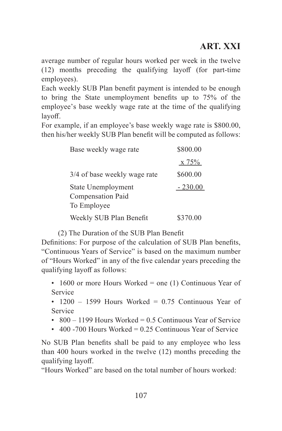average number of regular hours worked per week in the twelve (12) months preceding the qualifying layoff (for part-time employees).

Each weekly SUB Plan benefit payment is intended to be enough to bring the State unemployment benefits up to 75% of the employee's base weekly wage rate at the time of the qualifying layoff.

For example, if an employee's base weekly wage rate is \$800.00, then his/her weekly SUB Plan benefit will be computed as follows:

| Base weekly wage rate                                  | \$800.00  |
|--------------------------------------------------------|-----------|
|                                                        | x 75%     |
| 3/4 of base weekly wage rate                           | \$600.00  |
| State Unemployment<br>Compensation Paid<br>To Employee | $-230.00$ |
| Weekly SUB Plan Benefit                                | \$370.00  |

(2) The Duration of the SUB Plan Benefit

Definitions: For purpose of the calculation of SUB Plan benefits, "Continuous Years of Service" is based on the maximum number of "Hours Worked" in any of the five calendar years preceding the qualifying layoff as follows:

- 1600 or more Hours Worked = one (1) Continuous Year of Service
- 1200 1599 Hours Worked = 0.75 Continuous Year of Service
- $800 1199$  Hours Worked = 0.5 Continuous Year of Service
- 400 -700 Hours Worked  $= 0.25$  Continuous Year of Service

No SUB Plan benefits shall be paid to any employee who less than 400 hours worked in the twelve (12) months preceding the qualifying layoff.

"Hours Worked" are based on the total number of hours worked: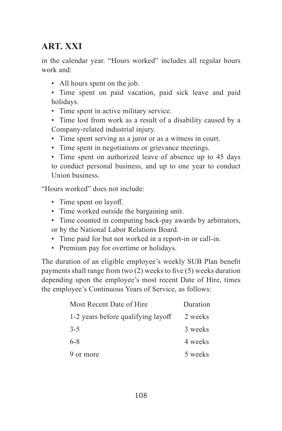in the calendar year. "Hours worked" includes all regular hours work and:

- All hours spent on the job.
- Time spent on paid vacation, paid sick leave and paid holidays.
- Time spent in active military service.
- Time lost from work as a result of a disability caused by a Company-related industrial injury.
- Time spent serving as a juror or as a witness in court.
- Time spent in negotiations or grievance meetings.

• Time spent on authorized leave of absence up to 45 days to conduct personal business, and up to one year to conduct Union business.

"Hours worked" does not include:

- Time spent on layoff.
- Time worked outside the bargaining unit.
- Time counted in computing back-pay awards by arbitrators, or by the National Labor Relations Board.
- Time paid for but not worked in a report-in or call-in.
- Premium pay for overtime or holidays.

The duration of an eligible employee's weekly SUB Plan benefit payments shall range from two (2) weeks to five (5) weeks duration depending upon the employee's most recent Date of Hire, times the employee's Continuous Years of Service, as follows:

| Most Recent Date of Hire           | Duration |
|------------------------------------|----------|
| 1-2 years before qualifying layoff | 2 weeks  |
| $3 - 5$                            | 3 weeks  |
| $6 - 8$                            | 4 weeks  |
| 9 or more                          | 5 weeks  |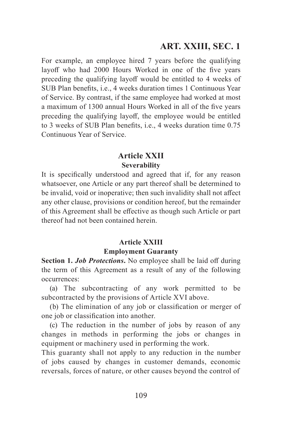## **ART. XXIII, SEC. 1**

For example, an employee hired 7 years before the qualifying layoff who had 2000 Hours Worked in one of the five years preceding the qualifying layoff would be entitled to 4 weeks of SUB Plan benefits, i.e., 4 weeks duration times 1 Continuous Year of Service. By contrast, if the same employee had worked at most a maximum of 1300 annual Hours Worked in all of the five years preceding the qualifying layoff, the employee would be entitled to 3 weeks of SUB Plan benefits, i.e., 4 weeks duration time 0.75 Continuous Year of Service.

### **Article XXII Severability**

It is specifically understood and agreed that if, for any reason whatsoever, one Article or any part thereof shall be determined to be invalid, void or inoperative; then such invalidity shall not affect any other clause, provisions or condition hereof, but the remainder of this Agreement shall be effective as though such Article or part thereof had not been contained herein.

### **Article XXIII Employment Guaranty**

**Section 1.** *Job Protections***.** No employee shall be laid off during the term of this Agreement as a result of any of the following occurrences:

(a) The subcontracting of any work permitted to be subcontracted by the provisions of Article XVI above.

(b) The elimination of any job or classification or merger of one job or classification into another.

(c) The reduction in the number of jobs by reason of any changes in methods in performing the jobs or changes in equipment or machinery used in performing the work.

This guaranty shall not apply to any reduction in the number of jobs caused by changes in customer demands, economic reversals, forces of nature, or other causes beyond the control of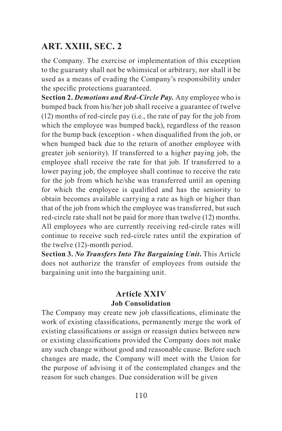## **ART. XXIII, SEC. 2**

the Company. The exercise or implementation of this exception to the guaranty shall not be whimsical or arbitrary, nor shall it be used as a means of evading the Company's responsibility under the specific protections guaranteed.

**Section 2.** *Demotions and Red-Circle Pay.* Any employee who is bumped back from his/her job shall receive a guarantee of twelve (12) months of red-circle pay (i.e., the rate of pay for the job from which the employee was bumped back), regardless of the reason for the bump back (exception - when disqualified from the job, or when bumped back due to the return of another employee with greater job seniority). If transferred to a higher paying job, the employee shall receive the rate for that job. If transferred to a lower paying job, the employee shall continue to receive the rate for the job from which he/she was transferred until an opening for which the employee is qualified and has the seniority to obtain becomes available carrying a rate as high or higher than that of the job from which the employee was transferred, but such red-circle rate shall not be paid for more than twelve (12) months. All employees who are currently receiving red-circle rates will continue to receive such red-circle rates until the expiration of the twelve (12)-month period.

**Section 3.** *No Transfers Into The Bargaining Unit***.** This Article does not authorize the transfer of employees from outside the bargaining unit into the bargaining unit.

#### **Article XXIV Job Consolidation**

The Company may create new job classifications, eliminate the work of existing classifications, permanently merge the work of existing classifications or assign or reassign duties between new or existing classifications provided the Company does not make any such change without good and reasonable cause. Before such changes are made, the Company will meet with the Union for the purpose of advising it of the contemplated changes and the reason for such changes. Due consideration will be given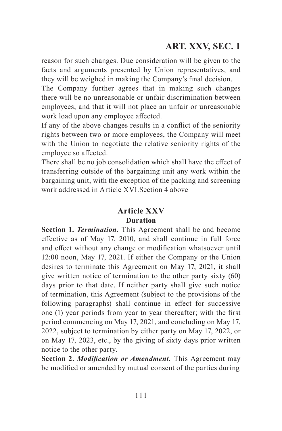# **ART. XXV, SEC. 1**

reason for such changes. Due consideration will be given to the facts and arguments presented by Union representatives, and they will be weighed in making the Company's final decision.

The Company further agrees that in making such changes there will be no unreasonable or unfair discrimination between employees, and that it will not place an unfair or unreasonable work load upon any employee affected.

If any of the above changes results in a conflict of the seniority rights between two or more employees, the Company will meet with the Union to negotiate the relative seniority rights of the employee so affected.

There shall be no job consolidation which shall have the effect of transferring outside of the bargaining unit any work within the bargaining unit, with the exception of the packing and screening work addressed in Article XVI.Section 4 above

#### **Article XXV Duration**

**Section 1.** *Termination.* This Agreement shall be and become effective as of May 17, 2010, and shall continue in full force and effect without any change or modification whatsoever until 12:00 noon, May 17, 2021. If either the Company or the Union desires to terminate this Agreement on May 17, 2021, it shall give written notice of termination to the other party sixty (60) days prior to that date. If neither party shall give such notice of termination, this Agreement (subject to the provisions of the following paragraphs) shall continue in effect for successive one (1) year periods from year to year thereafter; with the first period commencing on May 17, 2021, and concluding on May 17, 2022, subject to termination by either party on May 17, 2022, or on May 17, 2023, etc., by the giving of sixty days prior written notice to the other party.

**Section 2.** *Modification or Amendment.* This Agreement may be modified or amended by mutual consent of the parties during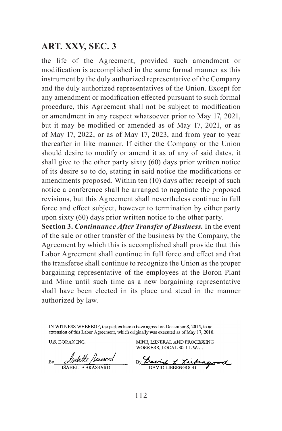### **ART. XXV, SEC. 3**

the life of the Agreement, provided such amendment or modification is accomplished in the same formal manner as this instrument by the duly authorized representative of the Company and the duly authorized representatives of the Union. Except for any amendment or modification effected pursuant to such formal procedure, this Agreement shall not be subject to modification or amendment in any respect whatsoever prior to May 17, 2021, but it may be modified or amended as of May 17, 2021, or as of May 17, 2022, or as of May 17, 2023, and from year to year thereafter in like manner. If either the Company or the Union should desire to modify or amend it as of any of said dates, it shall give to the other party sixty (60) days prior written notice of its desire so to do, stating in said notice the modifications or amendments proposed. Within ten (10) days after receipt of such notice a conference shall be arranged to negotiate the proposed revisions, but this Agreement shall nevertheless continue in full force and effect subject, however to termination by either party upon sixty (60) days prior written notice to the other party.

**Section 3.** *Continuance After Transfer of Business.* In the event of the sale or other transfer of the business by the Company, the Agreement by which this is accomplished shall provide that this Labor Agreement shall continue in full force and effect and that the transferee shall continue to recognize the Union as the proper bargaining representative of the employees at the Boron Plant and Mine until such time as a new bargaining representative shall have been elected in its place and stead in the manner authorized by law.

IN WITNESS WHEREOF, the parties hereto have agreed on December 8, 2015, to an extension of this Labor Agreement, which originally was executed as of May 17, 2010.

**U.S. BORAX INC.** 

Rv **ISABELLE BRASSARD** 

MINE, MINERAL AND PROCESSING WORKERS, LOCAL 30, LL.W.U.

By Savid & Liebingood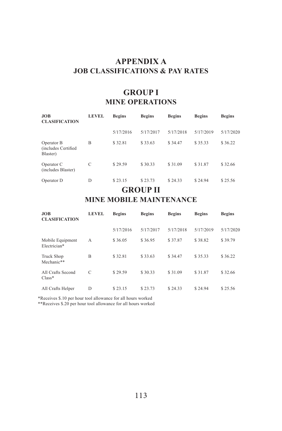#### **APPENDIX A JOB CLASSIFICATIONS & PAY RATES**

### **GROUP I MINE OPERATIONS**

| <b>JOB</b><br><b>CLASIFICATION</b>            | <b>LEVEL</b> | <b>Begins</b> | <b>Begins</b> | <b>Begins</b> | <b>Begins</b> | <b>Begins</b> |
|-----------------------------------------------|--------------|---------------|---------------|---------------|---------------|---------------|
|                                               |              | 5/17/2016     | 5/17/2017     | 5/17/2018     | 5/17/2019     | 5/17/2020     |
| Operator B<br>(includes Certified<br>Blaster) | B            | \$32.81       | \$33.63       | \$34.47       | \$35.33       | \$36.22       |
| Operator C<br>(includes Blaster)              | C            | \$29.59       | \$30.33       | \$31.09       | \$31.87       | \$32.66       |
| Operator D                                    | D            | \$23.15       | \$23.73       | \$24.33       | \$24.94       | \$25.56       |

### **GROUP II MINE MOBILE MAINTENANCE**

| <b>JOB</b><br><b>CLASIFICATION</b> | <b>LEVEL</b>  | <b>Begins</b> | <b>Begins</b> | <b>Begins</b> | <b>Begins</b> | <b>Begins</b> |
|------------------------------------|---------------|---------------|---------------|---------------|---------------|---------------|
|                                    |               | 5/17/2016     | 5/17/2017     | 5/17/2018     | 5/17/2019     | 5/17/2020     |
| Mobile Equipment<br>Electrician*   | А             | \$36.05       | \$36.95       | \$37.87       | \$38.82       | \$39.79       |
| Truck Shop<br>Mechanic**           | B             | \$32.81       | \$33.63       | \$34.47       | \$35.33       | \$36.22       |
| All Crafts Second<br>$Class*$      | $\mathcal{C}$ | \$29.59       | \$30.33       | \$31.09       | \$31.87       | \$32.66       |
| All Crafts Helper                  | D             | \$23.15       | \$23.73       | \$24.33       | \$24.94       | \$25.56       |

\*Receives \$.10 per hour tool allowance for all hours worked

\*\*Receives \$.20 per hour tool allowance for all hours worked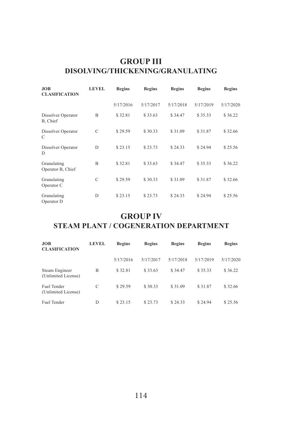### **GROUP III DISOLVING/THICKENING/GRANULATING**

| <b>JOB</b><br><b>CLASIFICATION</b> | <b>LEVEL</b> | <b>Begins</b> | <b>Begins</b> | <b>Begins</b> | <b>Begins</b> | <b>Begins</b> |
|------------------------------------|--------------|---------------|---------------|---------------|---------------|---------------|
|                                    |              | 5/17/2016     | 5/17/2017     | 5/17/2018     | 5/17/2019     | 5/17/2020     |
| Dissolver Operator<br>B, Chief     | B            | \$32.81       | \$33.63       | \$34.47       | \$35.33       | \$36.22       |
| Dissolver Operator<br>C            | C            | \$29.59       | \$30.33       | \$31.09       | \$31.87       | \$32.66       |
| Dissolver Operator<br>D            | D            | \$23.15       | \$23.73       | \$24.33       | \$24.94       | \$25.56       |
| Granulating<br>Operator B, Chief   | B            | \$32.81       | \$33.63       | \$34.47       | \$35.33       | \$36.22       |
| Granulating<br>Operator C          | C            | \$29.59       | \$30.33       | \$31.09       | \$31.87       | \$32.66       |
| Granulating<br>Operator D          | D            | \$23.15       | \$23.73       | \$24.33       | \$24.94       | \$25.56       |

### **GROUP IV**

# **STEAM PLANT / COGENERATION DEPARTMENT**

| JOB<br><b>CLASIFICATION</b>           | <b>LEVEL</b> | <b>Begins</b> | <b>Begins</b> | <b>Begins</b> | <b>Begins</b> | <b>Begins</b> |
|---------------------------------------|--------------|---------------|---------------|---------------|---------------|---------------|
|                                       |              | 5/17/2016     | 5/17/2017     | 5/17/2018     | 5/17/2019     | 5/17/2020     |
| Steam Engineer<br>(Unlimited License) | B            | \$32.81       | \$33.63       | \$34.47       | \$35.33       | \$36.22       |
| Fuel Tender<br>(Unlimited License)    | C            | \$29.59       | \$30.33       | \$31.09       | \$31.87       | \$32.66       |
| Fuel Tender                           | D            | \$23.15       | \$23.73       | \$24.33       | \$24.94       | \$25.56       |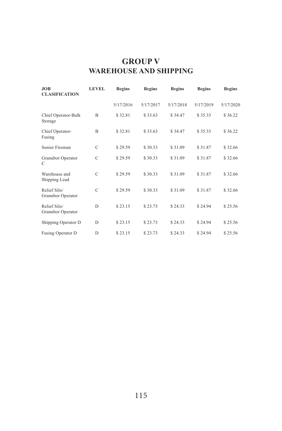### **GROUP V WAREHOUSE AND SHIPPING**

| <b>JOB</b><br><b>CLASIFICATION</b> | <b>LEVEL</b> | <b>Begins</b> | <b>Begins</b> | <b>Begins</b> | <b>Begins</b> | <b>Begins</b> |
|------------------------------------|--------------|---------------|---------------|---------------|---------------|---------------|
|                                    |              | 5/17/2016     | 5/17/2017     | 5/17/2018     | 5/17/2019     | 5/17/2020     |
| Chief Operator-Bulk<br>Storage     | B            | \$32.81       | \$33.63       | \$34.47       | \$35.33       | \$36.22       |
| Chief Operator-<br>Fusing          | B            | \$32.81       | \$33.63       | \$34.47       | \$35.33       | \$36.22       |
| Senior Fireman                     | C            | \$29.59       | \$30.33       | \$31.09       | \$31.87       | \$32.66       |
| Granubor Operator<br>C             | C            | \$29.59       | \$30.33       | \$31.09       | \$31.87       | \$32.66       |
| Warehouse and<br>Shipping Lead     | C            | \$29.59       | \$30.33       | \$31.09       | \$31.87       | \$32.66       |
| Relief Silo/<br>Granubor Operator  | C            | \$29.59       | \$30.33       | \$31.09       | \$31.87       | \$32.66       |
| Relief Silo/<br>Granubor Operator  | D            | \$23.15       | \$23.73       | \$24.33       | \$24.94       | \$25.56       |
| Shipping Operator D                | D            | \$23.15       | \$23.73       | \$24.33       | \$24.94       | \$25.56       |
| Fusing Operator D                  | D            | \$23.15       | \$23.73       | \$24.33       | \$24.94       | \$25.56       |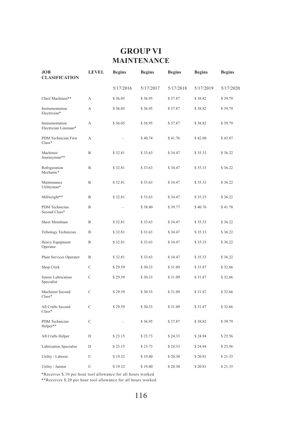## **GROUP VI MAINTENANCE**

| JOB<br><b>CLASIFICATION</b>             | <b>LEVEL</b> | <b>Begins</b> | <b>Begins</b> | <b>Begins</b> | <b>Begins</b> | <b>Begins</b> |
|-----------------------------------------|--------------|---------------|---------------|---------------|---------------|---------------|
|                                         |              | 5/17/2016     | 5/17/2017     | 5/17/2018     | 5/17/2019     | 5/17/2020     |
| Chief Machinist**                       | A            | \$36.05       | \$36.95       | \$37.87       | \$38.82       | \$39.79       |
| Instrumentation<br>Electrician*         | A            | \$36.05       | \$36.95       | \$37.87       | \$38.82       | \$39.79       |
| Instrumentation<br>Electrician Lineman* | A            | \$36.05       | \$36.95       | \$37.87       | \$38.82       | \$39.79       |
| PDM Technician First<br>$Class$ *       | A            |               | \$40.74       | \$41.76       | \$42.80       | \$43.87       |
| Machinist<br>Journeyman**               | B            | \$32.81       | \$33.63       | \$34.47       | \$35.33       | \$36.22       |
| Refrigeration<br>Mechanic*              | B            | \$32.81       | \$33.63       | \$34.47       | \$35.33       | \$36.22       |
| Maintenance<br>Utilityman*              | B            | \$32.81       | \$33.63       | \$34.47       | \$35.33       | \$36.22       |
| Millwright**                            | B            | \$32.81       | \$33.63       | \$34.47       | \$35.33       | \$36.22       |
| PDM Technician<br>Second Class*         | B            |               | \$38.80       | \$39.77       | \$40.76       | \$41.78       |
| Sheet Metalman                          | B            | \$32.81       | \$33.63       | \$34.47       | \$35.33       | \$36.22       |
| Tribology Technician                    | B            | \$32.81       | \$33.63       | \$34.47       | \$35.33       | \$36.22       |
| Heavy Equipment<br>Operator             | $\mathbf{B}$ | \$32.81       | \$33.63       | \$34.47       | \$35.33       | \$36.22       |
| Plant Services Operator                 | B            | \$32.81       | \$33.63       | \$34.47       | \$35.33       | \$36.22       |
| Shop Clerk                              | Ċ            | \$29.59       | \$30.33       | \$31.09       | \$31.87       | \$32.66       |
| Senior Lubrication<br>Specialist        | Ċ            | \$29.59       | \$30.33       | \$31.09       | \$31.87       | \$32.66       |
| Machinist Second<br>$Class*$            | Ċ            | \$29.59       | \$30.33       | \$31.09       | \$31.87       | \$32.66       |
| All Crafts Second<br>$Class*$           | Ċ            | \$29.59       | \$30.33       | \$31.09       | \$31.87       | \$32.66       |
| PDM Technician<br>Helper**              | Ċ            |               | \$36.95       | \$37.87       | \$38.82       | \$39.79       |
| All Crafts Helper                       | D            | \$23.15       | \$23.73       | \$24.33       | \$24.94       | \$25.56       |
| <b>Lubrication Specialist</b>           | D            | \$23.15       | \$23.73       | \$24.33       | \$24.94       | \$25.56       |
| Utility / Laborer                       | U            | \$19.32       | \$19.80       | \$20.30       | \$20.81       | \$21.33       |
| Utility / Janitor                       | U            | \$19.32       | \$19.80       | \$20.30       | \$20.81       | \$21.33       |

\*Receives \$.10 per hour tool allowance for all hours worked \*\*Receives \$.20 per hour tool allowance for all hours worked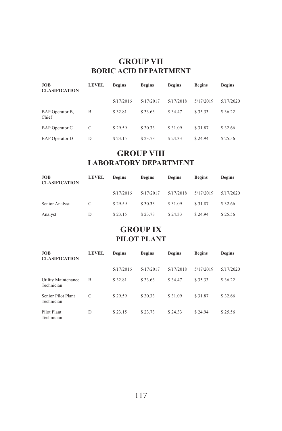#### **GROUP VII BORIC ACID DEPARTMENT**

| <b>JOB</b><br><b>CLASIFICATION</b> | <b>LEVEL</b> | <b>Begins</b> | <b>Begins</b> | <b>Begins</b> | <b>Begins</b> | <b>Begins</b> |
|------------------------------------|--------------|---------------|---------------|---------------|---------------|---------------|
|                                    |              | 5/17/2016     | 5/17/2017     | 5/17/2018     | 5/17/2019     | 5/17/2020     |
| BAP Operator B,<br>Chief           | B            | \$32.81       | \$33.63       | \$34.47       | \$35.33       | \$36.22       |
| BAP Operator C                     | C            | \$29.59       | \$30.33       | \$31.09       | \$31.87       | \$32.66       |
| <b>BAP</b> Operator D              | D            | \$23.15       | \$23.73       | \$24.33       | \$24.94       | \$25.56       |

### **GROUP VIII LABORATORY DEPARTMENT**

| JOB<br><b>CLASIFICATION</b> | <b>LEVEL</b> | <b>Begins</b> | <b>Begins</b> | <b>Begins</b> | <b>Begins</b> | <b>Begins</b> |
|-----------------------------|--------------|---------------|---------------|---------------|---------------|---------------|
|                             |              | 5/17/2016     | 5/17/2017     | 5/17/2018     | 5/17/2019     | 5/17/2020     |
| Senior Analyst              | C            | \$29.59       | \$30.33       | \$31.09       | \$31.87       | \$32.66       |
| Analyst                     | D            | \$23.15       | \$23.73       | \$24.33       | \$24.94       | \$25.56       |

## **GROUP IX PILOT PLANT**

| <b>JOB</b><br><b>CLASIFICATION</b> | <b>LEVEL</b>  | <b>Begins</b> | <b>Begins</b> | <b>Begins</b> | <b>Begins</b> | <b>Begins</b> |
|------------------------------------|---------------|---------------|---------------|---------------|---------------|---------------|
|                                    |               | 5/17/2016     | 5/17/2017     | 5/17/2018     | 5/17/2019     | 5/17/2020     |
| Utility Maintenance<br>Technician  | B             | \$32.81       | \$33.63       | \$34.47       | \$35.33       | \$36.22       |
| Senior Pilot Plant<br>Technician   | $\mathcal{C}$ | \$29.59       | \$30.33       | \$31.09       | \$31.87       | \$32.66       |
| Pilot Plant<br>Technician          | D             | \$23.15       | \$23.73       | \$24.33       | \$24.94       | \$25.56       |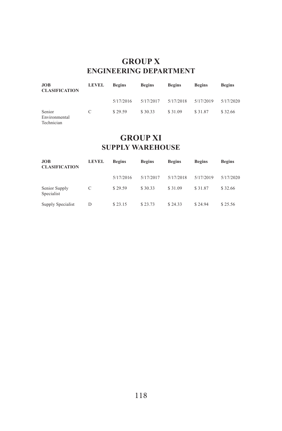### **GROUP X ENGINEERING DEPARTMENT**

| <b>JOB</b><br><b>CLASIFICATION</b>    | <b>LEVEL</b> | <b>Begins</b> | <b>Begins</b> | <b>Begins</b> | <b>Begins</b> | <b>Begins</b> |
|---------------------------------------|--------------|---------------|---------------|---------------|---------------|---------------|
|                                       |              | 5/17/2016     | 5/17/2017     | 5/17/2018     | 5/17/2019     | 5/17/2020     |
| Senior<br>Environmental<br>Technician | C            | \$29.59       | \$30.33       | \$31.09       | \$31.87       | \$32.66       |

### **GROUP XI SUPPLY WAREHOUSE**

| <b>JOB</b><br><b>CLASIFICATION</b> | <b>LEVEL</b> | <b>Begins</b> | <b>Begins</b> | <b>Begins</b> | <b>Begins</b> | <b>Begins</b> |
|------------------------------------|--------------|---------------|---------------|---------------|---------------|---------------|
|                                    |              | 5/17/2016     | 5/17/2017     | 5/17/2018     | 5/17/2019     | 5/17/2020     |
| Senior Supply<br>Specialist        | C            | \$29.59       | \$30.33       | \$31.09       | \$31.87       | \$32.66       |
| Supply Specialist                  | D            | \$23.15       | \$23.73       | \$24.33       | \$24.94       | \$25.56       |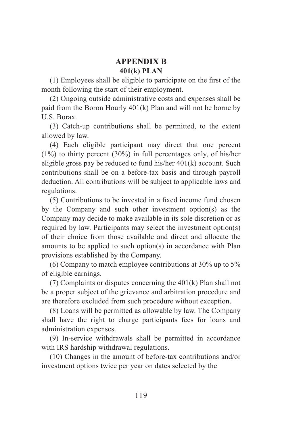#### **APPENDIX B 401(k) PLAN**

(1) Employees shall be eligible to participate on the first of the month following the start of their employment.

(2) Ongoing outside administrative costs and expenses shall be paid from the Boron Hourly 401(k) Plan and will not be borne by U.S. Borax.

(3) Catch-up contributions shall be permitted, to the extent allowed by law.

(4) Each eligible participant may direct that one percent (1%) to thirty percent (30%) in full percentages only, of his/her eligible gross pay be reduced to fund his/her 401(k) account. Such contributions shall be on a before-tax basis and through payroll deduction. All contributions will be subject to applicable laws and regulations.

(5) Contributions to be invested in a fixed income fund chosen by the Company and such other investment option(s) as the Company may decide to make available in its sole discretion or as required by law. Participants may select the investment option(s) of their choice from those available and direct and allocate the amounts to be applied to such option(s) in accordance with Plan provisions established by the Company.

(6) Company to match employee contributions at 30% up to 5% of eligible earnings.

(7) Complaints or disputes concerning the 401(k) Plan shall not be a proper subject of the grievance and arbitration procedure and are therefore excluded from such procedure without exception.

(8) Loans will be permitted as allowable by law. The Company shall have the right to charge participants fees for loans and administration expenses.

(9) In-service withdrawals shall be permitted in accordance with IRS hardship withdrawal regulations.

(10) Changes in the amount of before-tax contributions and/or investment options twice per year on dates selected by the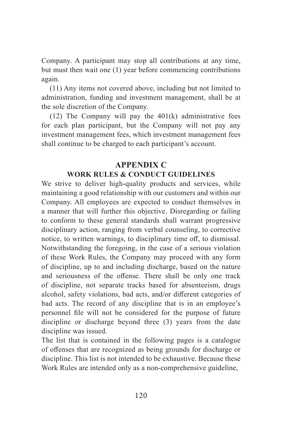Company. A participant may stop all contributions at any time, but must then wait one (1) year before commencing contributions again.

(11) Any items not covered above, including but not limited to administration, funding and investment management, shall be at the sole discretion of the Company.

(12) The Company will pay the  $401(k)$  administrative fees for each plan participant, but the Company will not pay any investment management fees, which investment management fees shall continue to be charged to each participant's account.

### **APPENDIX C WORK RULES & CONDUCT GUIDELINES**

We strive to deliver high-quality products and services, while maintaining a good relationship with our customers and within our Company. All employees are expected to conduct themselves in a manner that will further this objective. Disregarding or failing to conform to these general standards shall warrant progressive disciplinary action, ranging from verbal counseling, to corrective notice, to written warnings, to disciplinary time off, to dismissal. Notwithstanding the foregoing, in the case of a serious violation of these Work Rules, the Company may proceed with any form of discipline, up to and including discharge, based on the nature and seriousness of the offense. There shall be only one track of discipline, not separate tracks based for absenteeism, drugs alcohol, safety violations, bad acts, and/or different categories of bad acts. The record of any discipline that is in an employee's personnel file will not be considered for the purpose of future discipline or discharge beyond three (3) years from the date discipline was issued.

The list that is contained in the following pages is a catalogue of offenses that are recognized as being grounds for discharge or discipline. This list is not intended to be exhaustive. Because these Work Rules are intended only as a non-comprehensive guideline,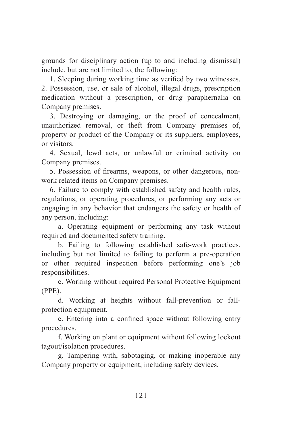grounds for disciplinary action (up to and including dismissal) include, but are not limited to, the following:

1. Sleeping during working time as verified by two witnesses. 2. Possession, use, or sale of alcohol, illegal drugs, prescription medication without a prescription, or drug paraphernalia on Company premises.

3. Destroying or damaging, or the proof of concealment, unauthorized removal, or theft from Company premises of, property or product of the Company or its suppliers, employees, or visitors.

4. Sexual, lewd acts, or unlawful or criminal activity on Company premises.

5. Possession of firearms, weapons, or other dangerous, nonwork related items on Company premises.

6. Failure to comply with established safety and health rules, regulations, or operating procedures, or performing any acts or engaging in any behavior that endangers the safety or health of any person, including:

a. Operating equipment or performing any task without required and documented safety training.

b. Failing to following established safe-work practices, including but not limited to failing to perform a pre-operation or other required inspection before performing one's job responsibilities.

c. Working without required Personal Protective Equipment (PPE).

d. Working at heights without fall-prevention or fallprotection equipment.

e. Entering into a confined space without following entry procedures.

f. Working on plant or equipment without following lockout tagout/isolation procedures.

g. Tampering with, sabotaging, or making inoperable any Company property or equipment, including safety devices.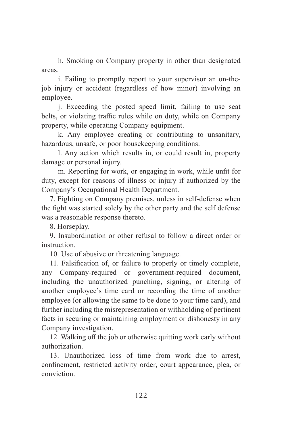h. Smoking on Company property in other than designated areas.

i. Failing to promptly report to your supervisor an on-thejob injury or accident (regardless of how minor) involving an employee.

j. Exceeding the posted speed limit, failing to use seat belts, or violating traffic rules while on duty, while on Company property, while operating Company equipment.

k. Any employee creating or contributing to unsanitary, hazardous, unsafe, or poor housekeeping conditions.

l. Any action which results in, or could result in, property damage or personal injury.

m. Reporting for work, or engaging in work, while unfit for duty, except for reasons of illness or injury if authorized by the Company's Occupational Health Department.

7. Fighting on Company premises, unless in self-defense when the fight was started solely by the other party and the self defense was a reasonable response thereto.

8. Horseplay.

9. Insubordination or other refusal to follow a direct order or instruction.

10. Use of abusive or threatening language.

11. Falsification of, or failure to properly or timely complete, any Company-required or government-required document, including the unauthorized punching, signing, or altering of another employee's time card or recording the time of another employee (or allowing the same to be done to your time card), and further including the misrepresentation or withholding of pertinent facts in securing or maintaining employment or dishonesty in any Company investigation.

12. Walking off the job or otherwise quitting work early without authorization.

13. Unauthorized loss of time from work due to arrest, confinement, restricted activity order, court appearance, plea, or conviction.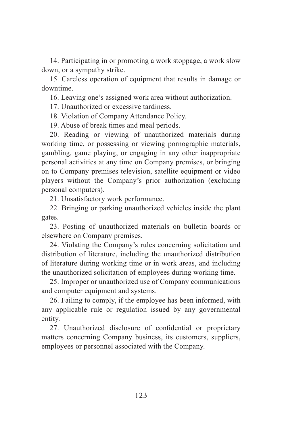14. Participating in or promoting a work stoppage, a work slow down, or a sympathy strike.

15. Careless operation of equipment that results in damage or downtime.

16. Leaving one's assigned work area without authorization.

17. Unauthorized or excessive tardiness.

18. Violation of Company Attendance Policy.

19. Abuse of break times and meal periods.

20. Reading or viewing of unauthorized materials during working time, or possessing or viewing pornographic materials, gambling, game playing, or engaging in any other inappropriate personal activities at any time on Company premises, or bringing on to Company premises television, satellite equipment or video players without the Company's prior authorization (excluding personal computers).

21. Unsatisfactory work performance.

22. Bringing or parking unauthorized vehicles inside the plant gates.

23. Posting of unauthorized materials on bulletin boards or elsewhere on Company premises.

24. Violating the Company's rules concerning solicitation and distribution of literature, including the unauthorized distribution of literature during working time or in work areas, and including the unauthorized solicitation of employees during working time.

25. Improper or unauthorized use of Company communications and computer equipment and systems.

26. Failing to comply, if the employee has been informed, with any applicable rule or regulation issued by any governmental entity.

27. Unauthorized disclosure of confidential or proprietary matters concerning Company business, its customers, suppliers, employees or personnel associated with the Company.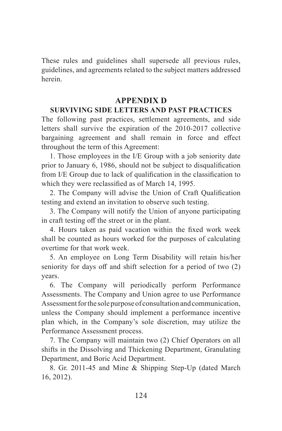These rules and guidelines shall supersede all previous rules, guidelines, and agreements related to the subject matters addressed herein.

#### **APPENDIX D**

#### **SURVIVING SIDE LETTERS AND PAST PRACTICES**

The following past practices, settlement agreements, and side letters shall survive the expiration of the 2010-2017 collective bargaining agreement and shall remain in force and effect throughout the term of this Agreement:

1. Those employees in the I/E Group with a job seniority date prior to January 6, 1986, should not be subject to disqualification from I/E Group due to lack of qualification in the classification to which they were reclassified as of March 14, 1995.

2. The Company will advise the Union of Craft Qualification testing and extend an invitation to observe such testing.

3. The Company will notify the Union of anyone participating in craft testing off the street or in the plant.

4. Hours taken as paid vacation within the fixed work week shall be counted as hours worked for the purposes of calculating overtime for that work week.

5. An employee on Long Term Disability will retain his/her seniority for days off and shift selection for a period of two (2) years.

6. The Company will periodically perform Performance Assessments. The Company and Union agree to use Performance Assessment for the sole purpose of consultation and communication, unless the Company should implement a performance incentive plan which, in the Company's sole discretion, may utilize the Performance Assessment process.

7. The Company will maintain two (2) Chief Operators on all shifts in the Dissolving and Thickening Department, Granulating Department, and Boric Acid Department.

8. Gr. 2011-45 and Mine & Shipping Step-Up (dated March 16, 2012).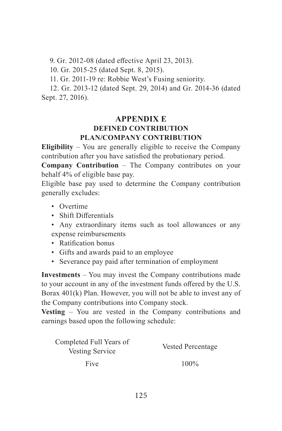9. Gr. 2012-08 (dated effective April 23, 2013).

10. Gr. 2015-25 (dated Sept. 8, 2015).

11. Gr. 2011-19 re: Robbie West's Fusing seniority.

12. Gr. 2013-12 (dated Sept. 29, 2014) and Gr. 2014-36 (dated Sept. 27, 2016).

#### **APPENDIX E DEFINED CONTRIBUTION PLAN/COMPANY CONTRIBUTION**

**Eligibility** – You are generally eligible to receive the Company contribution after you have satisfied the probationary period.

**Company Contribution** – The Company contributes on your behalf 4% of eligible base pay.

Eligible base pay used to determine the Company contribution generally excludes:

- Overtime
- Shift Differentials
- Any extraordinary items such as tool allowances or any expense reimbursements
- Ratification bonus
- Gifts and awards paid to an employee
- Severance pay paid after termination of employment

**Investments** – You may invest the Company contributions made to your account in any of the investment funds offered by the U.S. Borax 401(k) Plan. However, you will not be able to invest any of the Company contributions into Company stock.

**Vesting** – You are vested in the Company contributions and earnings based upon the following schedule:

| Completed Full Years of<br>Vesting Service | Vested Percentage |
|--------------------------------------------|-------------------|
| Five                                       | $100\%$           |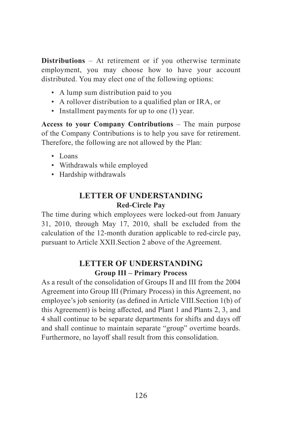**Distributions** – At retirement or if you otherwise terminate employment, you may choose how to have your account distributed. You may elect one of the following options:

- A lump sum distribution paid to you
- A rollover distribution to a qualified plan or IRA, or
- Installment payments for up to one (1) year.

**Access to your Company Contributions** – The main purpose of the Company Contributions is to help you save for retirement. Therefore, the following are not allowed by the Plan:

- Loans
- Withdrawals while employed
- Hardship withdrawals

### **LETTER OF UNDERSTANDING Red-Circle Pay**

The time during which employees were locked-out from January 31, 2010, through May 17, 2010, shall be excluded from the calculation of the 12-month duration applicable to red-circle pay, pursuant to Article XXII.Section 2 above of the Agreement.

### **LETTER OF UNDERSTANDING Group III – Primary Process**

As a result of the consolidation of Groups II and III from the 2004 Agreement into Group III (Primary Process) in this Agreement, no employee's job seniority (as defined in Article VIII.Section 1(b) of this Agreement) is being affected, and Plant 1 and Plants 2, 3, and 4 shall continue to be separate departments for shifts and days off and shall continue to maintain separate "group" overtime boards. Furthermore, no layoff shall result from this consolidation.